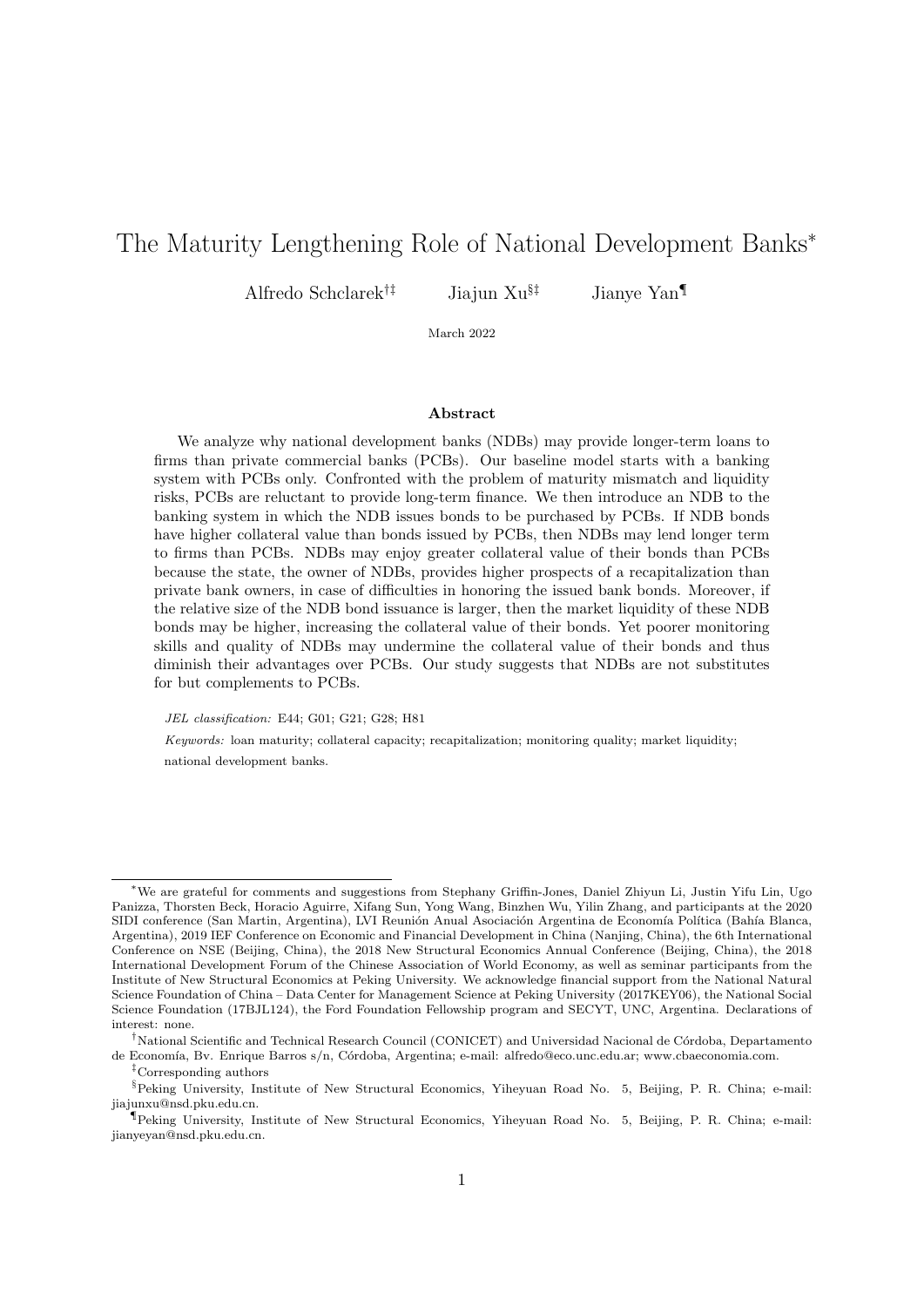# <span id="page-0-0"></span>The Maturity Lengthening Role of National Development Banks<sup>∗</sup>

Alfredo Schclarek<sup>†‡</sup> Jiajun Xu<sup>§‡</sup> Jianye Yan

March 2022

#### Abstract

We analyze why national development banks (NDBs) may provide longer-term loans to firms than private commercial banks (PCBs). Our baseline model starts with a banking system with PCBs only. Confronted with the problem of maturity mismatch and liquidity risks, PCBs are reluctant to provide long-term finance. We then introduce an NDB to the banking system in which the NDB issues bonds to be purchased by PCBs. If NDB bonds have higher collateral value than bonds issued by PCBs, then NDBs may lend longer term to firms than PCBs. NDBs may enjoy greater collateral value of their bonds than PCBs because the state, the owner of NDBs, provides higher prospects of a recapitalization than private bank owners, in case of difficulties in honoring the issued bank bonds. Moreover, if the relative size of the NDB bond issuance is larger, then the market liquidity of these NDB bonds may be higher, increasing the collateral value of their bonds. Yet poorer monitoring skills and quality of NDBs may undermine the collateral value of their bonds and thus diminish their advantages over PCBs. Our study suggests that NDBs are not substitutes for but complements to PCBs.

JEL classification: E44; G01; G21; G28; H81

Keywords: loan maturity; collateral capacity; recapitalization; monitoring quality; market liquidity; national development banks.

<sup>∗</sup>We are grateful for comments and suggestions from Stephany Griffin-Jones, Daniel Zhiyun Li, Justin Yifu Lin, Ugo Panizza, Thorsten Beck, Horacio Aguirre, Xifang Sun, Yong Wang, Binzhen Wu, Yilin Zhang, and participants at the 2020 SIDI conference (San Martin, Argentina), LVI Reunión Anual Asociación Argentina de Economía Política (Bahía Blanca, Argentina), 2019 IEF Conference on Economic and Financial Development in China (Nanjing, China), the 6th International Conference on NSE (Beijing, China), the 2018 New Structural Economics Annual Conference (Beijing, China), the 2018 International Development Forum of the Chinese Association of World Economy, as well as seminar participants from the Institute of New Structural Economics at Peking University. We acknowledge financial support from the National Natural Science Foundation of China – Data Center for Management Science at Peking University (2017KEY06), the National Social Science Foundation (17BJL124), the Ford Foundation Fellowship program and SECYT, UNC, Argentina. Declarations of interest: none.

<sup>&</sup>lt;sup>†</sup>National Scientific and Technical Research Council (CONICET) and Universidad Nacional de Córdoba, Departamento de Economía, Bv. Enrique Barros s/n, Córdoba, Argentina; e-mail: alfredo@eco.unc.edu.ar; www.cbaeconomia.com.

<sup>‡</sup>Corresponding authors

<sup>§</sup>Peking University, Institute of New Structural Economics, Yiheyuan Road No. 5, Beijing, P. R. China; e-mail: jiajunxu@nsd.pku.edu.cn.

<sup>¶</sup>Peking University, Institute of New Structural Economics, Yiheyuan Road No. 5, Beijing, P. R. China; e-mail: jianyeyan@nsd.pku.edu.cn.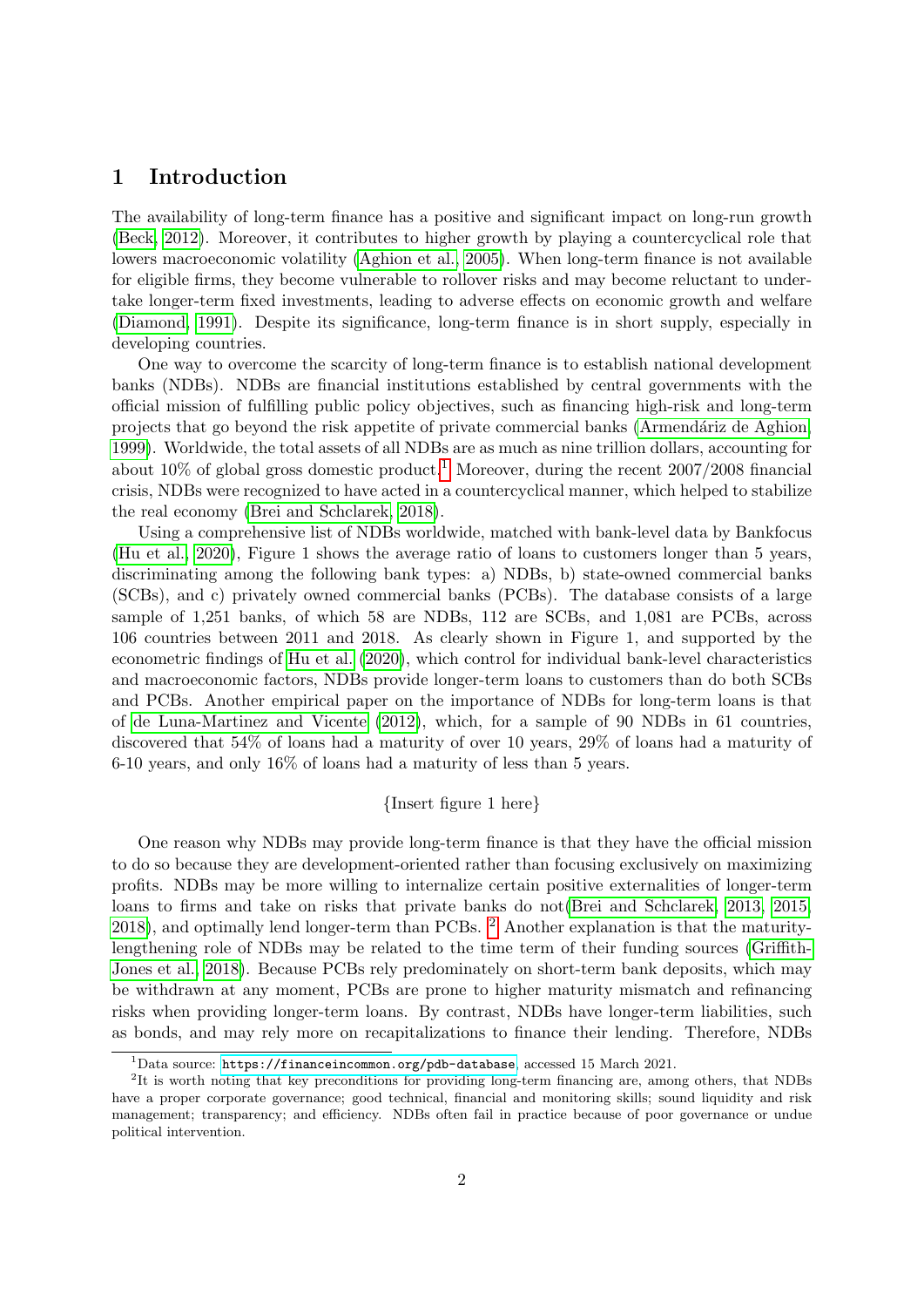# 1 Introduction

The availability of long-term finance has a positive and significant impact on long-run growth [\(Beck, 2012\)](#page-25-0). Moreover, it contributes to higher growth by playing a countercyclical role that lowers macroeconomic volatility [\(Aghion et al., 2005\)](#page-25-1). When long-term finance is not available for eligible firms, they become vulnerable to rollover risks and may become reluctant to undertake longer-term fixed investments, leading to adverse effects on economic growth and welfare [\(Diamond, 1991\)](#page-26-0). Despite its significance, long-term finance is in short supply, especially in developing countries.

One way to overcome the scarcity of long-term finance is to establish national development banks (NDBs). NDBs are financial institutions established by central governments with the official mission of fulfilling public policy objectives, such as financing high-risk and long-term projects that go beyond the risk appetite of private commercial banks (Armendáriz de Aghion, [1999\)](#page-25-2). Worldwide, the total assets of all NDBs are as much as nine trillion dollars, accounting for about [1](#page-0-0)0% of global gross domestic product.<sup>1</sup> Moreover, during the recent  $2007/2008$  financial crisis, NDBs were recognized to have acted in a countercyclical manner, which helped to stabilize the real economy [\(Brei and Schclarek, 2018\)](#page-26-1).

Using a comprehensive list of NDBs worldwide, matched with bank-level data by Bankfocus [\(Hu et al., 2020\)](#page-27-0), Figure 1 shows the average ratio of loans to customers longer than 5 years, discriminating among the following bank types: a) NDBs, b) state-owned commercial banks (SCBs), and c) privately owned commercial banks (PCBs). The database consists of a large sample of 1,251 banks, of which 58 are NDBs, 112 are SCBs, and 1,081 are PCBs, across 106 countries between 2011 and 2018. As clearly shown in Figure 1, and supported by the econometric findings of [Hu et al.](#page-27-0) [\(2020\)](#page-27-0), which control for individual bank-level characteristics and macroeconomic factors, NDBs provide longer-term loans to customers than do both SCBs and PCBs. Another empirical paper on the importance of NDBs for long-term loans is that of [de Luna-Martinez and Vicente](#page-26-2) [\(2012\)](#page-26-2), which, for a sample of 90 NDBs in 61 countries, discovered that 54% of loans had a maturity of over 10 years, 29% of loans had a maturity of 6-10 years, and only 16% of loans had a maturity of less than 5 years.

#### {Insert figure 1 here}

One reason why NDBs may provide long-term finance is that they have the official mission to do so because they are development-oriented rather than focusing exclusively on maximizing profits. NDBs may be more willing to internalize certain positive externalities of longer-term loans to firms and take on risks that private banks do not[\(Brei and Schclarek, 2013,](#page-25-3) [2015,](#page-25-4) [2018\)](#page-26-1), and optimally lend longer-term than PCBs. [2](#page-0-0) Another explanation is that the maturitylengthening role of NDBs may be related to the time term of their funding sources [\(Griffith-](#page-27-1)[Jones et al., 2018\)](#page-27-1). Because PCBs rely predominately on short-term bank deposits, which may be withdrawn at any moment, PCBs are prone to higher maturity mismatch and refinancing risks when providing longer-term loans. By contrast, NDBs have longer-term liabilities, such as bonds, and may rely more on recapitalizations to finance their lending. Therefore, NDBs

 $^1$ Data source: <https://financeincommon.org/pdb-database>, accessed 15 March 2021.

<sup>&</sup>lt;sup>2</sup>It is worth noting that key preconditions for providing long-term financing are, among others, that NDBs have a proper corporate governance; good technical, financial and monitoring skills; sound liquidity and risk management; transparency; and efficiency. NDBs often fail in practice because of poor governance or undue political intervention.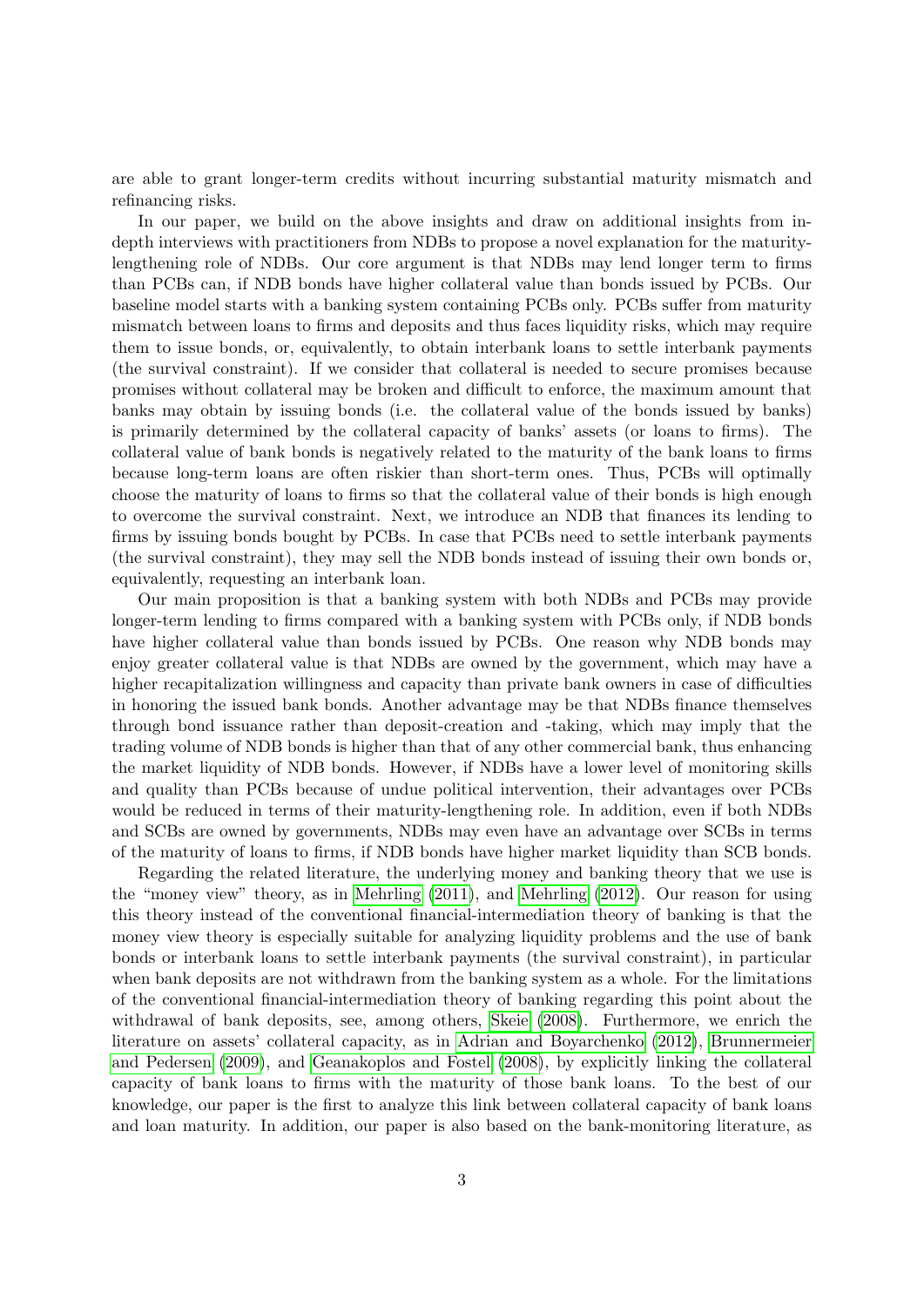are able to grant longer-term credits without incurring substantial maturity mismatch and refinancing risks.

In our paper, we build on the above insights and draw on additional insights from indepth interviews with practitioners from NDBs to propose a novel explanation for the maturitylengthening role of NDBs. Our core argument is that NDBs may lend longer term to firms than PCBs can, if NDB bonds have higher collateral value than bonds issued by PCBs. Our baseline model starts with a banking system containing PCBs only. PCBs suffer from maturity mismatch between loans to firms and deposits and thus faces liquidity risks, which may require them to issue bonds, or, equivalently, to obtain interbank loans to settle interbank payments (the survival constraint). If we consider that collateral is needed to secure promises because promises without collateral may be broken and difficult to enforce, the maximum amount that banks may obtain by issuing bonds (i.e. the collateral value of the bonds issued by banks) is primarily determined by the collateral capacity of banks' assets (or loans to firms). The collateral value of bank bonds is negatively related to the maturity of the bank loans to firms because long-term loans are often riskier than short-term ones. Thus, PCBs will optimally choose the maturity of loans to firms so that the collateral value of their bonds is high enough to overcome the survival constraint. Next, we introduce an NDB that finances its lending to firms by issuing bonds bought by PCBs. In case that PCBs need to settle interbank payments (the survival constraint), they may sell the NDB bonds instead of issuing their own bonds or, equivalently, requesting an interbank loan.

Our main proposition is that a banking system with both NDBs and PCBs may provide longer-term lending to firms compared with a banking system with PCBs only, if NDB bonds have higher collateral value than bonds issued by PCBs. One reason why NDB bonds may enjoy greater collateral value is that NDBs are owned by the government, which may have a higher recapitalization willingness and capacity than private bank owners in case of difficulties in honoring the issued bank bonds. Another advantage may be that NDBs finance themselves through bond issuance rather than deposit-creation and -taking, which may imply that the trading volume of NDB bonds is higher than that of any other commercial bank, thus enhancing the market liquidity of NDB bonds. However, if NDBs have a lower level of monitoring skills and quality than PCBs because of undue political intervention, their advantages over PCBs would be reduced in terms of their maturity-lengthening role. In addition, even if both NDBs and SCBs are owned by governments, NDBs may even have an advantage over SCBs in terms of the maturity of loans to firms, if NDB bonds have higher market liquidity than SCB bonds.

Regarding the related literature, the underlying money and banking theory that we use is the "money view" theory, as in [Mehrling](#page-27-2) [\(2011\)](#page-27-2), and [Mehrling](#page-27-3) [\(2012\)](#page-27-3). Our reason for using this theory instead of the conventional financial-intermediation theory of banking is that the money view theory is especially suitable for analyzing liquidity problems and the use of bank bonds or interbank loans to settle interbank payments (the survival constraint), in particular when bank deposits are not withdrawn from the banking system as a whole. For the limitations of the conventional financial-intermediation theory of banking regarding this point about the withdrawal of bank deposits, see, among others, [Skeie](#page-27-4) [\(2008\)](#page-27-4). Furthermore, we enrich the literature on assets' collateral capacity, as in [Adrian and Boyarchenko](#page-25-5) [\(2012\)](#page-25-5), [Brunnermeier](#page-26-3) [and Pedersen](#page-26-3) [\(2009\)](#page-26-3), and [Geanakoplos and Fostel](#page-26-4) [\(2008\)](#page-26-4), by explicitly linking the collateral capacity of bank loans to firms with the maturity of those bank loans. To the best of our knowledge, our paper is the first to analyze this link between collateral capacity of bank loans and loan maturity. In addition, our paper is also based on the bank-monitoring literature, as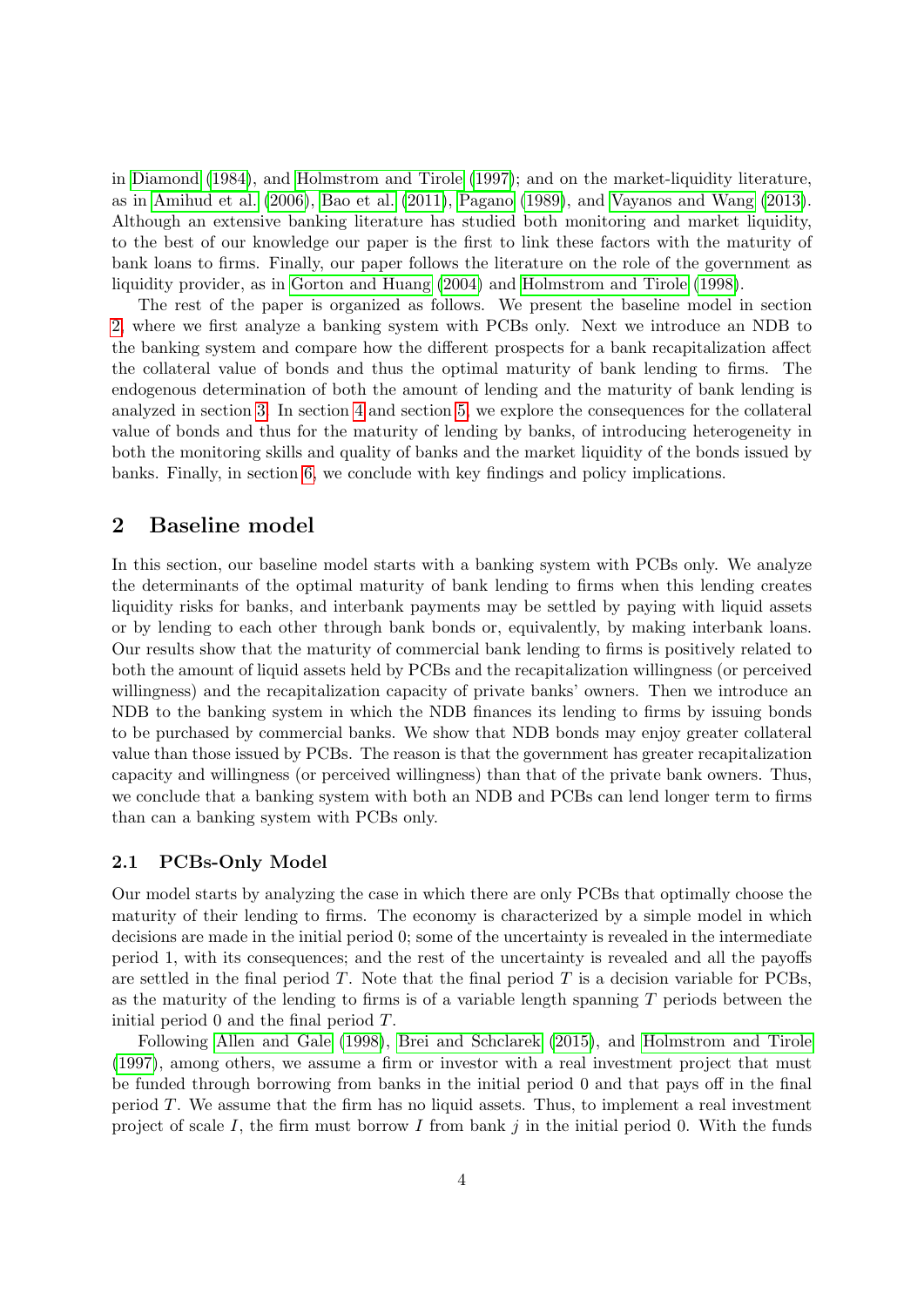in [Diamond](#page-26-5) [\(1984\)](#page-26-5), and [Holmstrom and Tirole](#page-27-5) [\(1997\)](#page-27-5); and on the market-liquidity literature, as in [Amihud et al.](#page-25-6) [\(2006\)](#page-25-6), [Bao et al.](#page-25-7) [\(2011\)](#page-25-7), [Pagano](#page-27-6) [\(1989\)](#page-27-6), and [Vayanos and Wang](#page-28-0) [\(2013\)](#page-28-0). Although an extensive banking literature has studied both monitoring and market liquidity, to the best of our knowledge our paper is the first to link these factors with the maturity of bank loans to firms. Finally, our paper follows the literature on the role of the government as liquidity provider, as in [Gorton and Huang](#page-26-6) [\(2004\)](#page-26-6) and [Holmstrom and Tirole](#page-27-7) [\(1998\)](#page-27-7).

The rest of the paper is organized as follows. We present the baseline model in section [2,](#page-3-0) where we first analyze a banking system with PCBs only. Next we introduce an NDB to the banking system and compare how the different prospects for a bank recapitalization affect the collateral value of bonds and thus the optimal maturity of bank lending to firms. The endogenous determination of both the amount of lending and the maturity of bank lending is analyzed in section [3.](#page-16-0) In section [4](#page-18-0) and section [5,](#page-21-0) we explore the consequences for the collateral value of bonds and thus for the maturity of lending by banks, of introducing heterogeneity in both the monitoring skills and quality of banks and the market liquidity of the bonds issued by banks. Finally, in section [6,](#page-24-0) we conclude with key findings and policy implications.

### <span id="page-3-0"></span>2 Baseline model

In this section, our baseline model starts with a banking system with PCBs only. We analyze the determinants of the optimal maturity of bank lending to firms when this lending creates liquidity risks for banks, and interbank payments may be settled by paying with liquid assets or by lending to each other through bank bonds or, equivalently, by making interbank loans. Our results show that the maturity of commercial bank lending to firms is positively related to both the amount of liquid assets held by PCBs and the recapitalization willingness (or perceived willingness) and the recapitalization capacity of private banks' owners. Then we introduce an NDB to the banking system in which the NDB finances its lending to firms by issuing bonds to be purchased by commercial banks. We show that NDB bonds may enjoy greater collateral value than those issued by PCBs. The reason is that the government has greater recapitalization capacity and willingness (or perceived willingness) than that of the private bank owners. Thus, we conclude that a banking system with both an NDB and PCBs can lend longer term to firms than can a banking system with PCBs only.

#### <span id="page-3-1"></span>2.1 PCBs-Only Model

Our model starts by analyzing the case in which there are only PCBs that optimally choose the maturity of their lending to firms. The economy is characterized by a simple model in which decisions are made in the initial period 0; some of the uncertainty is revealed in the intermediate period 1, with its consequences; and the rest of the uncertainty is revealed and all the payoffs are settled in the final period  $T$ . Note that the final period  $T$  is a decision variable for PCBs, as the maturity of the lending to firms is of a variable length spanning  $T$  periods between the initial period 0 and the final period T.

Following [Allen and Gale](#page-25-8) [\(1998\)](#page-25-8), [Brei and Schclarek](#page-25-4) [\(2015\)](#page-25-4), and [Holmstrom and Tirole](#page-27-5) [\(1997\)](#page-27-5), among others, we assume a firm or investor with a real investment project that must be funded through borrowing from banks in the initial period 0 and that pays off in the final period T. We assume that the firm has no liquid assets. Thus, to implement a real investment project of scale I, the firm must borrow I from bank j in the initial period 0. With the funds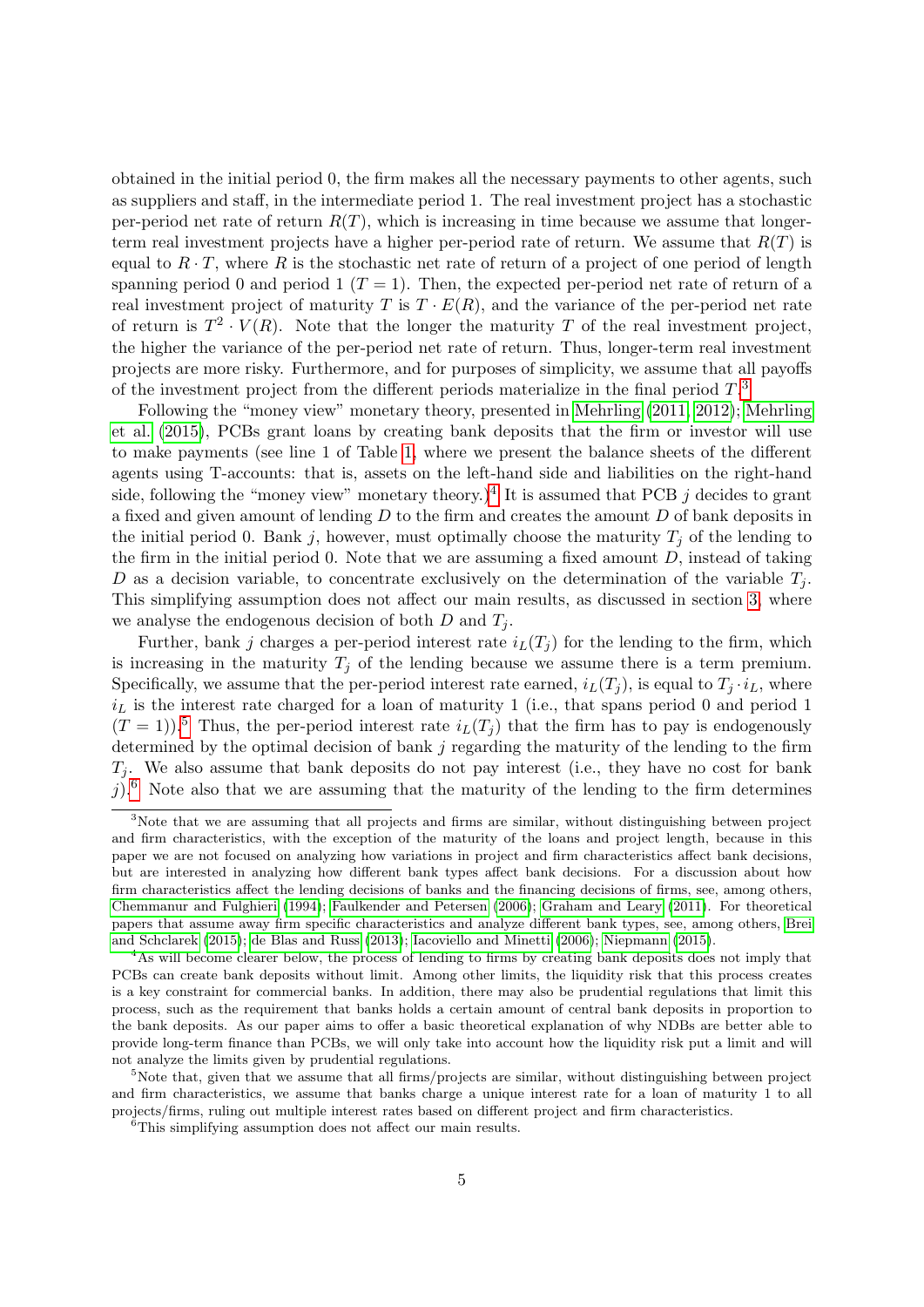obtained in the initial period 0, the firm makes all the necessary payments to other agents, such as suppliers and staff, in the intermediate period 1. The real investment project has a stochastic per-period net rate of return  $R(T)$ , which is increasing in time because we assume that longerterm real investment projects have a higher per-period rate of return. We assume that  $R(T)$  is equal to  $R \cdot T$ , where R is the stochastic net rate of return of a project of one period of length spanning period 0 and period 1 ( $T = 1$ ). Then, the expected per-period net rate of return of a real investment project of maturity T is  $T \cdot E(R)$ , and the variance of the per-period net rate of return is  $T^2 \cdot V(R)$ . Note that the longer the maturity T of the real investment project, the higher the variance of the per-period net rate of return. Thus, longer-term real investment projects are more risky. Furthermore, and for purposes of simplicity, we assume that all payoffs of the investment project from the different periods materialize in the final period  $T$ .<sup>[3](#page-0-0)</sup>

Following the "money view" monetary theory, presented in [Mehrling](#page-27-2) [\(2011,](#page-27-2) [2012\)](#page-27-3); [Mehrling](#page-27-8) [et al.](#page-27-8) [\(2015\)](#page-27-8), PCBs grant loans by creating bank deposits that the firm or investor will use to make payments (see line 1 of Table [1,](#page-30-0) where we present the balance sheets of the different agents using T-accounts: that is, assets on the left-hand side and liabilities on the right-hand side, following the "money view" monetary theory.)<sup>[4](#page-0-0)</sup> It is assumed that PCB j decides to grant a fixed and given amount of lending  $D$  to the firm and creates the amount  $D$  of bank deposits in the initial period 0. Bank j, however, must optimally choose the maturity  $T_i$  of the lending to the firm in the initial period 0. Note that we are assuming a fixed amount  $D$ , instead of taking D as a decision variable, to concentrate exclusively on the determination of the variable  $T_i$ . This simplifying assumption does not affect our main results, as discussed in section [3,](#page-16-0) where we analyse the endogenous decision of both  $D$  and  $T_i$ .

Further, bank j charges a per-period interest rate  $i_L(T_i)$  for the lending to the firm, which is increasing in the maturity  $T_j$  of the lending because we assume there is a term premium. Specifically, we assume that the per-period interest rate earned,  $i_L(T_j)$ , is equal to  $T_j \cdot i_L$ , where  $i_L$  is the interest rate charged for a loan of maturity 1 (i.e., that spans period 0 and period 1  $(T = 1)$ .<sup>[5](#page-0-0)</sup> Thus, the per-period interest rate  $i_L(T_i)$  that the firm has to pay is endogenously determined by the optimal decision of bank  $j$  regarding the maturity of the lending to the firm  $T_j$ . We also assume that bank deposits do not pay interest (i.e., they have no cost for bank j).<sup>[6](#page-0-0)</sup> Note also that we are assuming that the maturity of the lending to the firm determines

<sup>&</sup>lt;sup>3</sup>Note that we are assuming that all projects and firms are similar, without distinguishing between project and firm characteristics, with the exception of the maturity of the loans and project length, because in this paper we are not focused on analyzing how variations in project and firm characteristics affect bank decisions, but are interested in analyzing how different bank types affect bank decisions. For a discussion about how firm characteristics affect the lending decisions of banks and the financing decisions of firms, see, among others, [Chemmanur and Fulghieri](#page-26-7) [\(1994\)](#page-26-7); [Faulkender and Petersen](#page-26-8) [\(2006\)](#page-26-8); [Graham and Leary](#page-27-9) [\(2011\)](#page-27-9). For theoretical papers that assume away firm specific characteristics and analyze different bank types, see, among others, [Brei](#page-25-4) [and Schclarek](#page-25-4) [\(2015\)](#page-25-4); [de Blas and Russ](#page-26-9) [\(2013\)](#page-26-9); [Iacoviello and Minetti](#page-27-10) [\(2006\)](#page-27-10); [Niepmann](#page-27-11) [\(2015\)](#page-27-11).

<sup>&</sup>lt;sup>4</sup>As will become clearer below, the process of lending to firms by creating bank deposits does not imply that PCBs can create bank deposits without limit. Among other limits, the liquidity risk that this process creates is a key constraint for commercial banks. In addition, there may also be prudential regulations that limit this process, such as the requirement that banks holds a certain amount of central bank deposits in proportion to the bank deposits. As our paper aims to offer a basic theoretical explanation of why NDBs are better able to provide long-term finance than PCBs, we will only take into account how the liquidity risk put a limit and will not analyze the limits given by prudential regulations.

 $5$ Note that, given that we assume that all firms/projects are similar, without distinguishing between project and firm characteristics, we assume that banks charge a unique interest rate for a loan of maturity 1 to all projects/firms, ruling out multiple interest rates based on different project and firm characteristics.

<sup>&</sup>lt;sup>6</sup>This simplifying assumption does not affect our main results.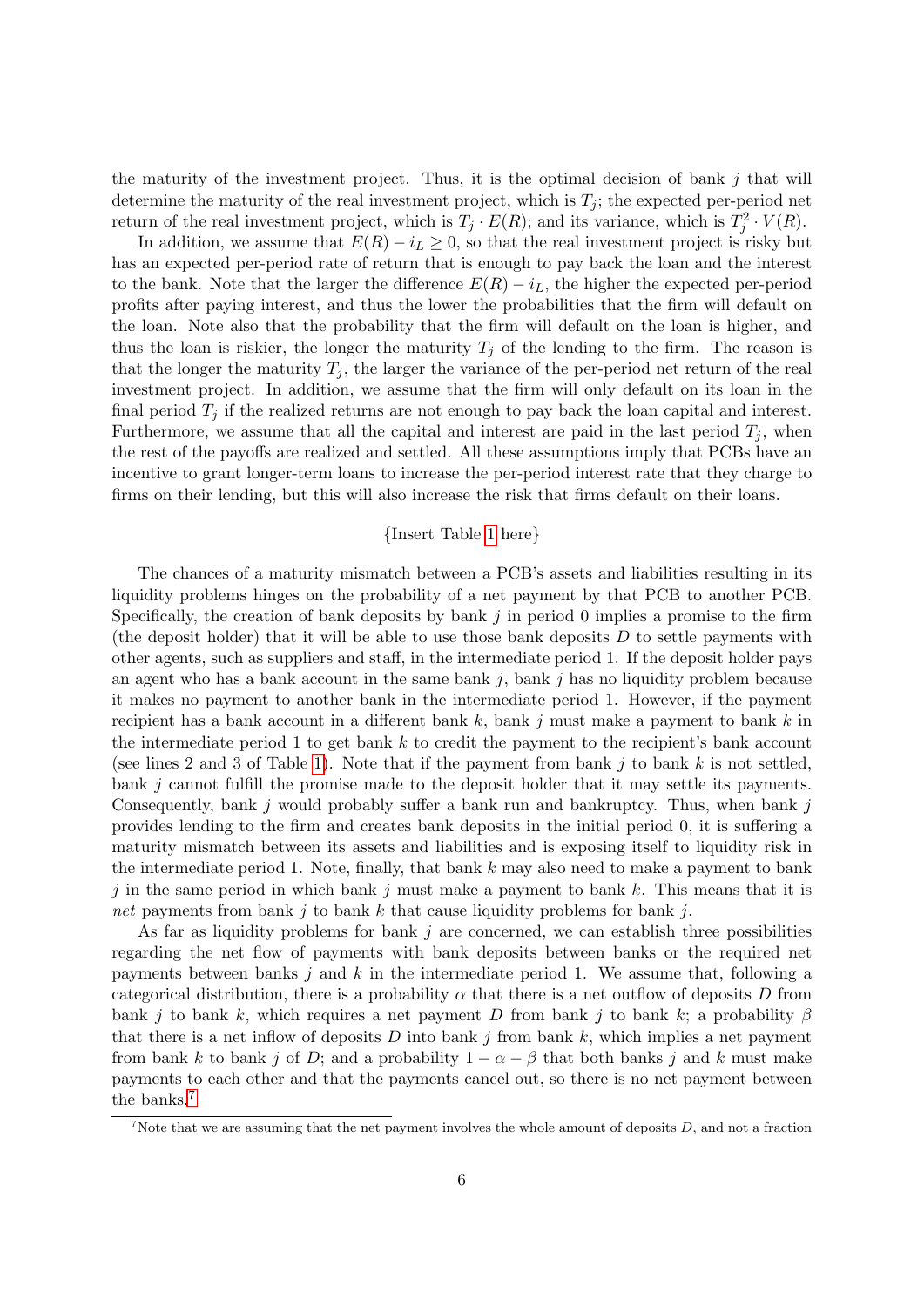the maturity of the investment project. Thus, it is the optimal decision of bank  $j$  that will determine the maturity of the real investment project, which is  $T_i$ ; the expected per-period net return of the real investment project, which is  $T_j \cdot E(R)$ ; and its variance, which is  $T_j^2 \cdot V(R)$ .

In addition, we assume that  $E(R) - i_L \geq 0$ , so that the real investment project is risky but has an expected per-period rate of return that is enough to pay back the loan and the interest to the bank. Note that the larger the difference  $E(R) - i_L$ , the higher the expected per-period profits after paying interest, and thus the lower the probabilities that the firm will default on the loan. Note also that the probability that the firm will default on the loan is higher, and thus the loan is riskier, the longer the maturity  $T_j$  of the lending to the firm. The reason is that the longer the maturity  $T_i$ , the larger the variance of the per-period net return of the real investment project. In addition, we assume that the firm will only default on its loan in the final period  $T_j$  if the realized returns are not enough to pay back the loan capital and interest. Furthermore, we assume that all the capital and interest are paid in the last period  $T_i$ , when the rest of the payoffs are realized and settled. All these assumptions imply that PCBs have an incentive to grant longer-term loans to increase the per-period interest rate that they charge to firms on their lending, but this will also increase the risk that firms default on their loans.

#### {Insert Table [1](#page-30-0) here}

The chances of a maturity mismatch between a PCB's assets and liabilities resulting in its liquidity problems hinges on the probability of a net payment by that PCB to another PCB. Specifically, the creation of bank deposits by bank  $j$  in period 0 implies a promise to the firm (the deposit holder) that it will be able to use those bank deposits  $D$  to settle payments with other agents, such as suppliers and staff, in the intermediate period 1. If the deposit holder pays an agent who has a bank account in the same bank  $j$ , bank  $j$  has no liquidity problem because it makes no payment to another bank in the intermediate period 1. However, if the payment recipient has a bank account in a different bank  $k$ , bank j must make a payment to bank  $k$  in the intermediate period 1 to get bank  $k$  to credit the payment to the recipient's bank account (see lines 2 and 3 of Table [1\)](#page-30-0). Note that if the payment from bank j to bank k is not settled, bank  $j$  cannot fulfill the promise made to the deposit holder that it may settle its payments. Consequently, bank  $j$  would probably suffer a bank run and bankruptcy. Thus, when bank  $j$ provides lending to the firm and creates bank deposits in the initial period 0, it is suffering a maturity mismatch between its assets and liabilities and is exposing itself to liquidity risk in the intermediate period 1. Note, finally, that bank  $k$  may also need to make a payment to bank j in the same period in which bank j must make a payment to bank  $k$ . This means that it is net payments from bank j to bank k that cause liquidity problems for bank j.

As far as liquidity problems for bank  $j$  are concerned, we can establish three possibilities regarding the net flow of payments with bank deposits between banks or the required net payments between banks j and k in the intermediate period 1. We assume that, following a categorical distribution, there is a probability  $\alpha$  that there is a net outflow of deposits D from bank j to bank k, which requires a net payment D from bank j to bank k; a probability  $\beta$ that there is a net inflow of deposits  $D$  into bank  $j$  from bank  $k$ , which implies a net payment from bank k to bank j of D; and a probability  $1 - \alpha - \beta$  that both banks j and k must make payments to each other and that the payments cancel out, so there is no net payment between the banks.[7](#page-0-0)

<sup>&</sup>lt;sup>7</sup>Note that we are assuming that the net payment involves the whole amount of deposits  $D$ , and not a fraction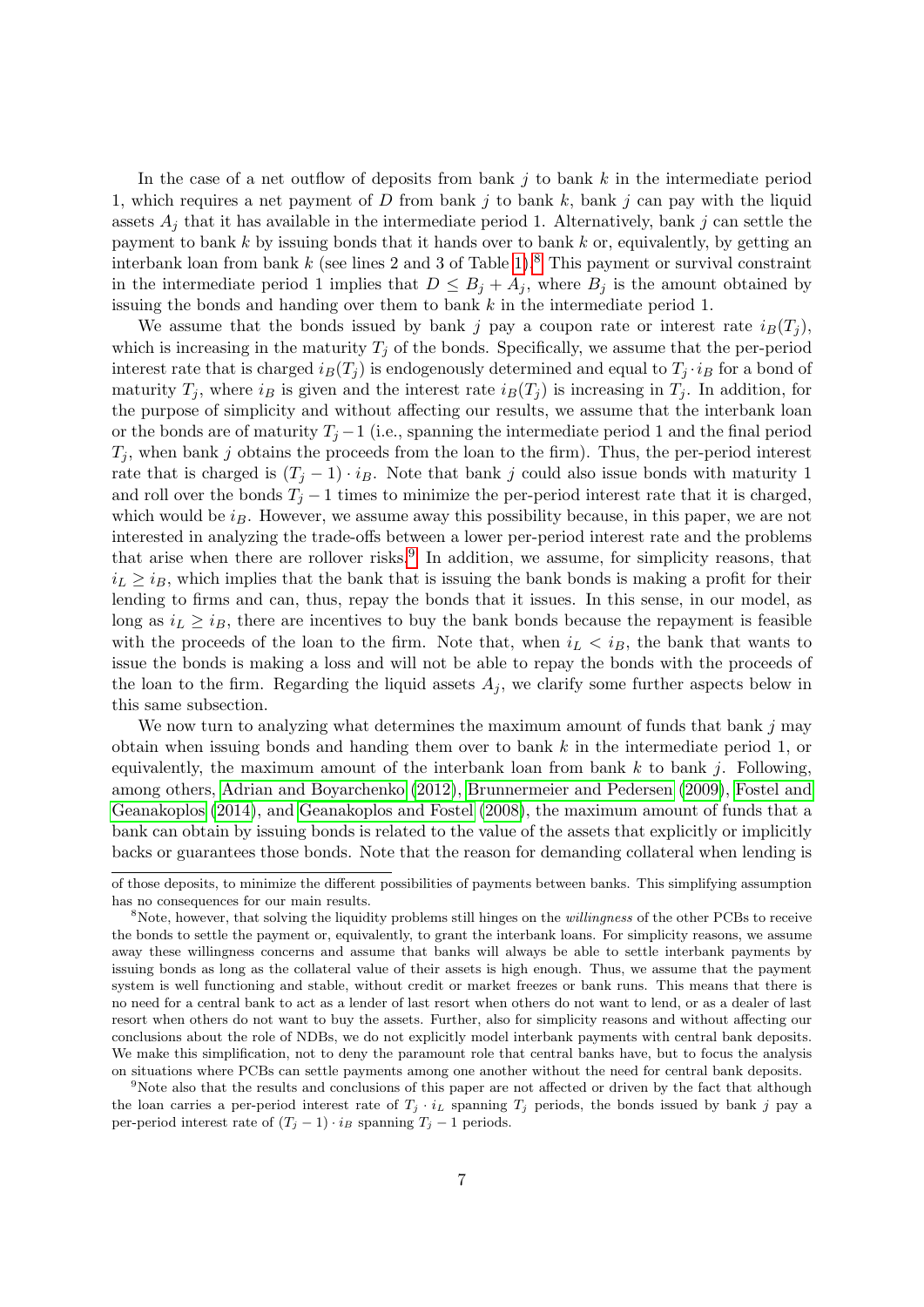In the case of a net outflow of deposits from bank  $j$  to bank  $k$  in the intermediate period 1, which requires a net payment of  $D$  from bank  $j$  to bank  $k$ , bank  $j$  can pay with the liquid assets  $A_j$  that it has available in the intermediate period 1. Alternatively, bank j can settle the payment to bank  $k$  by issuing bonds that it hands over to bank  $k$  or, equivalently, by getting an interbank loan from bank  $k$  (see lines 2 and 3 of Table [1\)](#page-30-0).<sup>[8](#page-0-0)</sup> This payment or survival constraint in the intermediate period 1 implies that  $D \leq B_j + A_j$ , where  $B_j$  is the amount obtained by issuing the bonds and handing over them to bank  $k$  in the intermediate period 1.

We assume that the bonds issued by bank j pay a coupon rate or interest rate  $i_B(T_i)$ , which is increasing in the maturity  $T_i$  of the bonds. Specifically, we assume that the per-period interest rate that is charged  $i_B(T_j)$  is endogenously determined and equal to  $T_j \cdot i_B$  for a bond of maturity  $T_j$ , where  $i_B$  is given and the interest rate  $i_B(T_j)$  is increasing in  $T_j$ . In addition, for the purpose of simplicity and without affecting our results, we assume that the interbank loan or the bonds are of maturity  $T_i - 1$  (i.e., spanning the intermediate period 1 and the final period  $T_i$ , when bank j obtains the proceeds from the loan to the firm). Thus, the per-period interest rate that is charged is  $(T_j - 1) \cdot i_B$ . Note that bank j could also issue bonds with maturity 1 and roll over the bonds  $T_j - 1$  times to minimize the per-period interest rate that it is charged, which would be  $i_B$ . However, we assume away this possibility because, in this paper, we are not interested in analyzing the trade-offs between a lower per-period interest rate and the problems that arise when there are rollover risks.<sup>[9](#page-0-0)</sup> In addition, we assume, for simplicity reasons, that  $i_L \geq i_B$ , which implies that the bank that is issuing the bank bonds is making a profit for their lending to firms and can, thus, repay the bonds that it issues. In this sense, in our model, as long as  $i_L \geq i_B$ , there are incentives to buy the bank bonds because the repayment is feasible with the proceeds of the loan to the firm. Note that, when  $i_L < i_B$ , the bank that wants to issue the bonds is making a loss and will not be able to repay the bonds with the proceeds of the loan to the firm. Regarding the liquid assets  $A_j$ , we clarify some further aspects below in this same subsection.

We now turn to analyzing what determines the maximum amount of funds that bank  $j$  may obtain when issuing bonds and handing them over to bank k in the intermediate period 1, or equivalently, the maximum amount of the interbank loan from bank  $k$  to bank j. Following, among others, [Adrian and Boyarchenko](#page-25-5) [\(2012\)](#page-25-5), [Brunnermeier and Pedersen](#page-26-3) [\(2009\)](#page-26-3), [Fostel and](#page-26-10) [Geanakoplos](#page-26-10) [\(2014\)](#page-26-10), and [Geanakoplos and Fostel](#page-26-4) [\(2008\)](#page-26-4), the maximum amount of funds that a bank can obtain by issuing bonds is related to the value of the assets that explicitly or implicitly backs or guarantees those bonds. Note that the reason for demanding collateral when lending is

of those deposits, to minimize the different possibilities of payments between banks. This simplifying assumption has no consequences for our main results.

<sup>&</sup>lt;sup>8</sup>Note, however, that solving the liquidity problems still hinges on the *willingness* of the other PCBs to receive the bonds to settle the payment or, equivalently, to grant the interbank loans. For simplicity reasons, we assume away these willingness concerns and assume that banks will always be able to settle interbank payments by issuing bonds as long as the collateral value of their assets is high enough. Thus, we assume that the payment system is well functioning and stable, without credit or market freezes or bank runs. This means that there is no need for a central bank to act as a lender of last resort when others do not want to lend, or as a dealer of last resort when others do not want to buy the assets. Further, also for simplicity reasons and without affecting our conclusions about the role of NDBs, we do not explicitly model interbank payments with central bank deposits. We make this simplification, not to deny the paramount role that central banks have, but to focus the analysis on situations where PCBs can settle payments among one another without the need for central bank deposits.

<sup>9</sup>Note also that the results and conclusions of this paper are not affected or driven by the fact that although the loan carries a per-period interest rate of  $T_i \cdot i_L$  spanning  $T_j$  periods, the bonds issued by bank j pay a per-period interest rate of  $(T_j - 1) \cdot i_B$  spanning  $T_j - 1$  periods.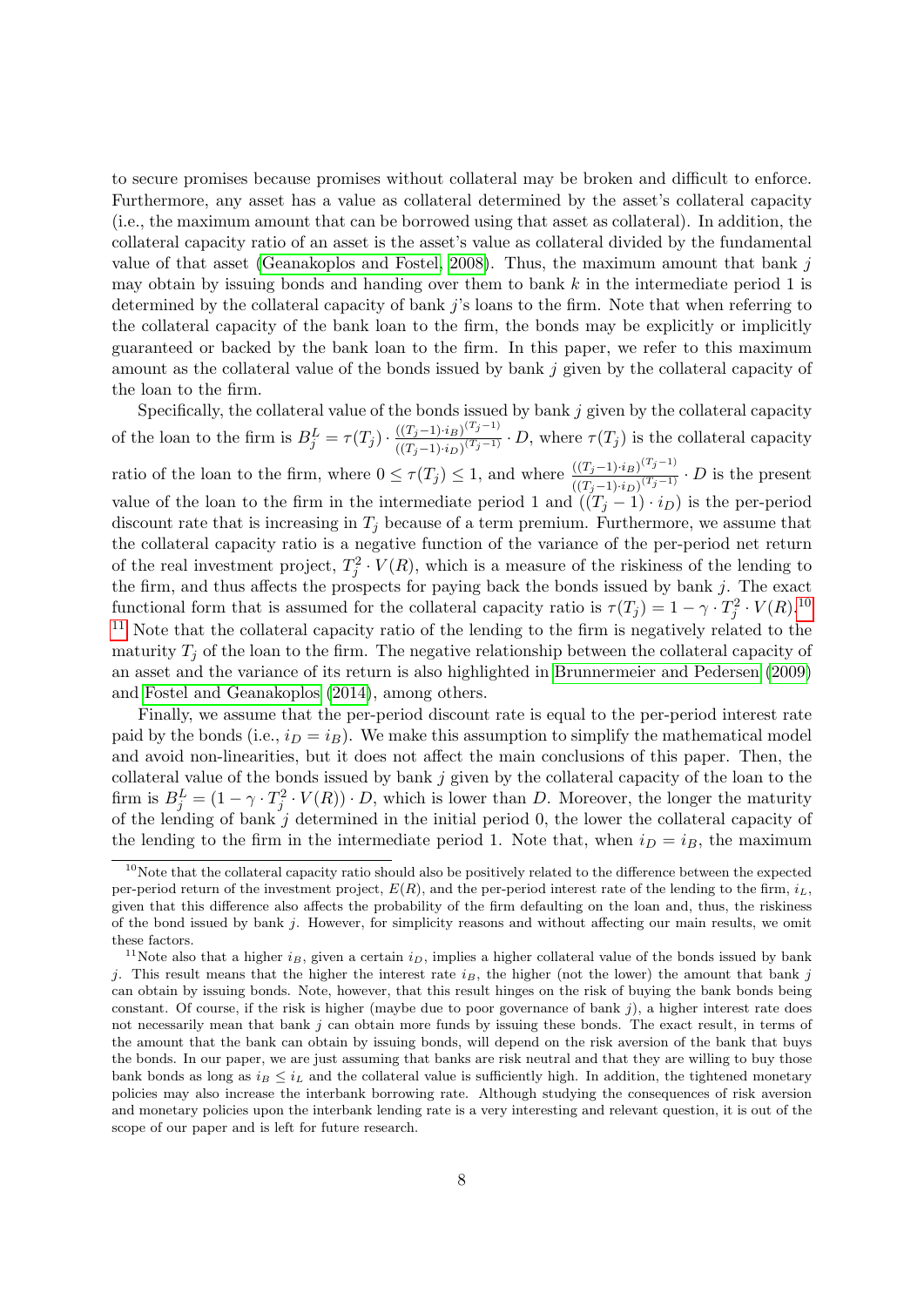to secure promises because promises without collateral may be broken and difficult to enforce. Furthermore, any asset has a value as collateral determined by the asset's collateral capacity (i.e., the maximum amount that can be borrowed using that asset as collateral). In addition, the collateral capacity ratio of an asset is the asset's value as collateral divided by the fundamental value of that asset [\(Geanakoplos and Fostel, 2008\)](#page-26-4). Thus, the maximum amount that bank  $j$ may obtain by issuing bonds and handing over them to bank  $k$  in the intermediate period 1 is determined by the collateral capacity of bank  $j$ 's loans to the firm. Note that when referring to the collateral capacity of the bank loan to the firm, the bonds may be explicitly or implicitly guaranteed or backed by the bank loan to the firm. In this paper, we refer to this maximum amount as the collateral value of the bonds issued by bank  $j$  given by the collateral capacity of the loan to the firm.

Specifically, the collateral value of the bonds issued by bank  $j$  given by the collateral capacity of the loan to the firm is  $B_j^L = \tau(T_j) \cdot \frac{((T_j-1)\cdot i_B)^{(T_j-1)}}{((T_j-1)\cdot i_B)^{(T_j-1)}}$  $\frac{((T_j-1)^{i}B)^{j-j}}{((T_j-1)^{i}D)^{(T_j-1)}}$   $\cdot D$ , where  $\tau(T_j)$  is the collateral capacity ratio of the loan to the firm, where  $0 \leq \tau(T_j) \leq 1$ , and where  $\frac{((T_j-1)\cdot i_B)^{(T_j-1)}}{((T_j-1)\cdot i_S)(T_j-1)}$  $\frac{((T_j-1)\cdot i_B)^{N-j}}{((T_j-1)\cdot i_D)^{(T_j-1)}}$  · D is the present value of the loan to the firm in the intermediate period 1 and  $((T_i - 1) \cdot i_D)$  is the per-period discount rate that is increasing in  $T_i$  because of a term premium. Furthermore, we assume that the collateral capacity ratio is a negative function of the variance of the per-period net return of the real investment project,  $T_j^2 \cdot V(R)$ , which is a measure of the riskiness of the lending to the firm, and thus affects the prospects for paying back the bonds issued by bank  $j$ . The exact functional form that is assumed for the collateral capacity ratio is  $\tau(T_j) = 1 - \gamma \cdot T_j^2 \cdot V(R)$ .<sup>[10](#page-0-0)</sup> <sup>[11](#page-0-0)</sup> Note that the collateral capacity ratio of the lending to the firm is negatively related to the maturity  $T_i$  of the loan to the firm. The negative relationship between the collateral capacity of an asset and the variance of its return is also highlighted in [Brunnermeier and Pedersen](#page-26-3) [\(2009\)](#page-26-3) and [Fostel and Geanakoplos](#page-26-10) [\(2014\)](#page-26-10), among others.

Finally, we assume that the per-period discount rate is equal to the per-period interest rate paid by the bonds (i.e.,  $i_D = i_B$ ). We make this assumption to simplify the mathematical model and avoid non-linearities, but it does not affect the main conclusions of this paper. Then, the collateral value of the bonds issued by bank j given by the collateral capacity of the loan to the firm is  $B_j^L = (1 - \gamma \cdot T_j^2 \cdot V(R)) \cdot D$ , which is lower than D. Moreover, the longer the maturity of the lending of bank  $j$  determined in the initial period  $0$ , the lower the collateral capacity of the lending to the firm in the intermediate period 1. Note that, when  $i_D = i_B$ , the maximum

 $10$ Note that the collateral capacity ratio should also be positively related to the difference between the expected per-period return of the investment project,  $E(R)$ , and the per-period interest rate of the lending to the firm,  $i_L$ , given that this difference also affects the probability of the firm defaulting on the loan and, thus, the riskiness of the bond issued by bank j. However, for simplicity reasons and without affecting our main results, we omit these factors.

<sup>&</sup>lt;sup>11</sup>Note also that a higher  $i_B$ , given a certain  $i_D$ , implies a higher collateral value of the bonds issued by bank j. This result means that the higher the interest rate  $i_B$ , the higher (not the lower) the amount that bank j can obtain by issuing bonds. Note, however, that this result hinges on the risk of buying the bank bonds being constant. Of course, if the risk is higher (maybe due to poor governance of bank  $j$ ), a higher interest rate does not necessarily mean that bank  $j$  can obtain more funds by issuing these bonds. The exact result, in terms of the amount that the bank can obtain by issuing bonds, will depend on the risk aversion of the bank that buys the bonds. In our paper, we are just assuming that banks are risk neutral and that they are willing to buy those bank bonds as long as  $i_B \leq i_L$  and the collateral value is sufficiently high. In addition, the tightened monetary policies may also increase the interbank borrowing rate. Although studying the consequences of risk aversion and monetary policies upon the interbank lending rate is a very interesting and relevant question, it is out of the scope of our paper and is left for future research.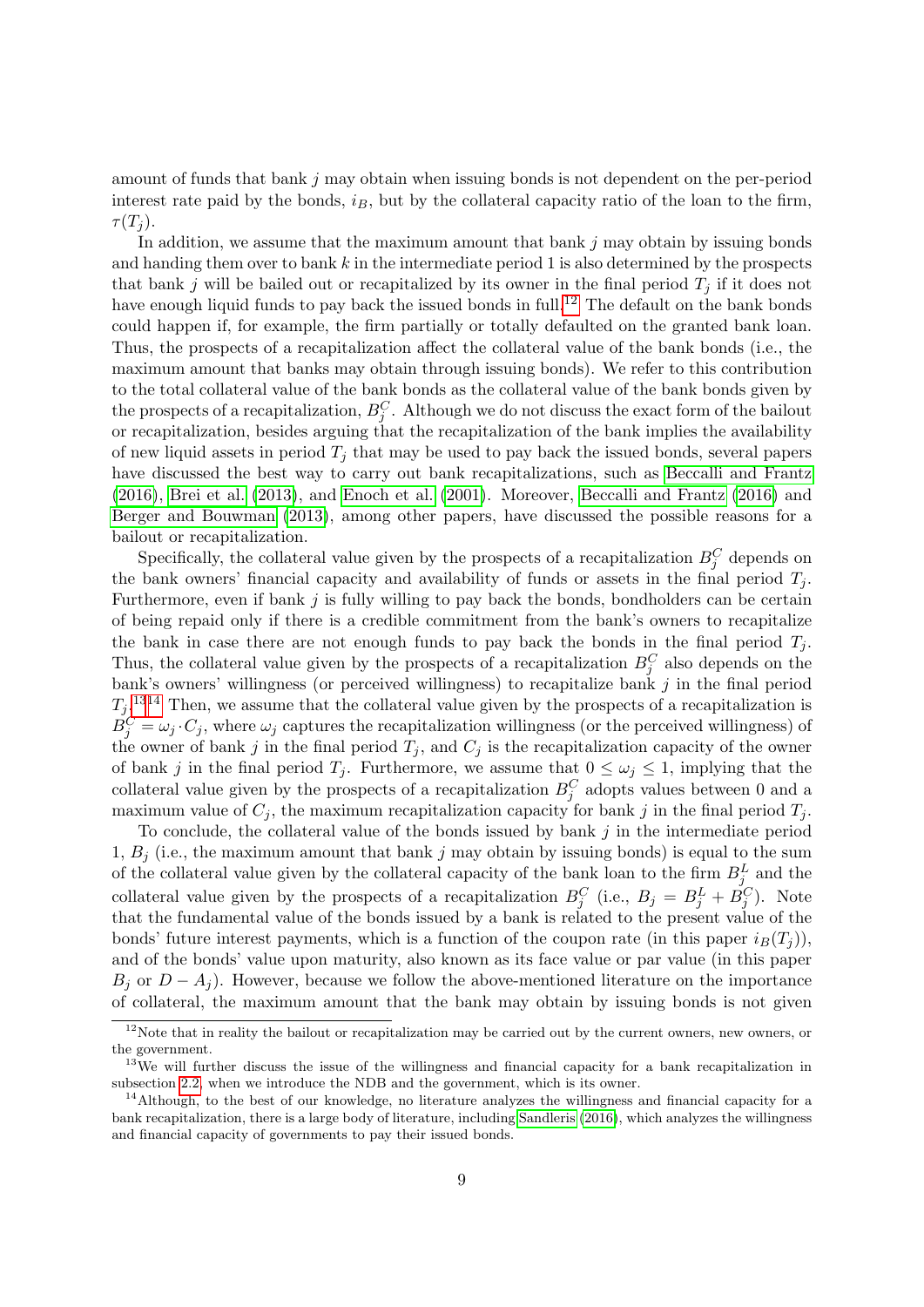amount of funds that bank  $j$  may obtain when issuing bonds is not dependent on the per-period interest rate paid by the bonds,  $i_B$ , but by the collateral capacity ratio of the loan to the firm,  $\tau(T_i)$ .

In addition, we assume that the maximum amount that bank j may obtain by issuing bonds and handing them over to bank  $k$  in the intermediate period 1 is also determined by the prospects that bank j will be bailed out or recapitalized by its owner in the final period  $T_i$  if it does not have enough liquid funds to pay back the issued bonds in full.<sup>[12](#page-0-0)</sup> The default on the bank bonds could happen if, for example, the firm partially or totally defaulted on the granted bank loan. Thus, the prospects of a recapitalization affect the collateral value of the bank bonds (i.e., the maximum amount that banks may obtain through issuing bonds). We refer to this contribution to the total collateral value of the bank bonds as the collateral value of the bank bonds given by the prospects of a recapitalization,  $B_j^C$ . Although we do not discuss the exact form of the bailout or recapitalization, besides arguing that the recapitalization of the bank implies the availability of new liquid assets in period  $T_i$  that may be used to pay back the issued bonds, several papers have discussed the best way to carry out bank recapitalizations, such as [Beccalli and Frantz](#page-25-9) [\(2016\)](#page-25-9), [Brei et al.](#page-25-10) [\(2013\)](#page-25-10), and [Enoch et al.](#page-26-11) [\(2001\)](#page-26-11). Moreover, [Beccalli and Frantz](#page-25-9) [\(2016\)](#page-25-9) and [Berger and Bouwman](#page-25-11) [\(2013\)](#page-25-11), among other papers, have discussed the possible reasons for a bailout or recapitalization.

Specifically, the collateral value given by the prospects of a recapitalization  $B_j^C$  depends on the bank owners' financial capacity and availability of funds or assets in the final period  $T_i$ . Furthermore, even if bank j is fully willing to pay back the bonds, bondholders can be certain of being repaid only if there is a credible commitment from the bank's owners to recapitalize the bank in case there are not enough funds to pay back the bonds in the final period  $T_i$ . Thus, the collateral value given by the prospects of a recapitalization  $B_j^C$  also depends on the bank's owners' willingness (or perceived willingness) to recapitalize bank  $j$  in the final period  $T_j$ .<sup>[1314](#page-0-0)</sup> Then, we assume that the collateral value given by the prospects of a recapitalization is  $B_j^C = \omega_j \cdot C_j$ , where  $\omega_j$  captures the recapitalization willingness (or the perceived willingness) of the owner of bank j in the final period  $T_j$ , and  $C_j$  is the recapitalization capacity of the owner of bank j in the final period  $T_j$ . Furthermore, we assume that  $0 \leq \omega_j \leq 1$ , implying that the collateral value given by the prospects of a recapitalization  $B_j^C$  adopts values between 0 and a maximum value of  $C_i$ , the maximum recapitalization capacity for bank j in the final period  $T_i$ .

To conclude, the collateral value of the bonds issued by bank  $j$  in the intermediate period 1,  $B_i$  (i.e., the maximum amount that bank j may obtain by issuing bonds) is equal to the sum of the collateral value given by the collateral capacity of the bank loan to the firm  $B_j^L$  and the collateral value given by the prospects of a recapitalization  $B_j^C$  (i.e.,  $B_j = B_j^L + B_j^C$ ). Note that the fundamental value of the bonds issued by a bank is related to the present value of the bonds' future interest payments, which is a function of the coupon rate (in this paper  $i_B(T_i)$ ), and of the bonds' value upon maturity, also known as its face value or par value (in this paper  $B_i$  or  $D - A_i$ ). However, because we follow the above-mentioned literature on the importance of collateral, the maximum amount that the bank may obtain by issuing bonds is not given

<sup>&</sup>lt;sup>12</sup>Note that in reality the bailout or recapitalization may be carried out by the current owners, new owners, or the government.

 $13\text{We will further discuss the issue of the willingness and financial capacity for a bank recapitalization in }$ subsection [2.2,](#page-11-0) when we introduce the NDB and the government, which is its owner.

<sup>&</sup>lt;sup>14</sup>Although, to the best of our knowledge, no literature analyzes the willingness and financial capacity for a bank recapitalization, there is a large body of literature, including [Sandleris](#page-27-12) [\(2016\)](#page-27-12), which analyzes the willingness and financial capacity of governments to pay their issued bonds.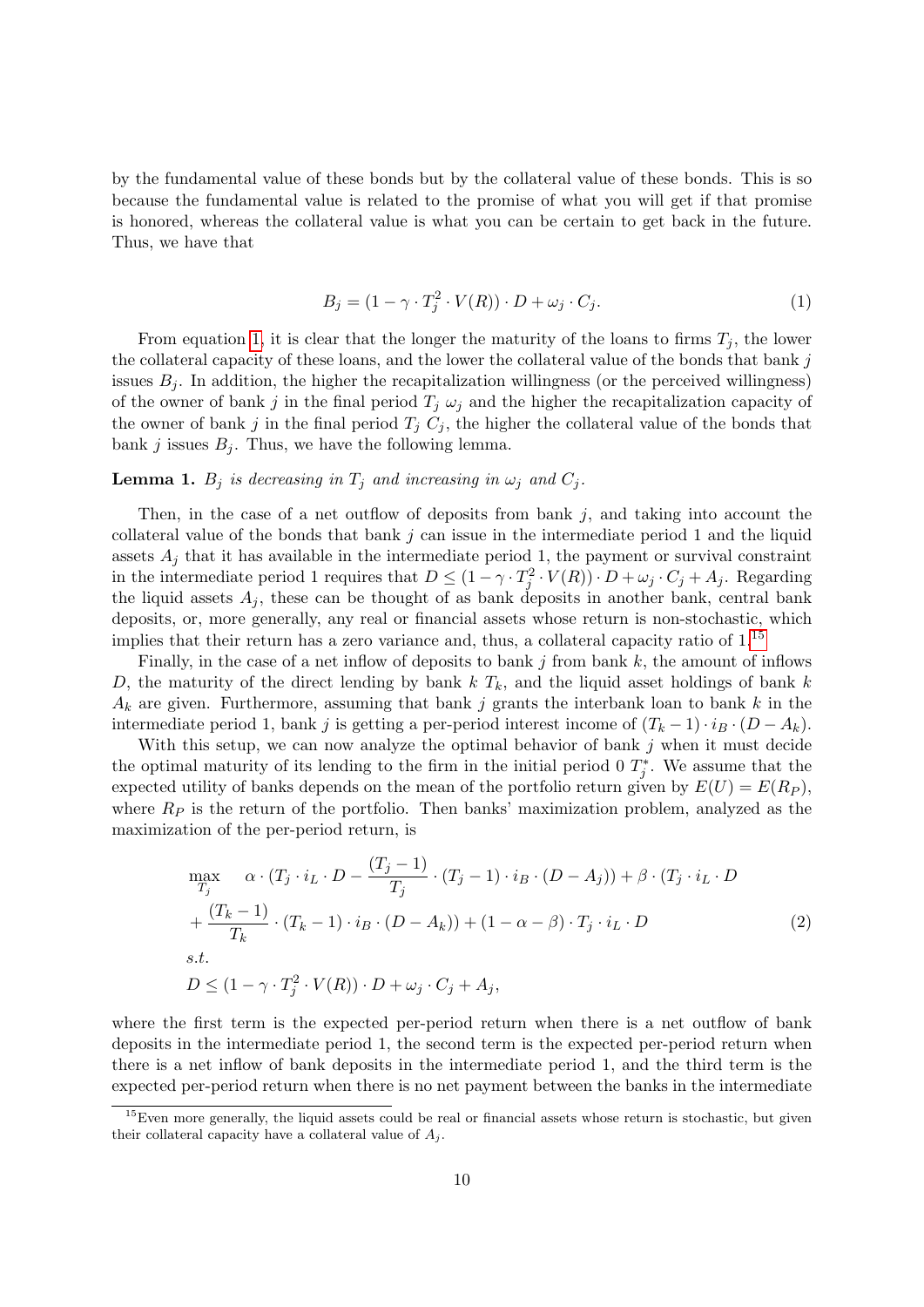by the fundamental value of these bonds but by the collateral value of these bonds. This is so because the fundamental value is related to the promise of what you will get if that promise is honored, whereas the collateral value is what you can be certain to get back in the future. Thus, we have that

<span id="page-9-0"></span>
$$
B_j = (1 - \gamma \cdot T_j^2 \cdot V(R)) \cdot D + \omega_j \cdot C_j. \tag{1}
$$

From equation [1,](#page-9-0) it is clear that the longer the maturity of the loans to firms  $T_i$ , the lower the collateral capacity of these loans, and the lower the collateral value of the bonds that bank  $j$ issues  $B_i$ . In addition, the higher the recapitalization willingness (or the perceived willingness) of the owner of bank j in the final period  $T_i \omega_i$  and the higher the recapitalization capacity of the owner of bank j in the final period  $T_j$   $C_j$ , the higher the collateral value of the bonds that bank j issues  $B_j$ . Thus, we have the following lemma.

### **Lemma 1.**  $B_j$  is decreasing in  $T_j$  and increasing in  $\omega_j$  and  $C_j$ .

Then, in the case of a net outflow of deposits from bank  $j$ , and taking into account the collateral value of the bonds that bank  $j$  can issue in the intermediate period 1 and the liquid assets  $A_i$  that it has available in the intermediate period 1, the payment or survival constraint in the intermediate period 1 requires that  $D \leq (1 - \gamma \cdot T_j^2 \cdot V(R)) \cdot D + \omega_j \cdot C_j + A_j$ . Regarding the liquid assets  $A_j$ , these can be thought of as bank deposits in another bank, central bank deposits, or, more generally, any real or financial assets whose return is non-stochastic, which implies that their return has a zero variance and, thus, a collateral capacity ratio of 1.<sup>[15](#page-0-0)</sup>

Finally, in the case of a net inflow of deposits to bank j from bank k, the amount of inflows D, the maturity of the direct lending by bank  $k T_k$ , and the liquid asset holdings of bank k  $A_k$  are given. Furthermore, assuming that bank j grants the interbank loan to bank k in the intermediate period 1, bank j is getting a per-period interest income of  $(T_k - 1) \cdot i_B \cdot (D - A_k)$ .

With this setup, we can now analyze the optimal behavior of bank  $j$  when it must decide the optimal maturity of its lending to the firm in the initial period 0  $T_j^*$ . We assume that the expected utility of banks depends on the mean of the portfolio return given by  $E(U) = E(R_P)$ , where  $R_P$  is the return of the portfolio. Then banks' maximization problem, analyzed as the maximization of the per-period return, is

<span id="page-9-1"></span>
$$
\max_{T_j} \alpha \cdot (T_j \cdot i_L \cdot D - \frac{(T_j - 1)}{T_j} \cdot (T_j - 1) \cdot i_B \cdot (D - A_j)) + \beta \cdot (T_j \cdot i_L \cdot D + \frac{(T_k - 1)}{T_k} \cdot (T_k - 1) \cdot i_B \cdot (D - A_k)) + (1 - \alpha - \beta) \cdot T_j \cdot i_L \cdot D s.t.
$$
\n
$$
D \leq (1 - \gamma \cdot T_j^2 \cdot V(R)) \cdot D + \omega_j \cdot C_j + A_j,
$$
\n(2)

where the first term is the expected per-period return when there is a net outflow of bank deposits in the intermediate period 1, the second term is the expected per-period return when there is a net inflow of bank deposits in the intermediate period 1, and the third term is the expected per-period return when there is no net payment between the banks in the intermediate

<sup>&</sup>lt;sup>15</sup>Even more generally, the liquid assets could be real or financial assets whose return is stochastic, but given their collateral capacity have a collateral value of  $A_i$ .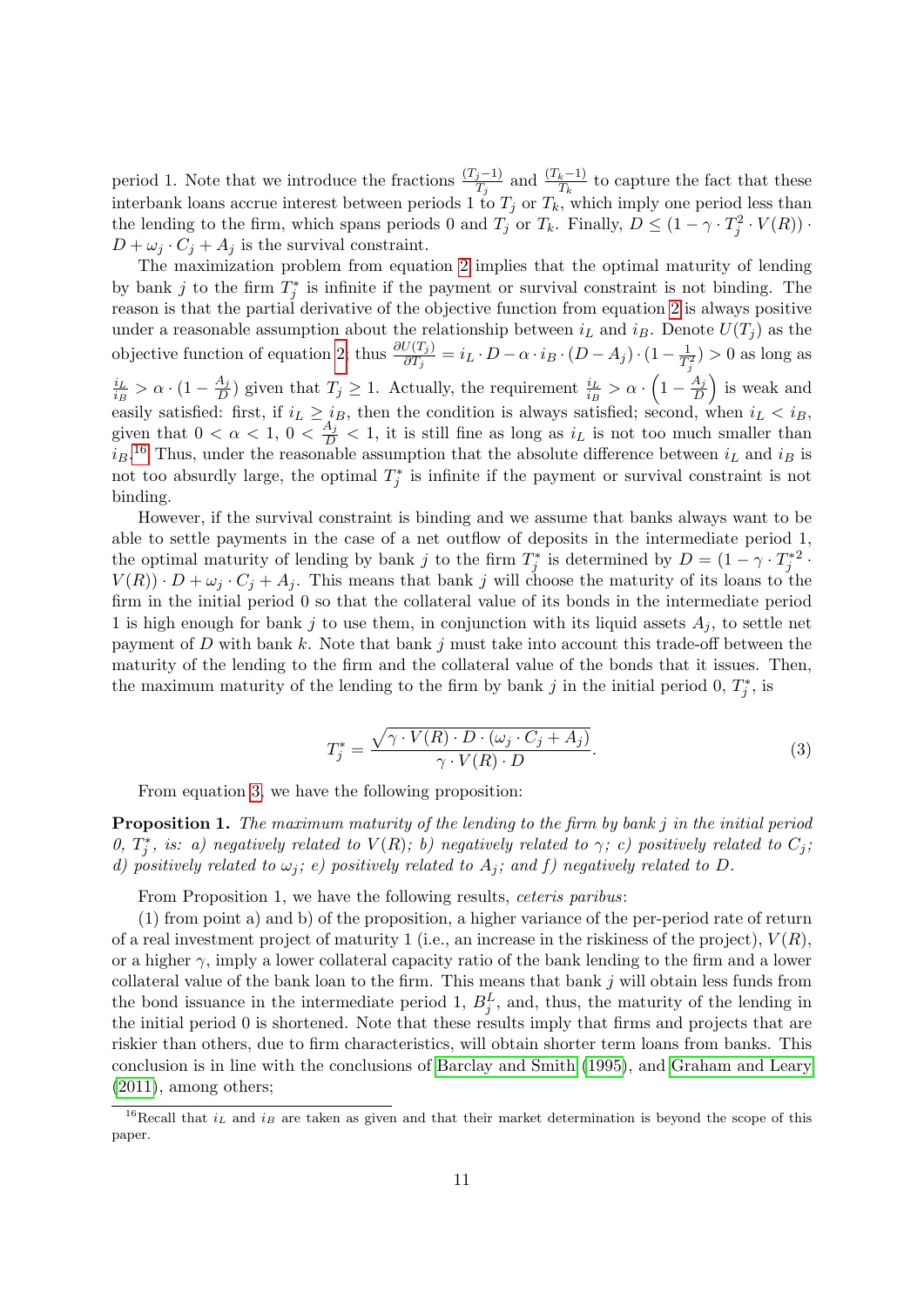period 1. Note that we introduce the fractions  $\frac{(T_j-1)}{T_j}$  and  $\frac{(T_k-1)}{T_k}$  to capture the fact that these interbank loans accrue interest between periods 1 to  $T_j$  or  $T_k$ , which imply one period less than the lending to the firm, which spans periods 0 and  $T_j$  or  $T_k$ . Finally,  $D \leq (1 - \gamma \cdot T_j^2 \cdot V(R))$ .  $D + \omega_j \cdot C_j + A_j$  is the survival constraint.

The maximization problem from equation [2](#page-9-1) implies that the optimal maturity of lending by bank j to the firm  $T_j^*$  is infinite if the payment or survival constraint is not binding. The reason is that the partial derivative of the objective function from equation [2](#page-9-1) is always positive under a reasonable assumption about the relationship between  $i_L$  and  $i_B$ . Denote  $U(T_j)$  as the objective function of equation [2;](#page-9-1) thus  $\frac{\partial U(T_j)}{\partial T_j} = i_L \cdot D - \alpha \cdot i_B \cdot (D - A_j) \cdot (1 - \frac{1}{T_j})$  $\frac{1}{T_j^2}$ ) > 0 as long as  $i_L$  $\frac{i_L}{i_B} > \alpha \cdot (1 - \frac{A_j}{D})$  $\frac{A_j}{D}$ ) given that  $T_j \geq 1$ . Actually, the requirement  $\frac{i_L}{i_B} > \alpha \cdot \left(1 - \frac{A_j}{D}\right)$  $\left(\frac{A_j}{D}\right)$  is weak and easily satisfied: first, if  $i_L \geq i_B$ , then the condition is always satisfied; second, when  $i_L < i_B$ , given that  $0 < \alpha < 1$ ,  $0 < \frac{A_j}{D} < 1$ , it is still fine as long as  $i_L$  is not too much smaller than  $i_B$ <sup>[16](#page-0-0)</sup> Thus, under the reasonable assumption that the absolute difference between  $i_L$  and  $i_B$  is not too absurdly large, the optimal  $T_j^*$  is infinite if the payment or survival constraint is not binding.

However, if the survival constraint is binding and we assume that banks always want to be able to settle payments in the case of a net outflow of deposits in the intermediate period 1, the optimal maturity of lending by bank j to the firm  $T_j^*$  is determined by  $D = (1 - \gamma \cdot T_j^{*2} \cdot$  $V(R)$ ) ·  $D + \omega_j \cdot C_j + A_j$ . This means that bank j will choose the maturity of its loans to the firm in the initial period 0 so that the collateral value of its bonds in the intermediate period 1 is high enough for bank j to use them, in conjunction with its liquid assets  $A_j$ , to settle net payment of D with bank  $k$ . Note that bank  $j$  must take into account this trade-off between the maturity of the lending to the firm and the collateral value of the bonds that it issues. Then, the maximum maturity of the lending to the firm by bank j in the initial period  $0, T_j^*$ , is

<span id="page-10-0"></span>
$$
T_j^* = \frac{\sqrt{\gamma \cdot V(R) \cdot D \cdot (\omega_j \cdot C_j + A_j)}}{\gamma \cdot V(R) \cdot D}.
$$
\n(3)

From equation [3,](#page-10-0) we have the following proposition:

<span id="page-10-1"></span>**Proposition 1.** The maximum maturity of the lending to the firm by bank  $j$  in the initial period 0,  $T_j^*$ , is: a) negatively related to  $V(R)$ ; b) negatively related to  $\gamma$ ; c) positively related to  $C_j$ ; d) positively related to  $\omega_i$ ; e) positively related to A<sub>i</sub>; and f) negatively related to D.

From Proposition 1, we have the following results, ceteris paribus:

(1) from point a) and b) of the proposition, a higher variance of the per-period rate of return of a real investment project of maturity 1 (i.e., an increase in the riskiness of the project),  $V(R)$ , or a higher  $\gamma$ , imply a lower collateral capacity ratio of the bank lending to the firm and a lower collateral value of the bank loan to the firm. This means that bank  $j$  will obtain less funds from the bond issuance in the intermediate period 1,  $B_j^L$ , and, thus, the maturity of the lending in the initial period 0 is shortened. Note that these results imply that firms and projects that are riskier than others, due to firm characteristics, will obtain shorter term loans from banks. This conclusion is in line with the conclusions of [Barclay and Smith](#page-25-12) [\(1995\)](#page-25-12), and [Graham and Leary](#page-27-9) [\(2011\)](#page-27-9), among others;

<sup>&</sup>lt;sup>16</sup>Recall that  $i_L$  and  $i_B$  are taken as given and that their market determination is beyond the scope of this paper.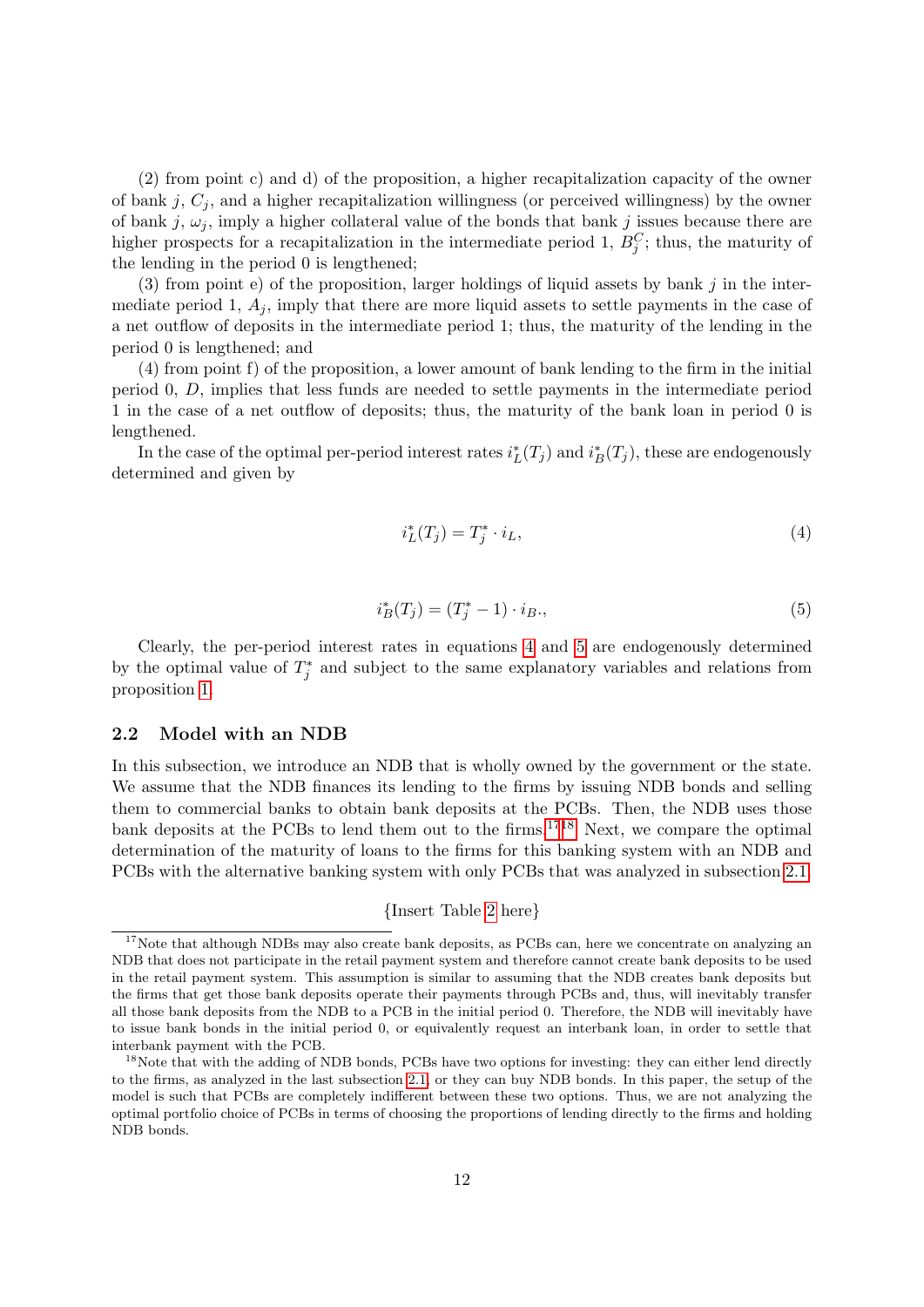(2) from point c) and d) of the proposition, a higher recapitalization capacity of the owner of bank j,  $C_i$ , and a higher recapitalization willingness (or perceived willingness) by the owner of bank j,  $\omega_j$ , imply a higher collateral value of the bonds that bank j issues because there are higher prospects for a recapitalization in the intermediate period 1,  $B_j^C$ ; thus, the maturity of the lending in the period 0 is lengthened;

 $(3)$  from point e) of the proposition, larger holdings of liquid assets by bank j in the intermediate period 1,  $A_i$ , imply that there are more liquid assets to settle payments in the case of a net outflow of deposits in the intermediate period 1; thus, the maturity of the lending in the period 0 is lengthened; and

(4) from point f) of the proposition, a lower amount of bank lending to the firm in the initial period 0, D, implies that less funds are needed to settle payments in the intermediate period 1 in the case of a net outflow of deposits; thus, the maturity of the bank loan in period 0 is lengthened.

In the case of the optimal per-period interest rates  $i_L^*(T_j)$  and  $i_B^*(T_j)$ , these are endogenously determined and given by

<span id="page-11-2"></span><span id="page-11-1"></span>
$$
i_L^*(T_j) = T_j^* \cdot i_L,\tag{4}
$$

$$
i_B^*(T_j) = (T_j^* - 1) \cdot i_B,
$$
\n(5)

Clearly, the per-period interest rates in equations [4](#page-11-1) and [5](#page-11-2) are endogenously determined by the optimal value of  $T_j^*$  and subject to the same explanatory variables and relations from proposition [1.](#page-10-1)

#### <span id="page-11-0"></span>2.2 Model with an NDB

In this subsection, we introduce an NDB that is wholly owned by the government or the state. We assume that the NDB finances its lending to the firms by issuing NDB bonds and selling them to commercial banks to obtain bank deposits at the PCBs. Then, the NDB uses those bank deposits at the PCBs to lend them out to the firms.[1718](#page-0-0) Next, we compare the optimal determination of the maturity of loans to the firms for this banking system with an NDB and PCBs with the alternative banking system with only PCBs that was analyzed in subsection [2.1.](#page-3-1)

### {Insert Table [2](#page-31-0) here}

<sup>&</sup>lt;sup>17</sup>Note that although NDBs may also create bank deposits, as PCBs can, here we concentrate on analyzing an NDB that does not participate in the retail payment system and therefore cannot create bank deposits to be used in the retail payment system. This assumption is similar to assuming that the NDB creates bank deposits but the firms that get those bank deposits operate their payments through PCBs and, thus, will inevitably transfer all those bank deposits from the NDB to a PCB in the initial period 0. Therefore, the NDB will inevitably have to issue bank bonds in the initial period 0, or equivalently request an interbank loan, in order to settle that interbank payment with the PCB.

<sup>&</sup>lt;sup>18</sup>Note that with the adding of NDB bonds, PCBs have two options for investing: they can either lend directly to the firms, as analyzed in the last subsection [2.1,](#page-3-1) or they can buy NDB bonds. In this paper, the setup of the model is such that PCBs are completely indifferent between these two options. Thus, we are not analyzing the optimal portfolio choice of PCBs in terms of choosing the proportions of lending directly to the firms and holding NDB bonds.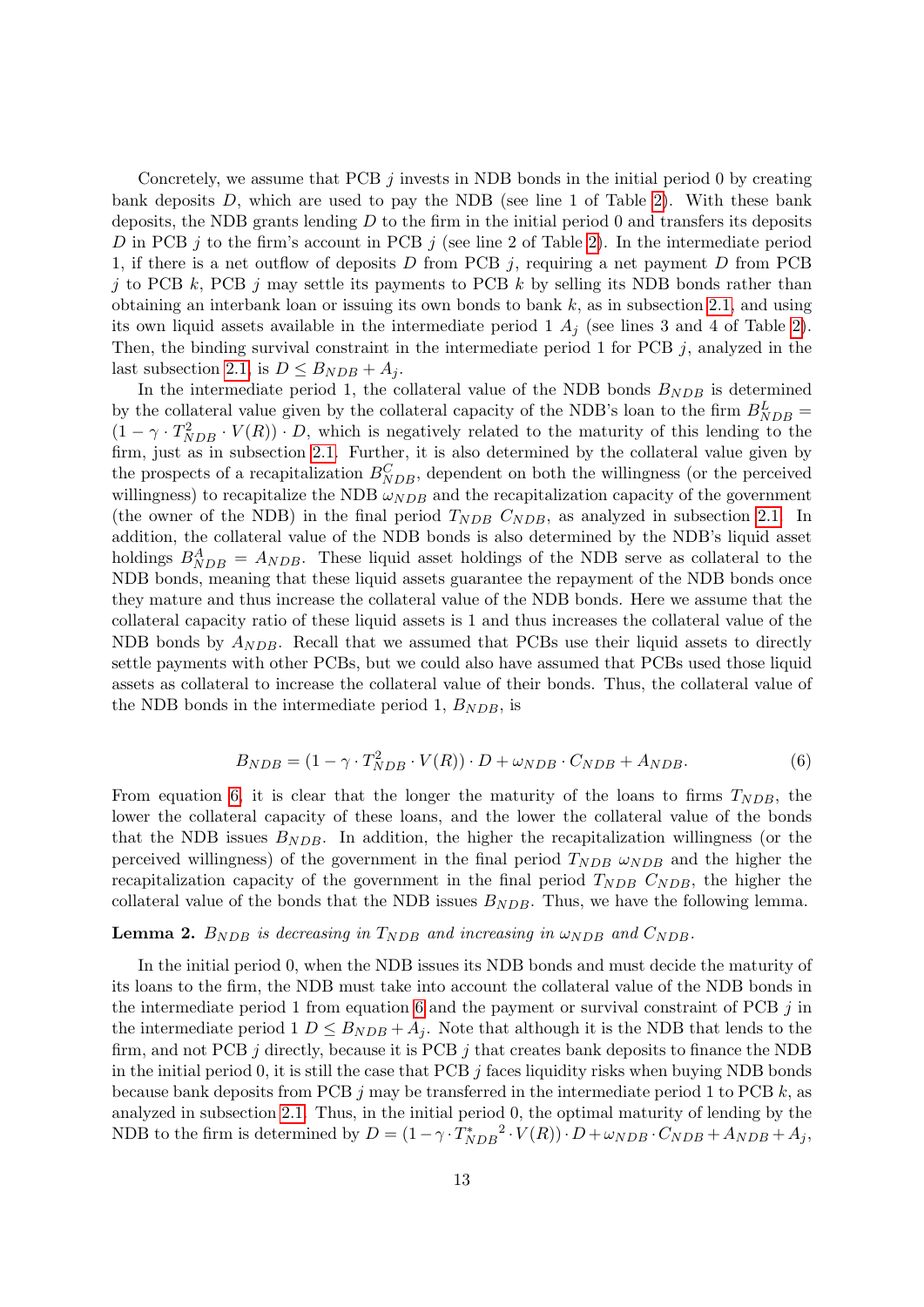Concretely, we assume that PCB  $j$  invests in NDB bonds in the initial period 0 by creating bank deposits  $D$ , which are used to pay the NDB (see line 1 of Table [2\)](#page-31-0). With these bank deposits, the NDB grants lending  $D$  to the firm in the initial period 0 and transfers its deposits D in PCB j to the firm's account in PCB j (see line 2 of Table [2\)](#page-31-0). In the intermediate period 1, if there is a net outflow of deposits  $D$  from PCB j, requiring a net payment  $D$  from PCB j to PCB k, PCB j may settle its payments to PCB k by selling its NDB bonds rather than obtaining an interbank loan or issuing its own bonds to bank  $k$ , as in subsection [2.1,](#page-3-1) and using its own liquid assets available in the intermediate period 1  $A_j$  (see lines 3 and 4 of Table [2\)](#page-31-0). Then, the binding survival constraint in the intermediate period 1 for PCB j, analyzed in the last subsection [2.1,](#page-3-1) is  $D \leq B_{NDB} + A_j$ .

In the intermediate period 1, the collateral value of the NDB bonds  $B_{NDB}$  is determined by the collateral value given by the collateral capacity of the NDB's loan to the firm  $B_{NDB}^L$  =  $(1 - \gamma \cdot T_{NDB}^2 \cdot V(R)) \cdot D$ , which is negatively related to the maturity of this lending to the firm, just as in subsection [2.1.](#page-3-1) Further, it is also determined by the collateral value given by the prospects of a recapitalization  $B_{NDB}^C$ , dependent on both the willingness (or the perceived willingness) to recapitalize the NDB  $\omega_{NDB}$  and the recapitalization capacity of the government (the owner of the NDB) in the final period  $T_{NDB}$   $C_{NDB}$ , as analyzed in subsection [2.1.](#page-3-1) In addition, the collateral value of the NDB bonds is also determined by the NDB's liquid asset holdings  $B_{NDB}^A = A_{NDB}$ . These liquid asset holdings of the NDB serve as collateral to the NDB bonds, meaning that these liquid assets guarantee the repayment of the NDB bonds once they mature and thus increase the collateral value of the NDB bonds. Here we assume that the collateral capacity ratio of these liquid assets is 1 and thus increases the collateral value of the NDB bonds by  $A_{NDB}$ . Recall that we assumed that PCBs use their liquid assets to directly settle payments with other PCBs, but we could also have assumed that PCBs used those liquid assets as collateral to increase the collateral value of their bonds. Thus, the collateral value of the NDB bonds in the intermediate period 1,  $B_{NDB}$ , is

<span id="page-12-0"></span>
$$
B_{NDB} = (1 - \gamma \cdot T_{NDB}^2 \cdot V(R)) \cdot D + \omega_{NDB} \cdot C_{NDB} + A_{NDB}.
$$
\n(6)

From equation [6,](#page-12-0) it is clear that the longer the maturity of the loans to firms  $T_{NDB}$ , the lower the collateral capacity of these loans, and the lower the collateral value of the bonds that the NDB issues  $B_{NDB}$ . In addition, the higher the recapitalization willingness (or the perceived willingness) of the government in the final period  $T_{NDB} \omega_{NDB}$  and the higher the recapitalization capacity of the government in the final period  $T_{NDB}$   $C_{NDB}$ , the higher the collateral value of the bonds that the NDB issues  $B_{NDB}$ . Thus, we have the following lemma.

#### **Lemma 2.**  $B_{NDB}$  is decreasing in  $T_{NDB}$  and increasing in  $\omega_{NDB}$  and  $C_{NDB}$ .

In the initial period 0, when the NDB issues its NDB bonds and must decide the maturity of its loans to the firm, the NDB must take into account the collateral value of the NDB bonds in the intermediate period 1 from equation [6](#page-12-0) and the payment or survival constraint of PCB  $j$  in the intermediate period  $1 D \leq B_{NDB} + A_i$ . Note that although it is the NDB that lends to the firm, and not PCB  $j$  directly, because it is PCB  $j$  that creates bank deposits to finance the NDB in the initial period 0, it is still the case that PCB  $j$  faces liquidity risks when buying NDB bonds because bank deposits from PCB  $j$  may be transferred in the intermediate period 1 to PCB  $k$ , as analyzed in subsection [2.1.](#page-3-1) Thus, in the initial period 0, the optimal maturity of lending by the NDB to the firm is determined by  $D = (1 - \gamma \cdot T_{NDB}^*^2 \cdot V(R)) \cdot D + \omega_{NDB} \cdot C_{NDB} + A_{NDB} + A_j$ ,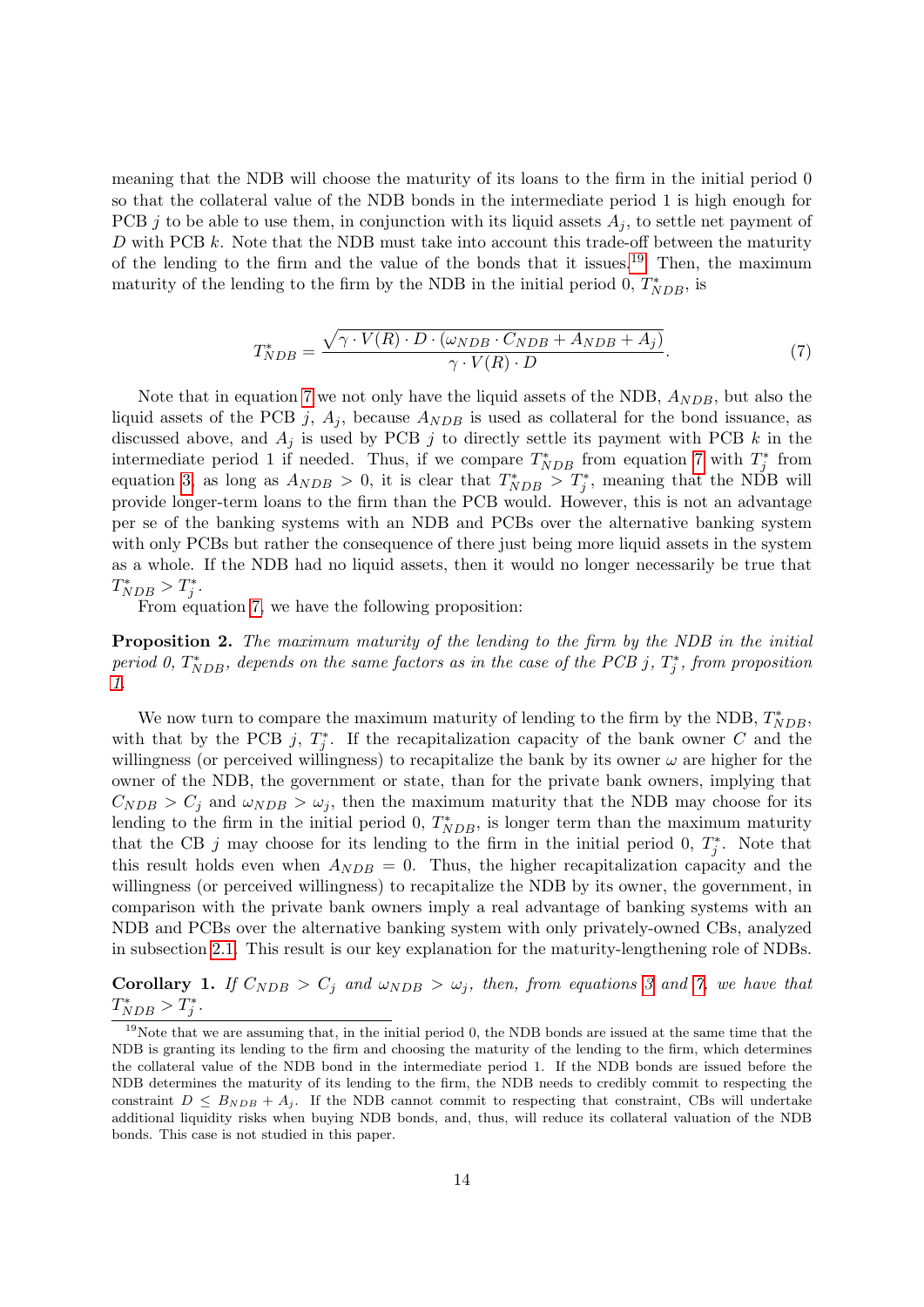meaning that the NDB will choose the maturity of its loans to the firm in the initial period 0 so that the collateral value of the NDB bonds in the intermediate period 1 is high enough for PCB j to be able to use them, in conjunction with its liquid assets  $A_i$ , to settle net payment of D with PCB  $k$ . Note that the NDB must take into account this trade-off between the maturity of the lending to the firm and the value of the bonds that it issues.<sup>[19](#page-0-0)</sup> Then, the maximum maturity of the lending to the firm by the NDB in the initial period 0,  $T^*_{NDB}$ , is

<span id="page-13-0"></span>
$$
T_{NDB}^* = \frac{\sqrt{\gamma \cdot V(R) \cdot D \cdot (\omega_{NDB} \cdot C_{NDB} + A_{NDB} + A_j)}}{\gamma \cdot V(R) \cdot D}.
$$
 (7)

Note that in equation [7](#page-13-0) we not only have the liquid assets of the NDB,  $A_{NDB}$ , but also the liquid assets of the PCB j,  $A_j$ , because  $A_{NDB}$  is used as collateral for the bond issuance, as discussed above, and  $A_j$  is used by PCB j to directly settle its payment with PCB k in the intermediate period 1 if needed. Thus, if we compare  $T^*_{NDB}$  from equation [7](#page-13-0) with  $T^*_j$  from equation [3,](#page-10-0) as long as  $A_{NDB} > 0$ , it is clear that  $T^*_{NDB} > T^*_j$ , meaning that the NDB will provide longer-term loans to the firm than the PCB would. However, this is not an advantage per se of the banking systems with an NDB and PCBs over the alternative banking system with only PCBs but rather the consequence of there just being more liquid assets in the system as a whole. If the NDB had no liquid assets, then it would no longer necessarily be true that  $T^*_{NDB} > T^*_j.$ 

From equation [7,](#page-13-0) we have the following proposition:

Proposition 2. The maximum maturity of the lending to the firm by the NDB in the initial period 0,  $T^*_{NDB}$ , depends on the same factors as in the case of the PCB j,  $T^*_j$ , from proposition [1.](#page-10-1)

We now turn to compare the maximum maturity of lending to the firm by the NDB,  $T^*_{NDB}$ , with that by the PCB j,  $T_j^*$ . If the recapitalization capacity of the bank owner C and the willingness (or perceived willingness) to recapitalize the bank by its owner  $\omega$  are higher for the owner of the NDB, the government or state, than for the private bank owners, implying that  $C_{NDB} > C_j$  and  $\omega_{NDB} > \omega_j$ , then the maximum maturity that the NDB may choose for its lending to the firm in the initial period 0,  $T^*_{NDB}$ , is longer term than the maximum maturity that the CB j may choose for its lending to the firm in the initial period 0,  $T_j^*$ . Note that this result holds even when  $A_{NDB} = 0$ . Thus, the higher recapitalization capacity and the willingness (or perceived willingness) to recapitalize the NDB by its owner, the government, in comparison with the private bank owners imply a real advantage of banking systems with an NDB and PCBs over the alternative banking system with only privately-owned CBs, analyzed in subsection [2.1.](#page-3-1) This result is our key explanation for the maturity-lengthening role of NDBs.

Corollary 1. If  $C_{NDB} > C_j$  and  $\omega_{NDB} > \omega_j$ , then, from equations [3](#page-10-0) and [7,](#page-13-0) we have that  $T^*_{NDB} > T^*_j.$ 

<sup>&</sup>lt;sup>19</sup>Note that we are assuming that, in the initial period 0, the NDB bonds are issued at the same time that the NDB is granting its lending to the firm and choosing the maturity of the lending to the firm, which determines the collateral value of the NDB bond in the intermediate period 1. If the NDB bonds are issued before the NDB determines the maturity of its lending to the firm, the NDB needs to credibly commit to respecting the constraint  $D \leq B_{NDB} + A_i$ . If the NDB cannot commit to respecting that constraint, CBs will undertake additional liquidity risks when buying NDB bonds, and, thus, will reduce its collateral valuation of the NDB bonds. This case is not studied in this paper.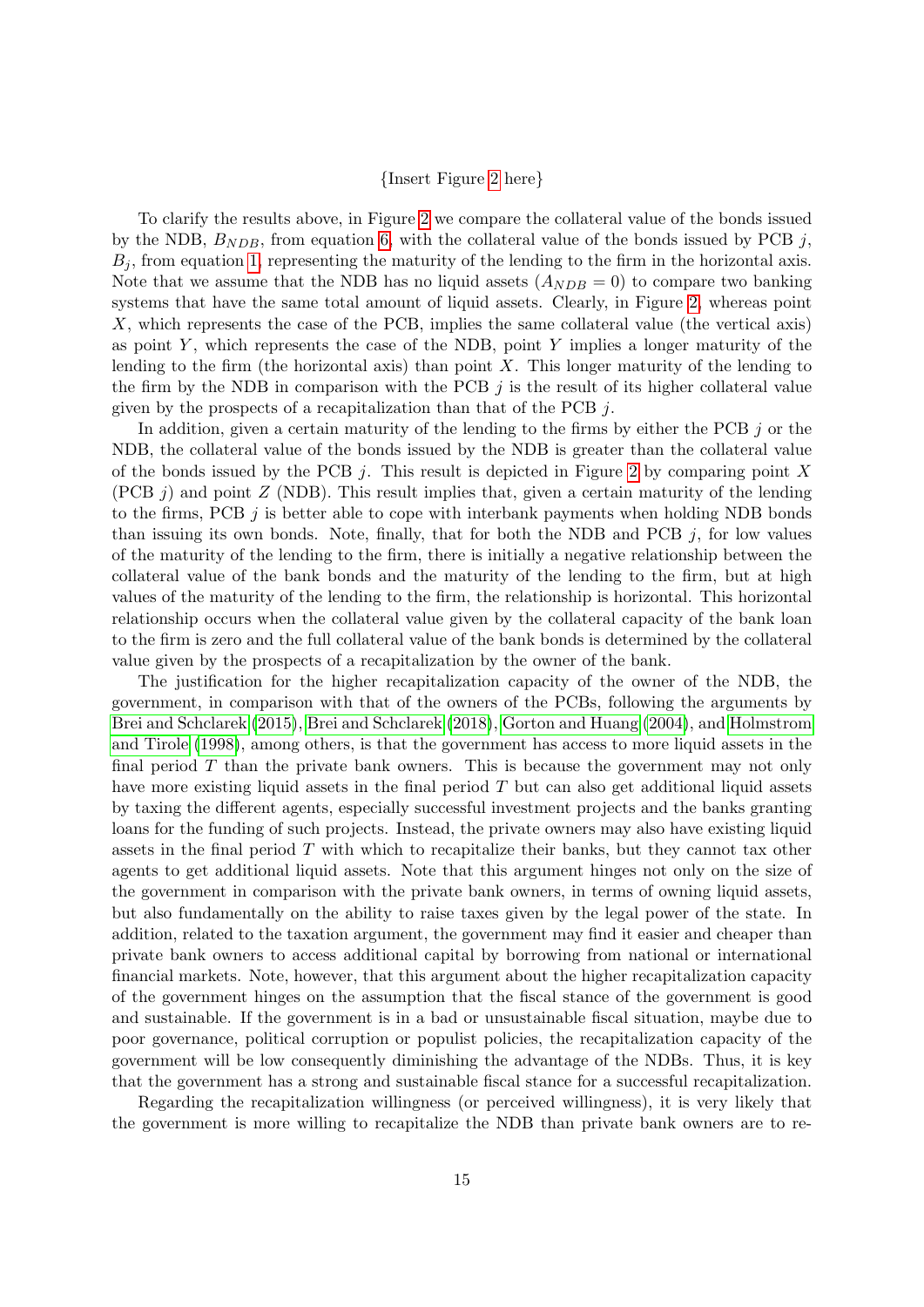#### {Insert Figure [2](#page-32-0) here}

To clarify the results above, in Figure [2](#page-32-0) we compare the collateral value of the bonds issued by the NDB,  $B_{NDB}$ , from equation [6,](#page-12-0) with the collateral value of the bonds issued by PCB j,  $B_j$ , from equation [1,](#page-9-0) representing the maturity of the lending to the firm in the horizontal axis. Note that we assume that the NDB has no liquid assets  $(A_{NDB} = 0)$  to compare two banking systems that have the same total amount of liquid assets. Clearly, in Figure [2,](#page-32-0) whereas point X, which represents the case of the PCB, implies the same collateral value (the vertical axis) as point  $Y$ , which represents the case of the NDB, point  $Y$  implies a longer maturity of the lending to the firm (the horizontal axis) than point  $X$ . This longer maturity of the lending to the firm by the NDB in comparison with the PCB  $j$  is the result of its higher collateral value given by the prospects of a recapitalization than that of the PCB  $j$ .

In addition, given a certain maturity of the lending to the firms by either the PCB j or the NDB, the collateral value of the bonds issued by the NDB is greater than the collateral value of the bonds issued by the PCB j. This result is depicted in Figure [2](#page-32-0) by comparing point  $X$ (PCB  $j$ ) and point  $Z$  (NDB). This result implies that, given a certain maturity of the lending to the firms, PCB  $j$  is better able to cope with interbank payments when holding NDB bonds than issuing its own bonds. Note, finally, that for both the NDB and PCB  $j$ , for low values of the maturity of the lending to the firm, there is initially a negative relationship between the collateral value of the bank bonds and the maturity of the lending to the firm, but at high values of the maturity of the lending to the firm, the relationship is horizontal. This horizontal relationship occurs when the collateral value given by the collateral capacity of the bank loan to the firm is zero and the full collateral value of the bank bonds is determined by the collateral value given by the prospects of a recapitalization by the owner of the bank.

The justification for the higher recapitalization capacity of the owner of the NDB, the government, in comparison with that of the owners of the PCBs, following the arguments by [Brei and Schclarek](#page-25-4) [\(2015\)](#page-25-4), [Brei and Schclarek](#page-26-1) [\(2018\)](#page-26-1), [Gorton and Huang](#page-26-6) [\(2004\)](#page-26-6), and [Holmstrom](#page-27-7) [and Tirole](#page-27-7) [\(1998\)](#page-27-7), among others, is that the government has access to more liquid assets in the final period  $T$  than the private bank owners. This is because the government may not only have more existing liquid assets in the final period T but can also get additional liquid assets by taxing the different agents, especially successful investment projects and the banks granting loans for the funding of such projects. Instead, the private owners may also have existing liquid assets in the final period  $T$  with which to recapitalize their banks, but they cannot tax other agents to get additional liquid assets. Note that this argument hinges not only on the size of the government in comparison with the private bank owners, in terms of owning liquid assets, but also fundamentally on the ability to raise taxes given by the legal power of the state. In addition, related to the taxation argument, the government may find it easier and cheaper than private bank owners to access additional capital by borrowing from national or international financial markets. Note, however, that this argument about the higher recapitalization capacity of the government hinges on the assumption that the fiscal stance of the government is good and sustainable. If the government is in a bad or unsustainable fiscal situation, maybe due to poor governance, political corruption or populist policies, the recapitalization capacity of the government will be low consequently diminishing the advantage of the NDBs. Thus, it is key that the government has a strong and sustainable fiscal stance for a successful recapitalization.

Regarding the recapitalization willingness (or perceived willingness), it is very likely that the government is more willing to recapitalize the NDB than private bank owners are to re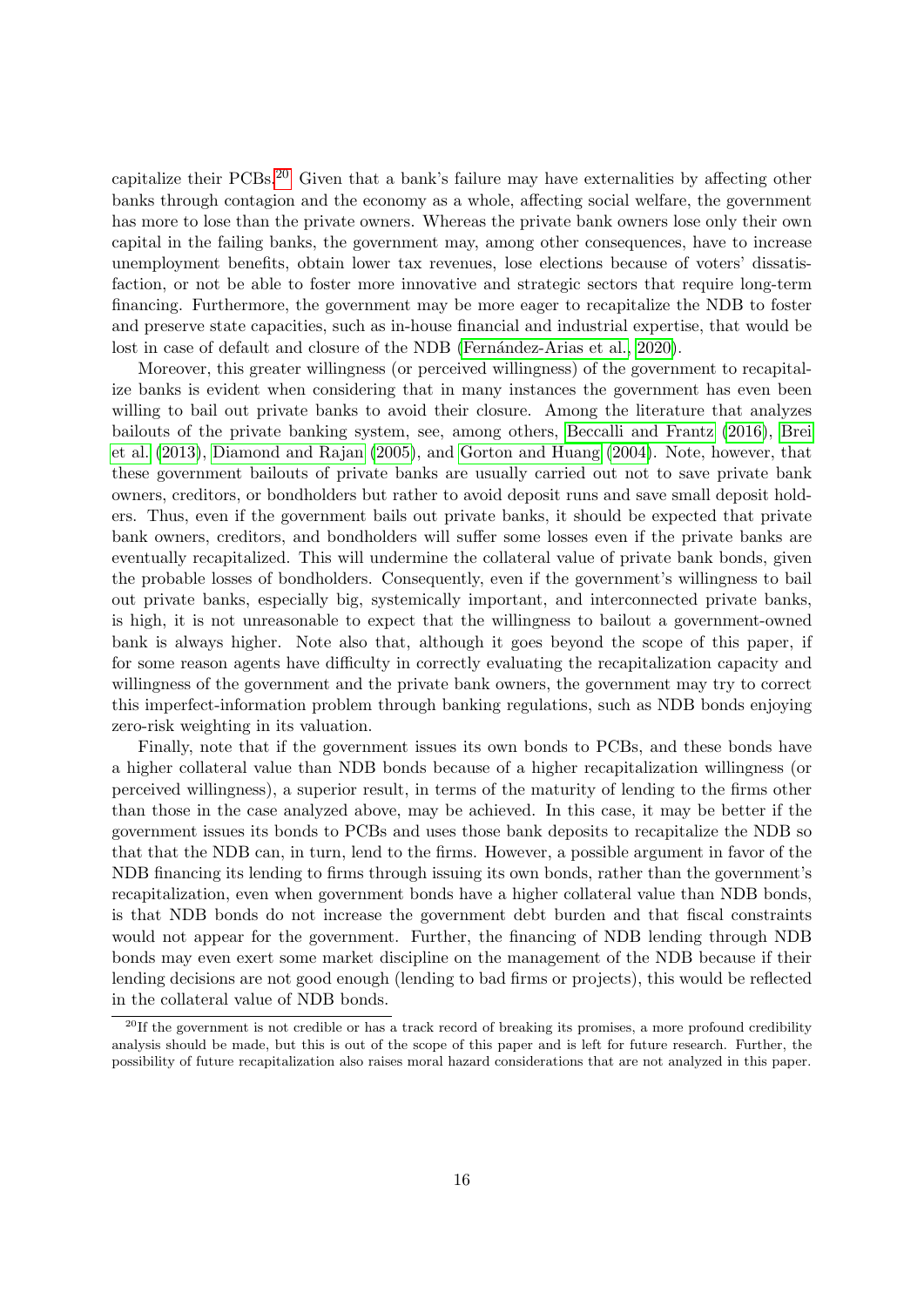capitalize their PCBs.[20](#page-0-0) Given that a bank's failure may have externalities by affecting other banks through contagion and the economy as a whole, affecting social welfare, the government has more to lose than the private owners. Whereas the private bank owners lose only their own capital in the failing banks, the government may, among other consequences, have to increase unemployment benefits, obtain lower tax revenues, lose elections because of voters' dissatisfaction, or not be able to foster more innovative and strategic sectors that require long-term financing. Furthermore, the government may be more eager to recapitalize the NDB to foster and preserve state capacities, such as in-house financial and industrial expertise, that would be lost in case of default and closure of the NDB (Fernández-Arias et al., 2020).

Moreover, this greater willingness (or perceived willingness) of the government to recapitalize banks is evident when considering that in many instances the government has even been willing to bail out private banks to avoid their closure. Among the literature that analyzes bailouts of the private banking system, see, among others, [Beccalli and Frantz](#page-25-9) [\(2016\)](#page-25-9), [Brei](#page-25-10) [et al.](#page-25-10) [\(2013\)](#page-25-10), [Diamond and Rajan](#page-26-13) [\(2005\)](#page-26-13), and [Gorton and Huang](#page-26-6) [\(2004\)](#page-26-6). Note, however, that these government bailouts of private banks are usually carried out not to save private bank owners, creditors, or bondholders but rather to avoid deposit runs and save small deposit holders. Thus, even if the government bails out private banks, it should be expected that private bank owners, creditors, and bondholders will suffer some losses even if the private banks are eventually recapitalized. This will undermine the collateral value of private bank bonds, given the probable losses of bondholders. Consequently, even if the government's willingness to bail out private banks, especially big, systemically important, and interconnected private banks, is high, it is not unreasonable to expect that the willingness to bailout a government-owned bank is always higher. Note also that, although it goes beyond the scope of this paper, if for some reason agents have difficulty in correctly evaluating the recapitalization capacity and willingness of the government and the private bank owners, the government may try to correct this imperfect-information problem through banking regulations, such as NDB bonds enjoying zero-risk weighting in its valuation.

Finally, note that if the government issues its own bonds to PCBs, and these bonds have a higher collateral value than NDB bonds because of a higher recapitalization willingness (or perceived willingness), a superior result, in terms of the maturity of lending to the firms other than those in the case analyzed above, may be achieved. In this case, it may be better if the government issues its bonds to PCBs and uses those bank deposits to recapitalize the NDB so that that the NDB can, in turn, lend to the firms. However, a possible argument in favor of the NDB financing its lending to firms through issuing its own bonds, rather than the government's recapitalization, even when government bonds have a higher collateral value than NDB bonds, is that NDB bonds do not increase the government debt burden and that fiscal constraints would not appear for the government. Further, the financing of NDB lending through NDB bonds may even exert some market discipline on the management of the NDB because if their lending decisions are not good enough (lending to bad firms or projects), this would be reflected in the collateral value of NDB bonds.

 $^{20}$ If the government is not credible or has a track record of breaking its promises, a more profound credibility analysis should be made, but this is out of the scope of this paper and is left for future research. Further, the possibility of future recapitalization also raises moral hazard considerations that are not analyzed in this paper.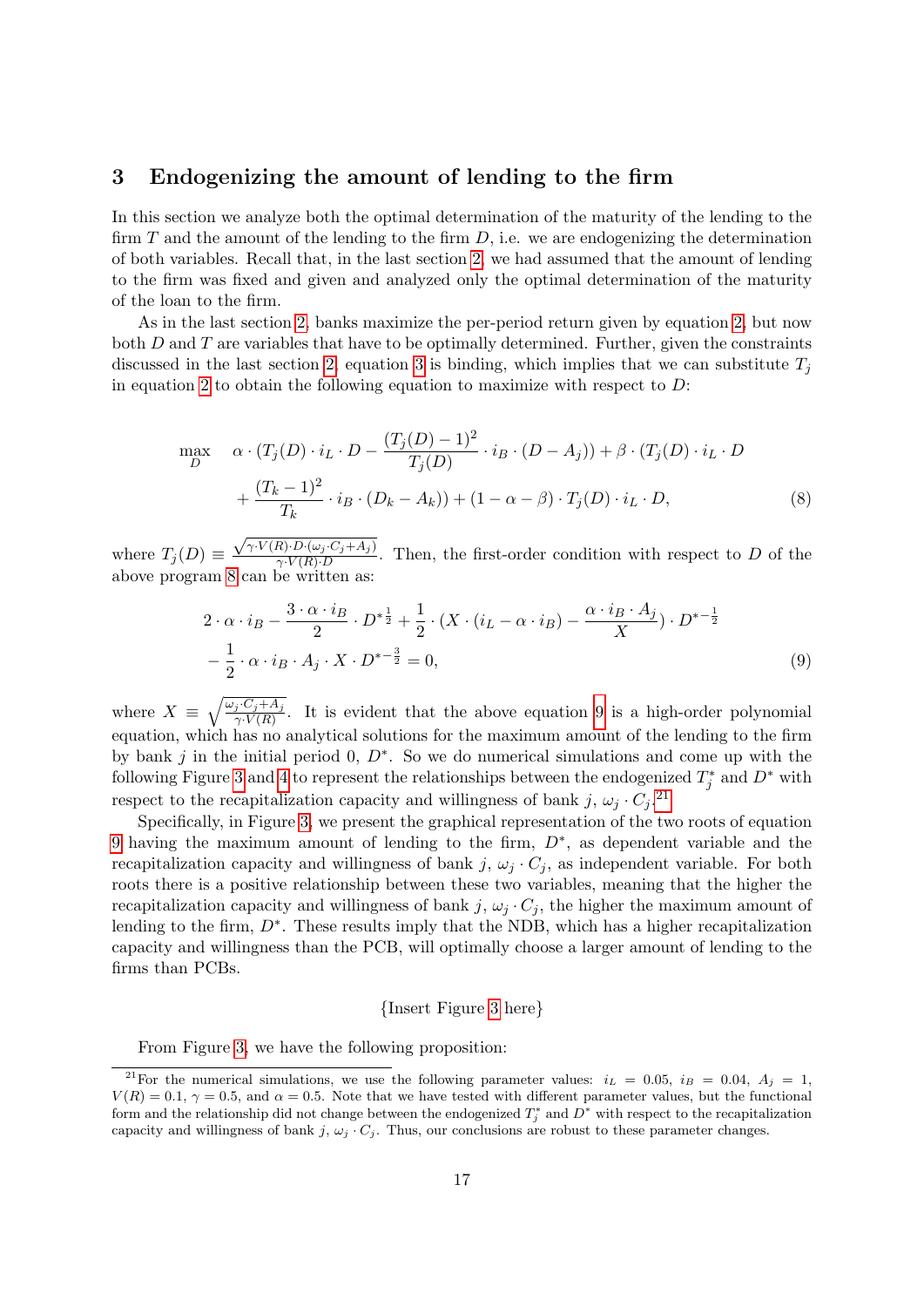# <span id="page-16-0"></span>3 Endogenizing the amount of lending to the firm

In this section we analyze both the optimal determination of the maturity of the lending to the firm  $T$  and the amount of the lending to the firm  $D$ , i.e. we are endogenizing the determination of both variables. Recall that, in the last section [2,](#page-3-0) we had assumed that the amount of lending to the firm was fixed and given and analyzed only the optimal determination of the maturity of the loan to the firm.

As in the last section [2,](#page-3-0) banks maximize the per-period return given by equation [2,](#page-9-1) but now both  $D$  and  $T$  are variables that have to be optimally determined. Further, given the constraints discussed in the last section [2,](#page-3-0) equation [3](#page-10-0) is binding, which implies that we can substitute  $T_i$ in equation [2](#page-9-1) to obtain the following equation to maximize with respect to  $D$ :

$$
\max_{D} \quad \alpha \cdot (T_j(D) \cdot i_L \cdot D - \frac{(T_j(D) - 1)^2}{T_j(D)} \cdot i_B \cdot (D - A_j)) + \beta \cdot (T_j(D) \cdot i_L \cdot D + \frac{(T_k - 1)^2}{T_k} \cdot i_B \cdot (D_k - A_k)) + (1 - \alpha - \beta) \cdot T_j(D) \cdot i_L \cdot D,
$$
\n(8)

where  $T_j(D) \equiv$  $\sqrt{\gamma \cdot V(R) \cdot D \cdot (\omega_j \cdot C_j + A_j)}$  $\frac{\gamma_V P \cdot (\omega_j C_j + \Lambda_j)}{\gamma_V(R) \cdot D}$ . Then, the first-order condition with respect to D of the above program [8](#page-16-1) can be written as:

<span id="page-16-1"></span>
$$
2 \cdot \alpha \cdot i_B - \frac{3 \cdot \alpha \cdot i_B}{2} \cdot D^{*\frac{1}{2}} + \frac{1}{2} \cdot (X \cdot (i_L - \alpha \cdot i_B) - \frac{\alpha \cdot i_B \cdot A_j}{X}) \cdot D^{*\frac{1}{2}} - \frac{1}{2} \cdot \alpha \cdot i_B \cdot A_j \cdot X \cdot D^{*\frac{3}{2}} = 0,
$$
\n
$$
(9)
$$

where  $X = \sqrt{\frac{\omega_j C_j + A_j}{\gamma V(R)}}$ . It is evident that the above equation [9](#page-16-2) is a high-order polynomial equation, which has no analytical solutions for the maximum amount of the lending to the firm by bank j in the initial period 0,  $D^*$ . So we do numerical simulations and come up with the following Figure [3](#page-32-1) and [4](#page-32-2) to represent the relationships between the endogenized  $T_j^*$  and  $D^*$  with respect to the recapitalization capacity and willingness of bank j,  $\omega_j \cdot C_j$ .<sup>[21](#page-0-0)</sup>

Specifically, in Figure [3,](#page-32-1) we present the graphical representation of the two roots of equation [9](#page-16-2) having the maximum amount of lending to the firm,  $D^*$ , as dependent variable and the recapitalization capacity and willingness of bank j,  $\omega_i \cdot C_i$ , as independent variable. For both roots there is a positive relationship between these two variables, meaning that the higher the recapitalization capacity and willingness of bank j,  $\omega_j \cdot C_j$ , the higher the maximum amount of lending to the firm,  $D^*$ . These results imply that the NDB, which has a higher recapitalization capacity and willingness than the PCB, will optimally choose a larger amount of lending to the firms than PCBs.

#### <span id="page-16-2"></span>{Insert Figure [3](#page-32-1) here}

From Figure [3,](#page-32-1) we have the following proposition:

<sup>&</sup>lt;sup>21</sup>For the numerical simulations, we use the following parameter values:  $i_L = 0.05$ ,  $i_B = 0.04$ ,  $A_i = 1$ ,  $V(R) = 0.1$ ,  $\gamma = 0.5$ , and  $\alpha = 0.5$ . Note that we have tested with different parameter values, but the functional form and the relationship did not change between the endogenized  $T_j^*$  and  $D^*$  with respect to the recapitalization capacity and willingness of bank j,  $\omega_j \cdot C_j$ . Thus, our conclusions are robust to these parameter changes.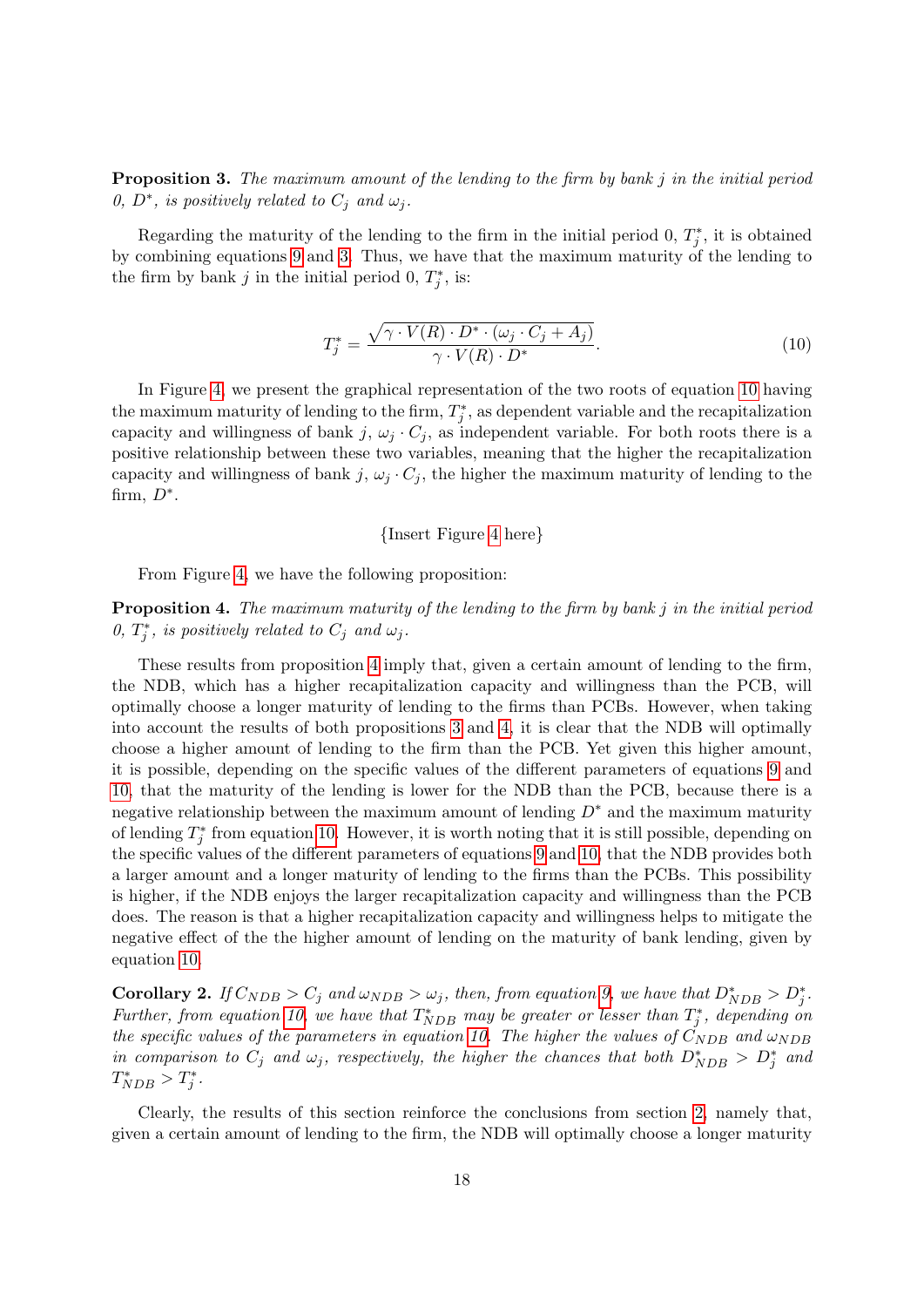<span id="page-17-2"></span>**Proposition 3.** The maximum amount of the lending to the firm by bank  $j$  in the initial period 0,  $D^*$ , is positively related to  $C_j$  and  $\omega_j$ .

Regarding the maturity of the lending to the firm in the initial period 0,  $T_j^*$ , it is obtained by combining equations [9](#page-16-2) and [3.](#page-10-0) Thus, we have that the maximum maturity of the lending to the firm by bank j in the initial period 0,  $T_j^*$ , is:

$$
T_j^* = \frac{\sqrt{\gamma \cdot V(R) \cdot D^* \cdot (\omega_j \cdot C_j + A_j)}}{\gamma \cdot V(R) \cdot D^*}.
$$
\n(10)

In Figure [4,](#page-32-2) we present the graphical representation of the two roots of equation [10](#page-17-0) having the maximum maturity of lending to the firm,  $T_j^*$ , as dependent variable and the recapitalization capacity and willingness of bank j,  $\omega_i \cdot C_i$ , as independent variable. For both roots there is a positive relationship between these two variables, meaning that the higher the recapitalization capacity and willingness of bank j,  $\omega_j \cdot C_j$ , the higher the maximum maturity of lending to the firm,  $D^*$ .

#### <span id="page-17-0"></span>{Insert Figure [4](#page-32-2) here}

From Figure [4,](#page-32-2) we have the following proposition:

<span id="page-17-1"></span>**Proposition 4.** The maximum maturity of the lending to the firm by bank  $j$  in the initial period 0,  $T_j^*$ , is positively related to  $C_j$  and  $\omega_j$ .

These results from proposition [4](#page-17-1) imply that, given a certain amount of lending to the firm, the NDB, which has a higher recapitalization capacity and willingness than the PCB, will optimally choose a longer maturity of lending to the firms than PCBs. However, when taking into account the results of both propositions [3](#page-17-2) and [4,](#page-17-1) it is clear that the NDB will optimally choose a higher amount of lending to the firm than the PCB. Yet given this higher amount, it is possible, depending on the specific values of the different parameters of equations [9](#page-16-2) and [10,](#page-17-0) that the maturity of the lending is lower for the NDB than the PCB, because there is a negative relationship between the maximum amount of lending  $D^*$  and the maximum maturity of lending  $T_j^*$  from equation [10.](#page-17-0) However, it is worth noting that it is still possible, depending on the specific values of the different parameters of equations [9](#page-16-2) and [10,](#page-17-0) that the NDB provides both a larger amount and a longer maturity of lending to the firms than the PCBs. This possibility is higher, if the NDB enjoys the larger recapitalization capacity and willingness than the PCB does. The reason is that a higher recapitalization capacity and willingness helps to mitigate the negative effect of the the higher amount of lending on the maturity of bank lending, given by equation [10.](#page-17-0)

**Corollary 2.** If  $C_{NDB} > C_j$  and  $\omega_{NDB} > \omega_j$ , then, from equation [9,](#page-16-2) we have that  $D^*_{NDB} > D^*_j$ . Further, from equation [10,](#page-17-0) we have that  $T^*_{NDB}$  may be greater or lesser than  $T^*_j$ , depending on the specific values of the parameters in equation [10.](#page-17-0) The higher the values of  $\check{C}_{NDB}$  and  $\omega_{NDB}$ in comparison to  $C_j$  and  $\omega_j$ , respectively, the higher the chances that both  $D_{NDB}^* > D_j^*$  and  $T^*_{NDB} > T^*_j.$ 

Clearly, the results of this section reinforce the conclusions from section [2,](#page-3-0) namely that, given a certain amount of lending to the firm, the NDB will optimally choose a longer maturity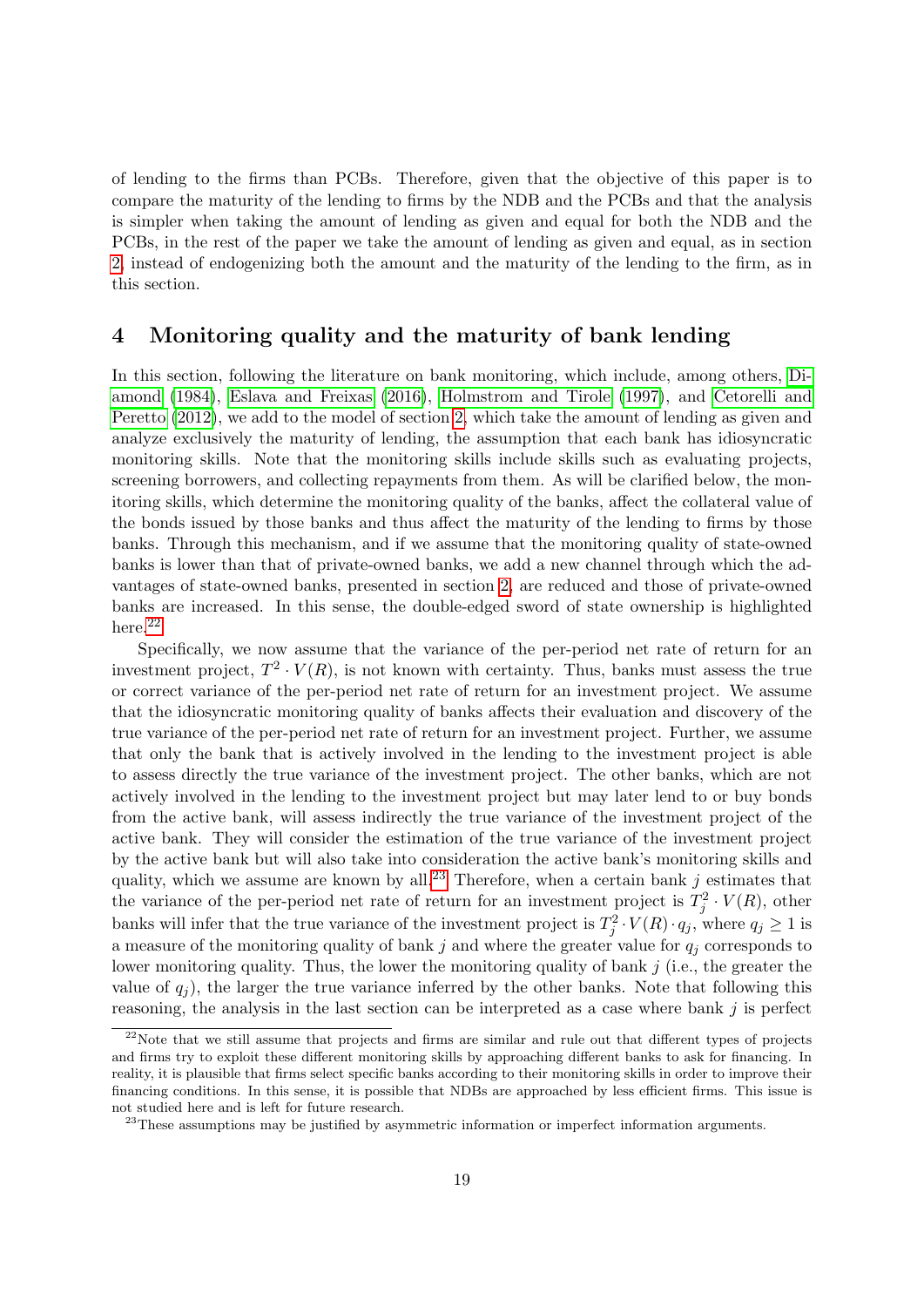of lending to the firms than PCBs. Therefore, given that the objective of this paper is to compare the maturity of the lending to firms by the NDB and the PCBs and that the analysis is simpler when taking the amount of lending as given and equal for both the NDB and the PCBs, in the rest of the paper we take the amount of lending as given and equal, as in section [2,](#page-3-0) instead of endogenizing both the amount and the maturity of the lending to the firm, as in this section.

# <span id="page-18-0"></span>4 Monitoring quality and the maturity of bank lending

In this section, following the literature on bank monitoring, which include, among others, [Di](#page-26-5)[amond](#page-26-5) [\(1984\)](#page-26-5), [Eslava and Freixas](#page-26-14) [\(2016\)](#page-26-14), [Holmstrom and Tirole](#page-27-5) [\(1997\)](#page-27-5), and [Cetorelli and](#page-26-15) [Peretto](#page-26-15) [\(2012\)](#page-26-15), we add to the model of section [2,](#page-3-0) which take the amount of lending as given and analyze exclusively the maturity of lending, the assumption that each bank has idiosyncratic monitoring skills. Note that the monitoring skills include skills such as evaluating projects, screening borrowers, and collecting repayments from them. As will be clarified below, the monitoring skills, which determine the monitoring quality of the banks, affect the collateral value of the bonds issued by those banks and thus affect the maturity of the lending to firms by those banks. Through this mechanism, and if we assume that the monitoring quality of state-owned banks is lower than that of private-owned banks, we add a new channel through which the advantages of state-owned banks, presented in section [2,](#page-3-0) are reduced and those of private-owned banks are increased. In this sense, the double-edged sword of state ownership is highlighted here.<sup>[22](#page-0-0)</sup>

Specifically, we now assume that the variance of the per-period net rate of return for an investment project,  $T^2 \cdot V(R)$ , is not known with certainty. Thus, banks must assess the true or correct variance of the per-period net rate of return for an investment project. We assume that the idiosyncratic monitoring quality of banks affects their evaluation and discovery of the true variance of the per-period net rate of return for an investment project. Further, we assume that only the bank that is actively involved in the lending to the investment project is able to assess directly the true variance of the investment project. The other banks, which are not actively involved in the lending to the investment project but may later lend to or buy bonds from the active bank, will assess indirectly the true variance of the investment project of the active bank. They will consider the estimation of the true variance of the investment project by the active bank but will also take into consideration the active bank's monitoring skills and quality, which we assume are known by all.<sup>[23](#page-0-0)</sup> Therefore, when a certain bank  $j$  estimates that the variance of the per-period net rate of return for an investment project is  $T_j^2 \cdot V(R)$ , other banks will infer that the true variance of the investment project is  $T_j^2 \cdot V(R) \cdot q_j$ , where  $q_j \ge 1$  is a measure of the monitoring quality of bank j and where the greater value for  $q_j$  corresponds to lower monitoring quality. Thus, the lower the monitoring quality of bank  $j$  (i.e., the greater the value of  $q_i$ ), the larger the true variance inferred by the other banks. Note that following this reasoning, the analysis in the last section can be interpreted as a case where bank  $j$  is perfect

 $^{22}$ Note that we still assume that projects and firms are similar and rule out that different types of projects and firms try to exploit these different monitoring skills by approaching different banks to ask for financing. In reality, it is plausible that firms select specific banks according to their monitoring skills in order to improve their financing conditions. In this sense, it is possible that NDBs are approached by less efficient firms. This issue is not studied here and is left for future research.

 $23$ These assumptions may be justified by asymmetric information or imperfect information arguments.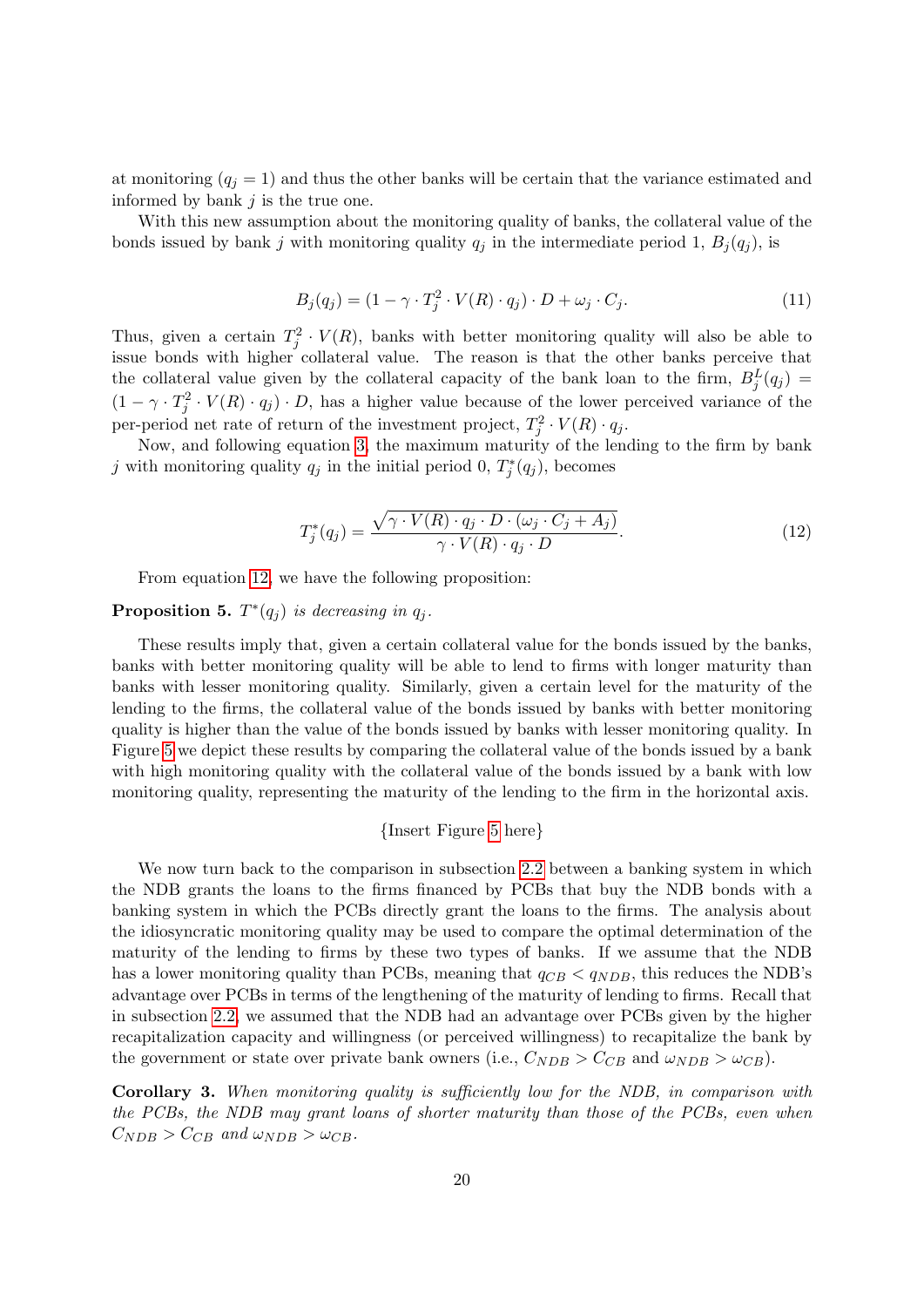at monitoring  $(q_j = 1)$  and thus the other banks will be certain that the variance estimated and informed by bank  $j$  is the true one.

With this new assumption about the monitoring quality of banks, the collateral value of the bonds issued by bank j with monitoring quality  $q_j$  in the intermediate period 1,  $B_j(q_j)$ , is

$$
B_j(q_j) = (1 - \gamma \cdot T_j^2 \cdot V(R) \cdot q_j) \cdot D + \omega_j \cdot C_j.
$$
\n(11)

Thus, given a certain  $T_j^2 \cdot V(R)$ , banks with better monitoring quality will also be able to issue bonds with higher collateral value. The reason is that the other banks perceive that the collateral value given by the collateral capacity of the bank loan to the firm,  $B_j^L(q_j)$  =  $(1 - \gamma \cdot T_j^2 \cdot V(R) \cdot q_j) \cdot D$ , has a higher value because of the lower perceived variance of the per-period net rate of return of the investment project,  $T_j^2 \cdot V(R) \cdot q_j$ .

Now, and following equation [3,](#page-10-0) the maximum maturity of the lending to the firm by bank j with monitoring quality  $q_j$  in the initial period 0,  $T_j^*(q_j)$ , becomes

<span id="page-19-0"></span>
$$
T_j^*(q_j) = \frac{\sqrt{\gamma \cdot V(R) \cdot q_j \cdot D \cdot (\omega_j \cdot C_j + A_j)}}{\gamma \cdot V(R) \cdot q_j \cdot D}.
$$
\n(12)

From equation [12,](#page-19-0) we have the following proposition:

# **Proposition 5.**  $T^*(q_j)$  is decreasing in  $q_j$ .

These results imply that, given a certain collateral value for the bonds issued by the banks, banks with better monitoring quality will be able to lend to firms with longer maturity than banks with lesser monitoring quality. Similarly, given a certain level for the maturity of the lending to the firms, the collateral value of the bonds issued by banks with better monitoring quality is higher than the value of the bonds issued by banks with lesser monitoring quality. In Figure [5](#page-33-0) we depict these results by comparing the collateral value of the bonds issued by a bank with high monitoring quality with the collateral value of the bonds issued by a bank with low monitoring quality, representing the maturity of the lending to the firm in the horizontal axis.

#### {Insert Figure [5](#page-33-0) here}

We now turn back to the comparison in subsection [2.2](#page-11-0) between a banking system in which the NDB grants the loans to the firms financed by PCBs that buy the NDB bonds with a banking system in which the PCBs directly grant the loans to the firms. The analysis about the idiosyncratic monitoring quality may be used to compare the optimal determination of the maturity of the lending to firms by these two types of banks. If we assume that the NDB has a lower monitoring quality than PCBs, meaning that  $q_{CB} < q_{NDB}$ , this reduces the NDB's advantage over PCBs in terms of the lengthening of the maturity of lending to firms. Recall that in subsection [2.2,](#page-11-0) we assumed that the NDB had an advantage over PCBs given by the higher recapitalization capacity and willingness (or perceived willingness) to recapitalize the bank by the government or state over private bank owners (i.e.,  $C_{NDB} > C_{CB}$  and  $\omega_{NDB} > \omega_{CB}$ ).

<span id="page-19-1"></span>Corollary 3. When monitoring quality is sufficiently low for the NDB, in comparison with the PCBs, the NDB may grant loans of shorter maturity than those of the PCBs, even when  $C_{NDB} > C_{CB}$  and  $\omega_{NDB} > \omega_{CB}$ .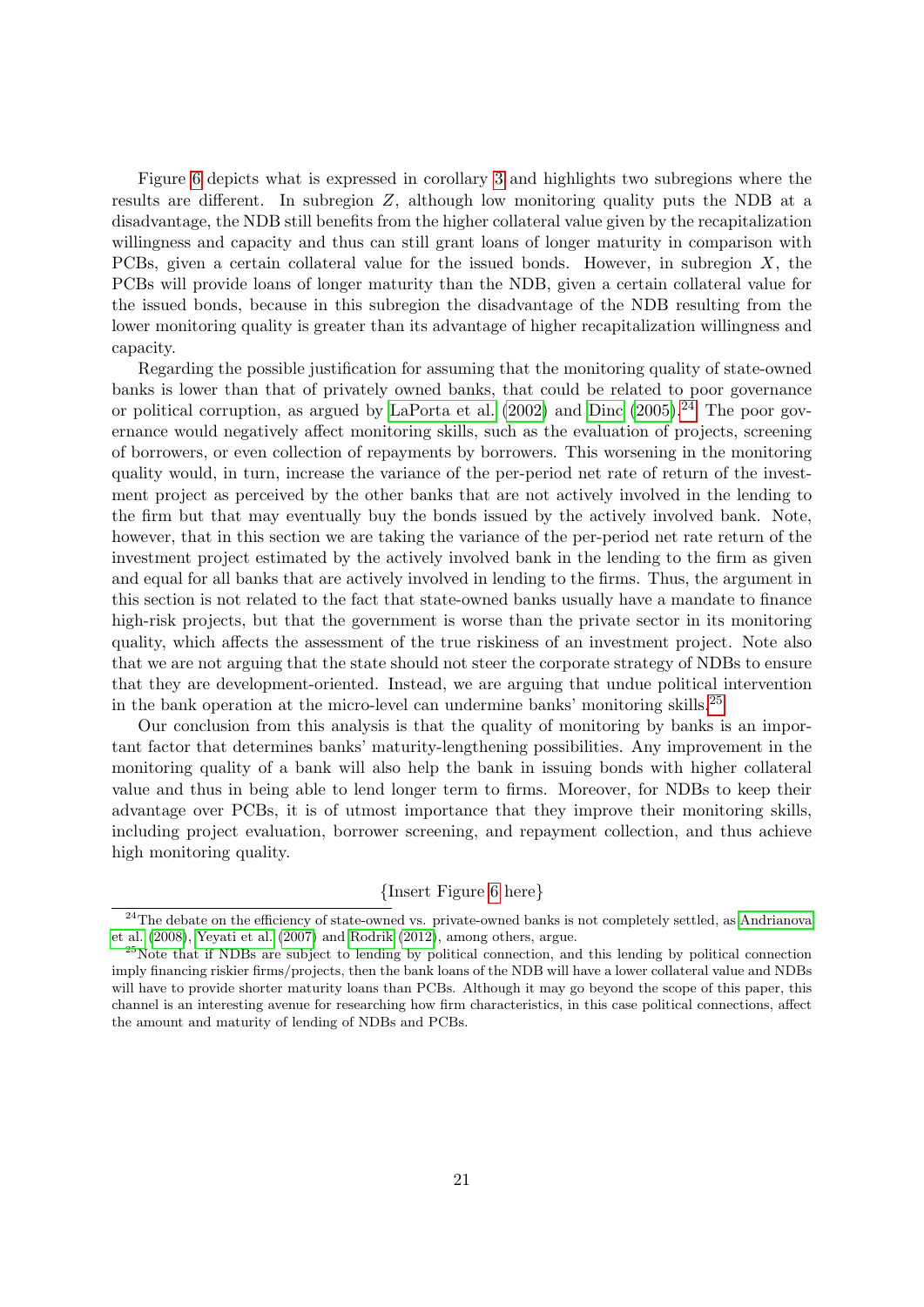Figure [6](#page-33-1) depicts what is expressed in corollary [3](#page-19-1) and highlights two subregions where the results are different. In subregion Z, although low monitoring quality puts the NDB at a disadvantage, the NDB still benefits from the higher collateral value given by the recapitalization willingness and capacity and thus can still grant loans of longer maturity in comparison with PCBs, given a certain collateral value for the issued bonds. However, in subregion  $X$ , the PCBs will provide loans of longer maturity than the NDB, given a certain collateral value for the issued bonds, because in this subregion the disadvantage of the NDB resulting from the lower monitoring quality is greater than its advantage of higher recapitalization willingness and capacity.

Regarding the possible justification for assuming that the monitoring quality of state-owned banks is lower than that of privately owned banks, that could be related to poor governance or political corruption, as argued by [LaPorta et al.](#page-27-13)  $(2002)$  and [Dinc](#page-26-16)  $(2005)$ .<sup>[24](#page-0-0)</sup> The poor governance would negatively affect monitoring skills, such as the evaluation of projects, screening of borrowers, or even collection of repayments by borrowers. This worsening in the monitoring quality would, in turn, increase the variance of the per-period net rate of return of the investment project as perceived by the other banks that are not actively involved in the lending to the firm but that may eventually buy the bonds issued by the actively involved bank. Note, however, that in this section we are taking the variance of the per-period net rate return of the investment project estimated by the actively involved bank in the lending to the firm as given and equal for all banks that are actively involved in lending to the firms. Thus, the argument in this section is not related to the fact that state-owned banks usually have a mandate to finance high-risk projects, but that the government is worse than the private sector in its monitoring quality, which affects the assessment of the true riskiness of an investment project. Note also that we are not arguing that the state should not steer the corporate strategy of NDBs to ensure that they are development-oriented. Instead, we are arguing that undue political intervention in the bank operation at the micro-level can undermine banks' monitoring skills.[25](#page-0-0)

Our conclusion from this analysis is that the quality of monitoring by banks is an important factor that determines banks' maturity-lengthening possibilities. Any improvement in the monitoring quality of a bank will also help the bank in issuing bonds with higher collateral value and thus in being able to lend longer term to firms. Moreover, for NDBs to keep their advantage over PCBs, it is of utmost importance that they improve their monitoring skills, including project evaluation, borrower screening, and repayment collection, and thus achieve high monitoring quality.

#### {Insert Figure [6](#page-33-1) here}

<sup>&</sup>lt;sup>24</sup>The debate on the efficiency of state-owned vs. private-owned banks is not completely settled, as [Andrianova](#page-25-13) [et al.](#page-25-13) [\(2008\)](#page-25-13), [Yeyati et al.](#page-28-1) [\(2007\)](#page-28-1) and [Rodrik](#page-27-14) [\(2012\)](#page-27-14), among others, argue.

<sup>&</sup>lt;sup>25</sup>Note that if NDBs are subject to lending by political connection, and this lending by political connection imply financing riskier firms/projects, then the bank loans of the NDB will have a lower collateral value and NDBs will have to provide shorter maturity loans than PCBs. Although it may go beyond the scope of this paper, this channel is an interesting avenue for researching how firm characteristics, in this case political connections, affect the amount and maturity of lending of NDBs and PCBs.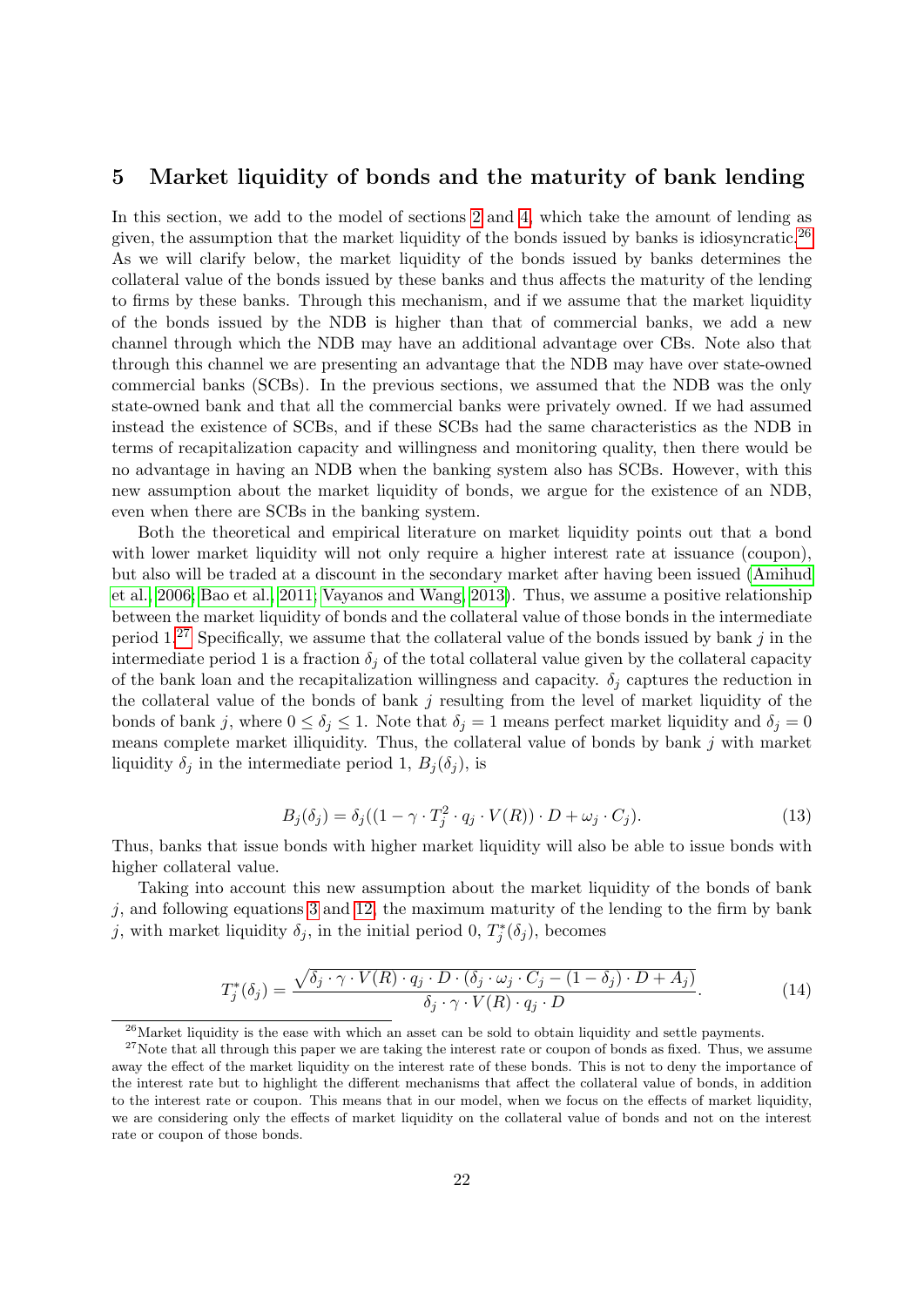# <span id="page-21-0"></span>5 Market liquidity of bonds and the maturity of bank lending

In this section, we add to the model of sections [2](#page-3-0) and [4,](#page-18-0) which take the amount of lending as given, the assumption that the market liquidity of the bonds issued by banks is idiosyncratic.<sup>[26](#page-0-0)</sup> As we will clarify below, the market liquidity of the bonds issued by banks determines the collateral value of the bonds issued by these banks and thus affects the maturity of the lending to firms by these banks. Through this mechanism, and if we assume that the market liquidity of the bonds issued by the NDB is higher than that of commercial banks, we add a new channel through which the NDB may have an additional advantage over CBs. Note also that through this channel we are presenting an advantage that the NDB may have over state-owned commercial banks (SCBs). In the previous sections, we assumed that the NDB was the only state-owned bank and that all the commercial banks were privately owned. If we had assumed instead the existence of SCBs, and if these SCBs had the same characteristics as the NDB in terms of recapitalization capacity and willingness and monitoring quality, then there would be no advantage in having an NDB when the banking system also has SCBs. However, with this new assumption about the market liquidity of bonds, we argue for the existence of an NDB, even when there are SCBs in the banking system.

Both the theoretical and empirical literature on market liquidity points out that a bond with lower market liquidity will not only require a higher interest rate at issuance (coupon), but also will be traded at a discount in the secondary market after having been issued [\(Amihud](#page-25-6) [et al., 2006;](#page-25-6) [Bao et al., 2011;](#page-25-7) [Vayanos and Wang, 2013\)](#page-28-0). Thus, we assume a positive relationship between the market liquidity of bonds and the collateral value of those bonds in the intermediate period  $1.^{27}$  $1.^{27}$  $1.^{27}$  Specifically, we assume that the collateral value of the bonds issued by bank j in the intermediate period 1 is a fraction  $\delta_i$  of the total collateral value given by the collateral capacity of the bank loan and the recapitalization willingness and capacity.  $\delta_i$  captures the reduction in the collateral value of the bonds of bank  $j$  resulting from the level of market liquidity of the bonds of bank j, where  $0 \le \delta_j \le 1$ . Note that  $\delta_j = 1$  means perfect market liquidity and  $\delta_j = 0$ means complete market illiquidity. Thus, the collateral value of bonds by bank  $j$  with market liquidity  $\delta_j$  in the intermediate period 1,  $B_j(\delta_j)$ , is

<span id="page-21-1"></span>
$$
B_j(\delta_j) = \delta_j((1 - \gamma \cdot T_j^2 \cdot q_j \cdot V(R)) \cdot D + \omega_j \cdot C_j).
$$
\n(13)

Thus, banks that issue bonds with higher market liquidity will also be able to issue bonds with higher collateral value.

Taking into account this new assumption about the market liquidity of the bonds of bank  $i$ , and following equations [3](#page-10-0) and [12,](#page-19-0) the maximum maturity of the lending to the firm by bank j, with market liquidity  $\delta_j$ , in the initial period 0,  $T_j^*(\delta_j)$ , becomes

$$
T_j^*(\delta_j) = \frac{\sqrt{\delta_j \cdot \gamma \cdot V(R) \cdot q_j \cdot D \cdot (\delta_j \cdot \omega_j \cdot C_j - (1 - \delta_j) \cdot D + A_j)}}{\delta_j \cdot \gamma \cdot V(R) \cdot q_j \cdot D}.
$$
 (14)

 $26$ Market liquidity is the ease with which an asset can be sold to obtain liquidity and settle payments.

 $27$ Note that all through this paper we are taking the interest rate or coupon of bonds as fixed. Thus, we assume away the effect of the market liquidity on the interest rate of these bonds. This is not to deny the importance of the interest rate but to highlight the different mechanisms that affect the collateral value of bonds, in addition to the interest rate or coupon. This means that in our model, when we focus on the effects of market liquidity, we are considering only the effects of market liquidity on the collateral value of bonds and not on the interest rate or coupon of those bonds.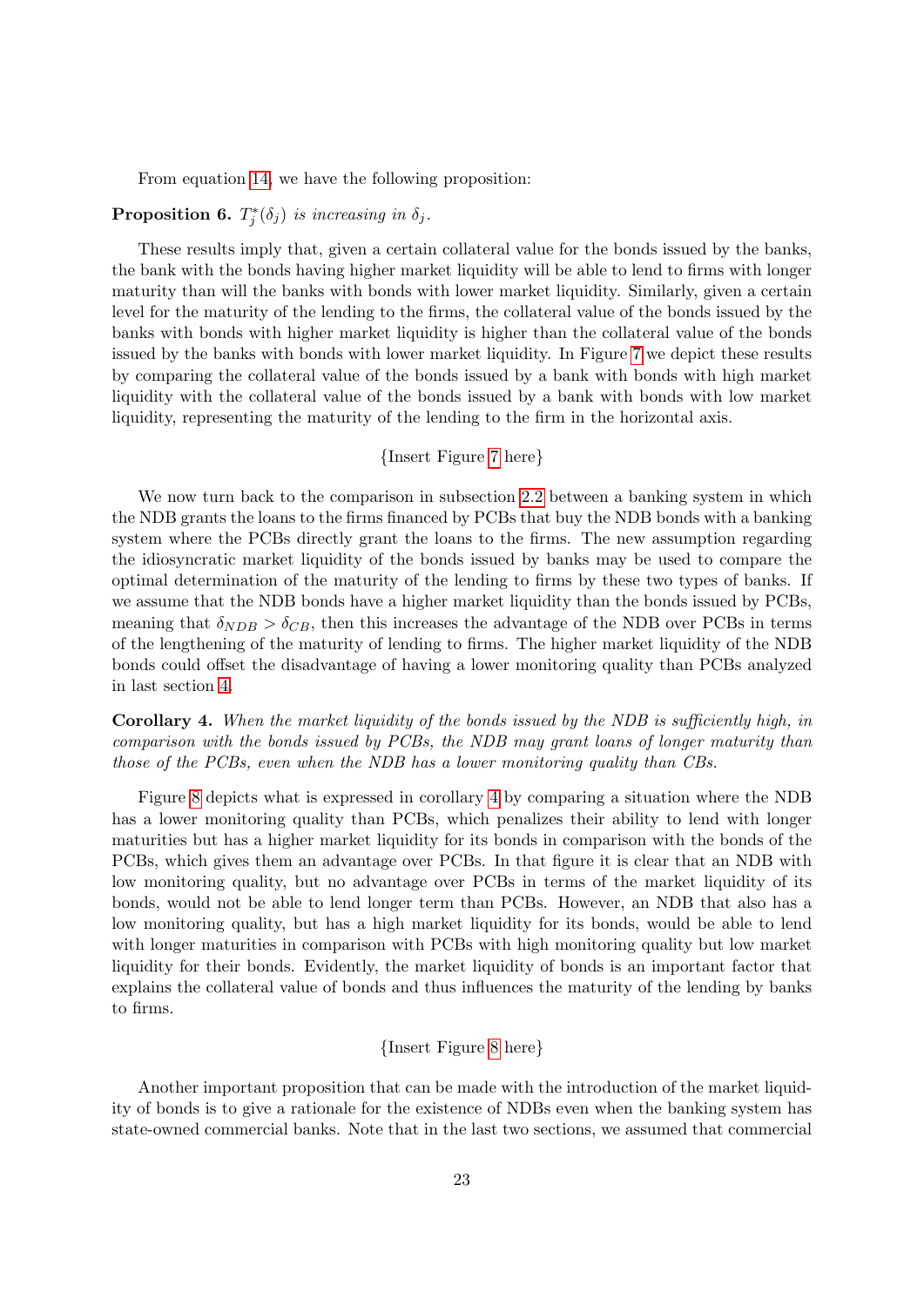From equation [14,](#page-21-1) we have the following proposition:

# **Proposition 6.**  $T_j^*(\delta_j)$  is increasing in  $\delta_j$ .

These results imply that, given a certain collateral value for the bonds issued by the banks, the bank with the bonds having higher market liquidity will be able to lend to firms with longer maturity than will the banks with bonds with lower market liquidity. Similarly, given a certain level for the maturity of the lending to the firms, the collateral value of the bonds issued by the banks with bonds with higher market liquidity is higher than the collateral value of the bonds issued by the banks with bonds with lower market liquidity. In Figure [7](#page-34-0) we depict these results by comparing the collateral value of the bonds issued by a bank with bonds with high market liquidity with the collateral value of the bonds issued by a bank with bonds with low market liquidity, representing the maturity of the lending to the firm in the horizontal axis.

#### {Insert Figure [7](#page-34-0) here}

We now turn back to the comparison in subsection [2.2](#page-11-0) between a banking system in which the NDB grants the loans to the firms financed by PCBs that buy the NDB bonds with a banking system where the PCBs directly grant the loans to the firms. The new assumption regarding the idiosyncratic market liquidity of the bonds issued by banks may be used to compare the optimal determination of the maturity of the lending to firms by these two types of banks. If we assume that the NDB bonds have a higher market liquidity than the bonds issued by PCBs, meaning that  $\delta_{NDB} > \delta_{CB}$ , then this increases the advantage of the NDB over PCBs in terms of the lengthening of the maturity of lending to firms. The higher market liquidity of the NDB bonds could offset the disadvantage of having a lower monitoring quality than PCBs analyzed in last section [4.](#page-18-0)

<span id="page-22-0"></span>Corollary 4. When the market liquidity of the bonds issued by the NDB is sufficiently high, in comparison with the bonds issued by PCBs, the NDB may grant loans of longer maturity than those of the PCBs, even when the NDB has a lower monitoring quality than CBs.

Figure [8](#page-34-1) depicts what is expressed in corollary [4](#page-22-0) by comparing a situation where the NDB has a lower monitoring quality than PCBs, which penalizes their ability to lend with longer maturities but has a higher market liquidity for its bonds in comparison with the bonds of the PCBs, which gives them an advantage over PCBs. In that figure it is clear that an NDB with low monitoring quality, but no advantage over PCBs in terms of the market liquidity of its bonds, would not be able to lend longer term than PCBs. However, an NDB that also has a low monitoring quality, but has a high market liquidity for its bonds, would be able to lend with longer maturities in comparison with PCBs with high monitoring quality but low market liquidity for their bonds. Evidently, the market liquidity of bonds is an important factor that explains the collateral value of bonds and thus influences the maturity of the lending by banks to firms.

### {Insert Figure [8](#page-34-1) here}

Another important proposition that can be made with the introduction of the market liquidity of bonds is to give a rationale for the existence of NDBs even when the banking system has state-owned commercial banks. Note that in the last two sections, we assumed that commercial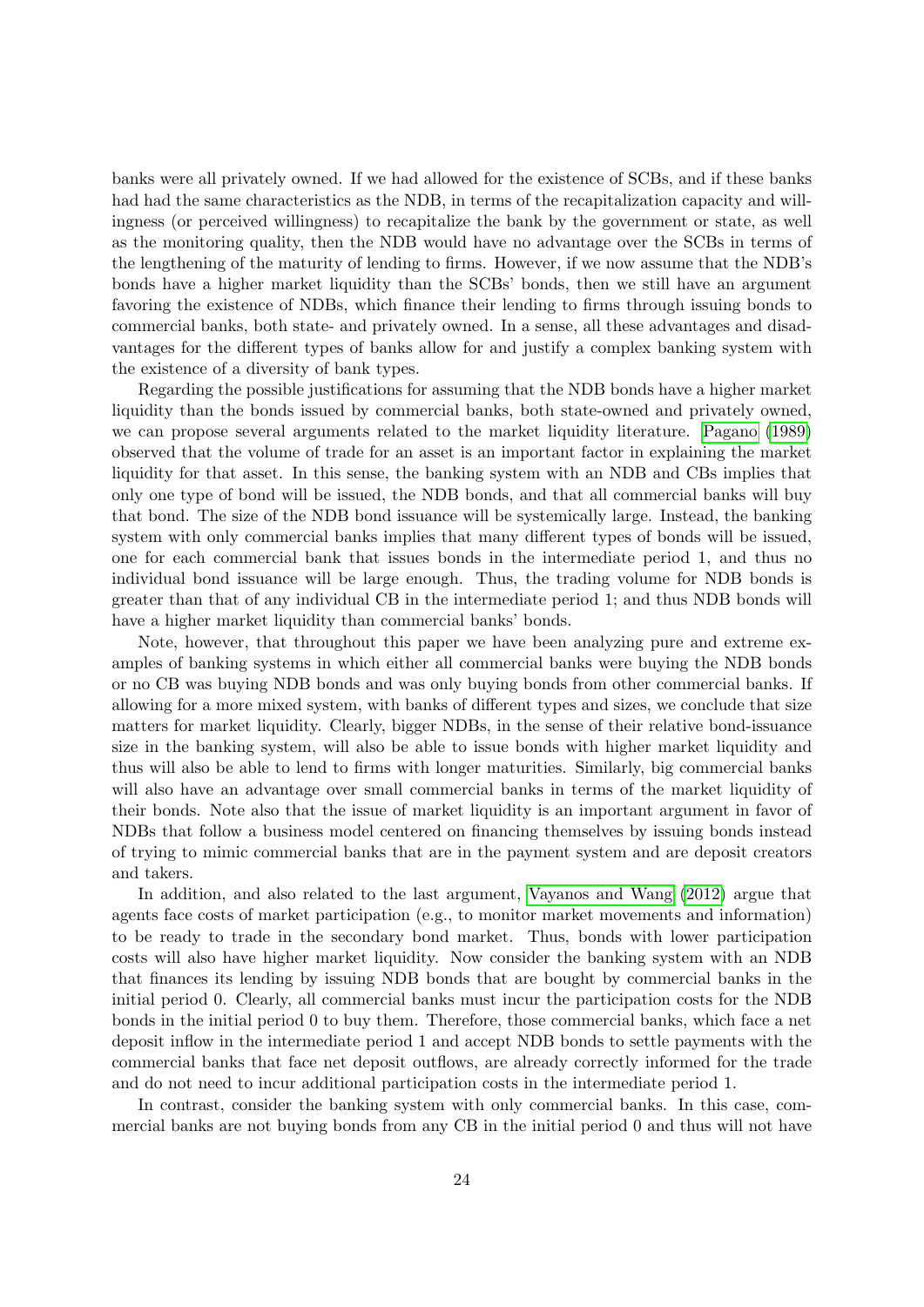banks were all privately owned. If we had allowed for the existence of SCBs, and if these banks had had the same characteristics as the NDB, in terms of the recapitalization capacity and willingness (or perceived willingness) to recapitalize the bank by the government or state, as well as the monitoring quality, then the NDB would have no advantage over the SCBs in terms of the lengthening of the maturity of lending to firms. However, if we now assume that the NDB's bonds have a higher market liquidity than the SCBs' bonds, then we still have an argument favoring the existence of NDBs, which finance their lending to firms through issuing bonds to commercial banks, both state- and privately owned. In a sense, all these advantages and disadvantages for the different types of banks allow for and justify a complex banking system with the existence of a diversity of bank types.

Regarding the possible justifications for assuming that the NDB bonds have a higher market liquidity than the bonds issued by commercial banks, both state-owned and privately owned, we can propose several arguments related to the market liquidity literature. [Pagano](#page-27-6) [\(1989\)](#page-27-6) observed that the volume of trade for an asset is an important factor in explaining the market liquidity for that asset. In this sense, the banking system with an NDB and CBs implies that only one type of bond will be issued, the NDB bonds, and that all commercial banks will buy that bond. The size of the NDB bond issuance will be systemically large. Instead, the banking system with only commercial banks implies that many different types of bonds will be issued, one for each commercial bank that issues bonds in the intermediate period 1, and thus no individual bond issuance will be large enough. Thus, the trading volume for NDB bonds is greater than that of any individual CB in the intermediate period 1; and thus NDB bonds will have a higher market liquidity than commercial banks' bonds.

Note, however, that throughout this paper we have been analyzing pure and extreme examples of banking systems in which either all commercial banks were buying the NDB bonds or no CB was buying NDB bonds and was only buying bonds from other commercial banks. If allowing for a more mixed system, with banks of different types and sizes, we conclude that size matters for market liquidity. Clearly, bigger NDBs, in the sense of their relative bond-issuance size in the banking system, will also be able to issue bonds with higher market liquidity and thus will also be able to lend to firms with longer maturities. Similarly, big commercial banks will also have an advantage over small commercial banks in terms of the market liquidity of their bonds. Note also that the issue of market liquidity is an important argument in favor of NDBs that follow a business model centered on financing themselves by issuing bonds instead of trying to mimic commercial banks that are in the payment system and are deposit creators and takers.

In addition, and also related to the last argument, [Vayanos and Wang](#page-27-15) [\(2012\)](#page-27-15) argue that agents face costs of market participation (e.g., to monitor market movements and information) to be ready to trade in the secondary bond market. Thus, bonds with lower participation costs will also have higher market liquidity. Now consider the banking system with an NDB that finances its lending by issuing NDB bonds that are bought by commercial banks in the initial period 0. Clearly, all commercial banks must incur the participation costs for the NDB bonds in the initial period 0 to buy them. Therefore, those commercial banks, which face a net deposit inflow in the intermediate period 1 and accept NDB bonds to settle payments with the commercial banks that face net deposit outflows, are already correctly informed for the trade and do not need to incur additional participation costs in the intermediate period 1.

In contrast, consider the banking system with only commercial banks. In this case, commercial banks are not buying bonds from any CB in the initial period 0 and thus will not have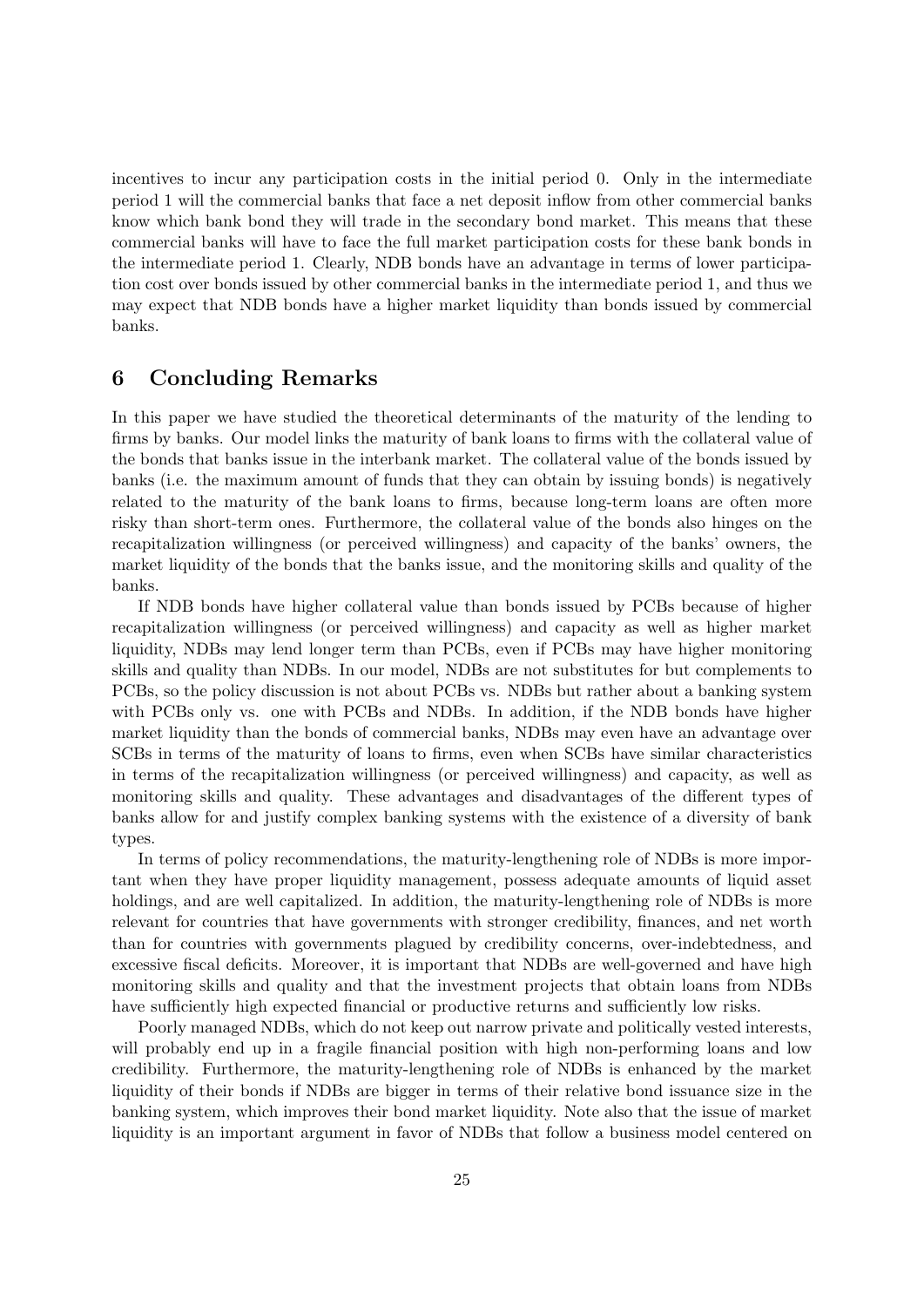incentives to incur any participation costs in the initial period 0. Only in the intermediate period 1 will the commercial banks that face a net deposit inflow from other commercial banks know which bank bond they will trade in the secondary bond market. This means that these commercial banks will have to face the full market participation costs for these bank bonds in the intermediate period 1. Clearly, NDB bonds have an advantage in terms of lower participation cost over bonds issued by other commercial banks in the intermediate period 1, and thus we may expect that NDB bonds have a higher market liquidity than bonds issued by commercial banks.

# <span id="page-24-0"></span>6 Concluding Remarks

In this paper we have studied the theoretical determinants of the maturity of the lending to firms by banks. Our model links the maturity of bank loans to firms with the collateral value of the bonds that banks issue in the interbank market. The collateral value of the bonds issued by banks (i.e. the maximum amount of funds that they can obtain by issuing bonds) is negatively related to the maturity of the bank loans to firms, because long-term loans are often more risky than short-term ones. Furthermore, the collateral value of the bonds also hinges on the recapitalization willingness (or perceived willingness) and capacity of the banks' owners, the market liquidity of the bonds that the banks issue, and the monitoring skills and quality of the banks.

If NDB bonds have higher collateral value than bonds issued by PCBs because of higher recapitalization willingness (or perceived willingness) and capacity as well as higher market liquidity, NDBs may lend longer term than PCBs, even if PCBs may have higher monitoring skills and quality than NDBs. In our model, NDBs are not substitutes for but complements to PCBs, so the policy discussion is not about PCBs vs. NDBs but rather about a banking system with PCBs only vs. one with PCBs and NDBs. In addition, if the NDB bonds have higher market liquidity than the bonds of commercial banks, NDBs may even have an advantage over SCBs in terms of the maturity of loans to firms, even when SCBs have similar characteristics in terms of the recapitalization willingness (or perceived willingness) and capacity, as well as monitoring skills and quality. These advantages and disadvantages of the different types of banks allow for and justify complex banking systems with the existence of a diversity of bank types.

In terms of policy recommendations, the maturity-lengthening role of NDBs is more important when they have proper liquidity management, possess adequate amounts of liquid asset holdings, and are well capitalized. In addition, the maturity-lengthening role of NDBs is more relevant for countries that have governments with stronger credibility, finances, and net worth than for countries with governments plagued by credibility concerns, over-indebtedness, and excessive fiscal deficits. Moreover, it is important that NDBs are well-governed and have high monitoring skills and quality and that the investment projects that obtain loans from NDBs have sufficiently high expected financial or productive returns and sufficiently low risks.

Poorly managed NDBs, which do not keep out narrow private and politically vested interests, will probably end up in a fragile financial position with high non-performing loans and low credibility. Furthermore, the maturity-lengthening role of NDBs is enhanced by the market liquidity of their bonds if NDBs are bigger in terms of their relative bond issuance size in the banking system, which improves their bond market liquidity. Note also that the issue of market liquidity is an important argument in favor of NDBs that follow a business model centered on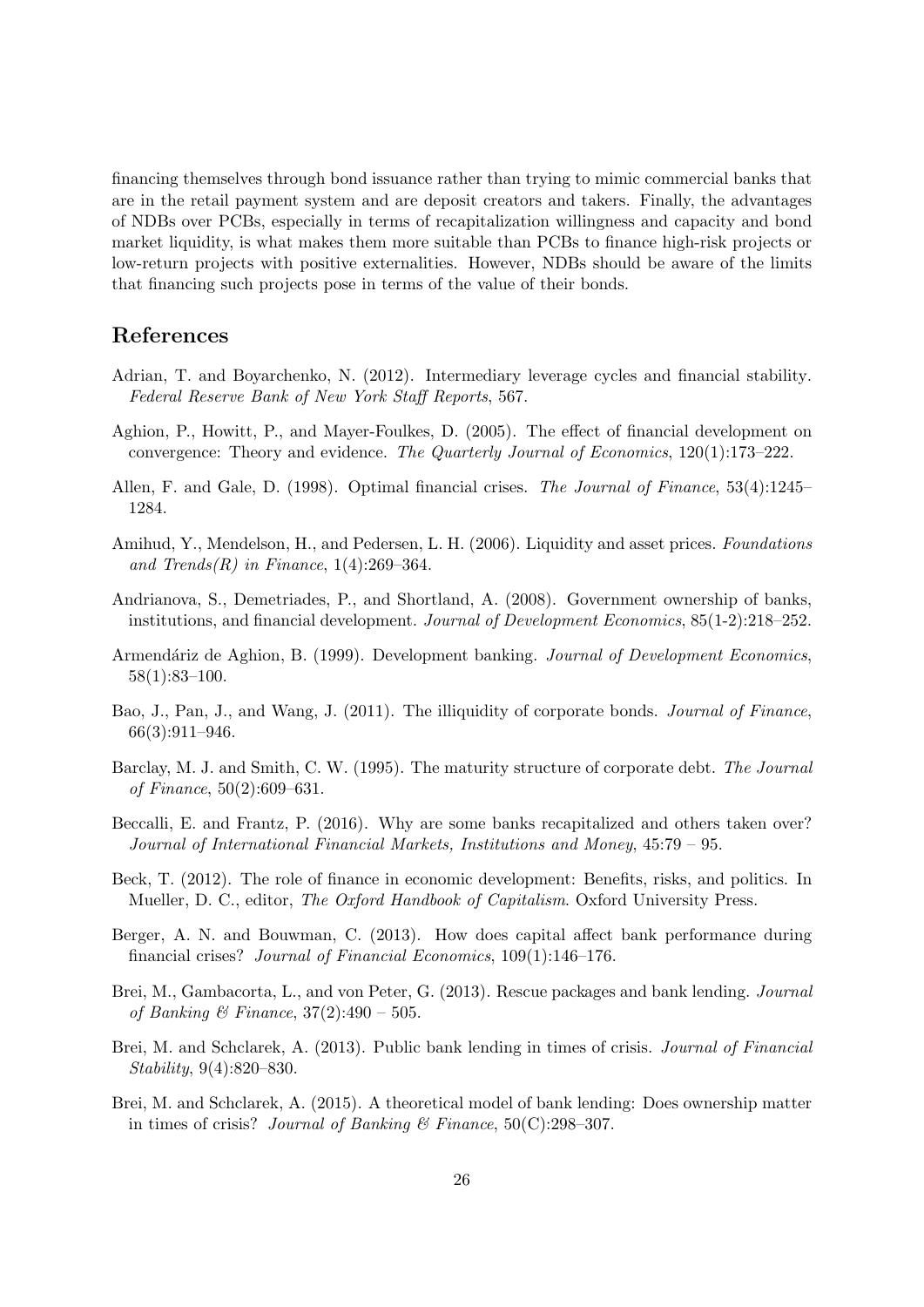financing themselves through bond issuance rather than trying to mimic commercial banks that are in the retail payment system and are deposit creators and takers. Finally, the advantages of NDBs over PCBs, especially in terms of recapitalization willingness and capacity and bond market liquidity, is what makes them more suitable than PCBs to finance high-risk projects or low-return projects with positive externalities. However, NDBs should be aware of the limits that financing such projects pose in terms of the value of their bonds.

# References

- <span id="page-25-5"></span>Adrian, T. and Boyarchenko, N. (2012). Intermediary leverage cycles and financial stability. Federal Reserve Bank of New York Staff Reports, 567.
- <span id="page-25-1"></span>Aghion, P., Howitt, P., and Mayer-Foulkes, D. (2005). The effect of financial development on convergence: Theory and evidence. The Quarterly Journal of Economics, 120(1):173–222.
- <span id="page-25-8"></span>Allen, F. and Gale, D. (1998). Optimal financial crises. The Journal of Finance, 53(4):1245– 1284.
- <span id="page-25-6"></span>Amihud, Y., Mendelson, H., and Pedersen, L. H. (2006). Liquidity and asset prices. Foundations and Trends $(R)$  in Finance, 1(4):269–364.
- <span id="page-25-13"></span>Andrianova, S., Demetriades, P., and Shortland, A. (2008). Government ownership of banks, institutions, and financial development. Journal of Development Economics, 85(1-2):218–252.
- <span id="page-25-2"></span>Armendáriz de Aghion, B. (1999). Development banking. Journal of Development Economics, 58(1):83–100.
- <span id="page-25-7"></span>Bao, J., Pan, J., and Wang, J. (2011). The illiquidity of corporate bonds. *Journal of Finance*, 66(3):911–946.
- <span id="page-25-12"></span>Barclay, M. J. and Smith, C. W. (1995). The maturity structure of corporate debt. The Journal of Finance, 50(2):609–631.
- <span id="page-25-9"></span>Beccalli, E. and Frantz, P. (2016). Why are some banks recapitalized and others taken over? Journal of International Financial Markets, Institutions and Money, 45:79 – 95.
- <span id="page-25-0"></span>Beck, T. (2012). The role of finance in economic development: Benefits, risks, and politics. In Mueller, D. C., editor, *The Oxford Handbook of Capitalism*. Oxford University Press.
- <span id="page-25-11"></span>Berger, A. N. and Bouwman, C. (2013). How does capital affect bank performance during financial crises? Journal of Financial Economics, 109(1):146–176.
- <span id="page-25-10"></span>Brei, M., Gambacorta, L., and von Peter, G. (2013). Rescue packages and bank lending. Journal of Banking & Finance,  $37(2)$ :490 – 505.
- <span id="page-25-3"></span>Brei, M. and Schclarek, A. (2013). Public bank lending in times of crisis. Journal of Financial Stability, 9(4):820–830.
- <span id="page-25-4"></span>Brei, M. and Schclarek, A. (2015). A theoretical model of bank lending: Does ownership matter in times of crisis? Journal of Banking & Finance,  $50(C):298-307$ .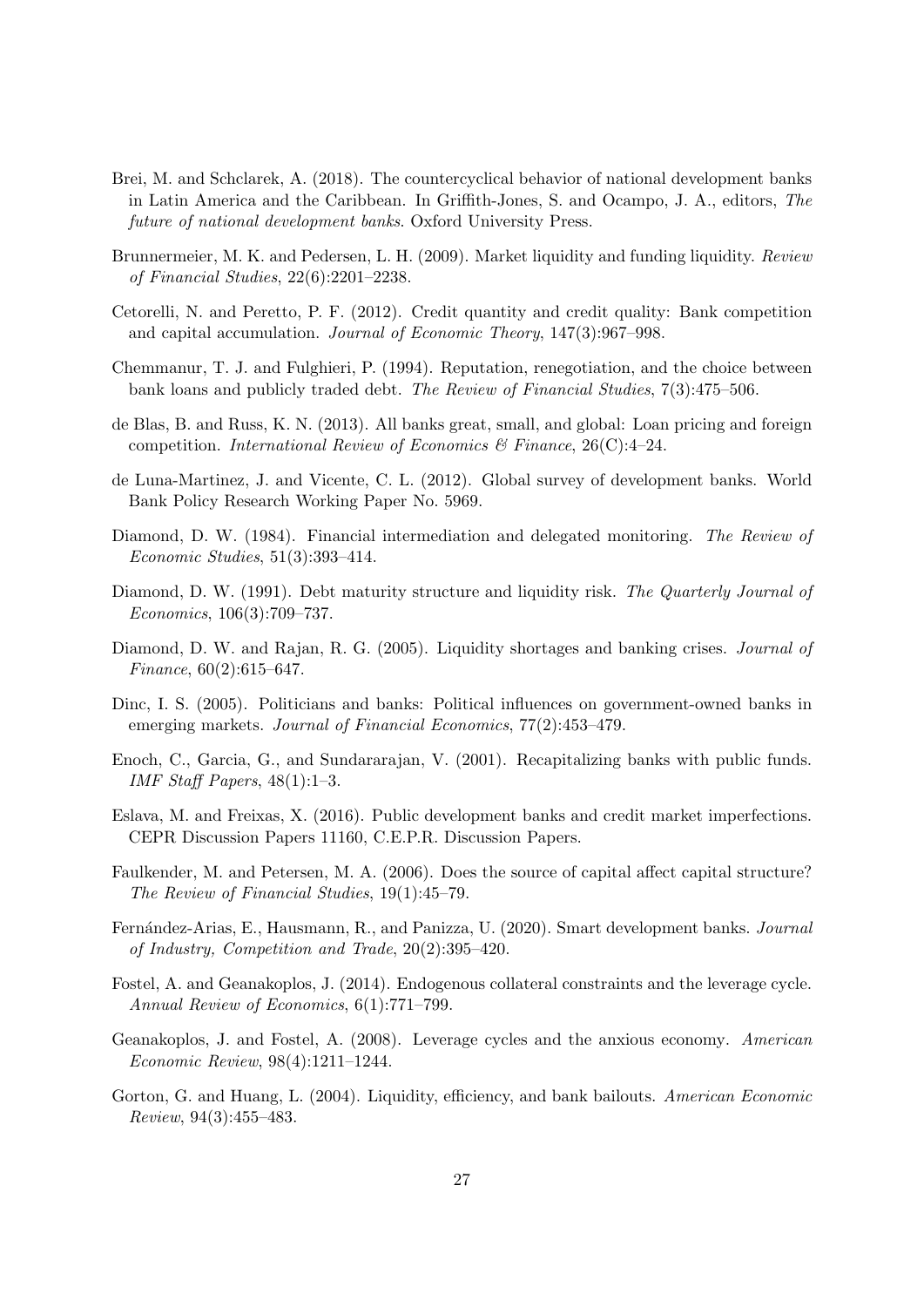- <span id="page-26-1"></span>Brei, M. and Schclarek, A. (2018). The countercyclical behavior of national development banks in Latin America and the Caribbean. In Griffith-Jones, S. and Ocampo, J. A., editors, The future of national development banks. Oxford University Press.
- <span id="page-26-3"></span>Brunnermeier, M. K. and Pedersen, L. H. (2009). Market liquidity and funding liquidity. Review of Financial Studies, 22(6):2201–2238.
- <span id="page-26-15"></span>Cetorelli, N. and Peretto, P. F. (2012). Credit quantity and credit quality: Bank competition and capital accumulation. Journal of Economic Theory, 147(3):967–998.
- <span id="page-26-7"></span>Chemmanur, T. J. and Fulghieri, P. (1994). Reputation, renegotiation, and the choice between bank loans and publicly traded debt. The Review of Financial Studies, 7(3):475–506.
- <span id="page-26-9"></span>de Blas, B. and Russ, K. N. (2013). All banks great, small, and global: Loan pricing and foreign competition. International Review of Economics & Finance,  $26(C):4-24$ .
- <span id="page-26-2"></span>de Luna-Martinez, J. and Vicente, C. L. (2012). Global survey of development banks. World Bank Policy Research Working Paper No. 5969.
- <span id="page-26-5"></span>Diamond, D. W. (1984). Financial intermediation and delegated monitoring. The Review of Economic Studies, 51(3):393–414.
- <span id="page-26-0"></span>Diamond, D. W. (1991). Debt maturity structure and liquidity risk. The Quarterly Journal of Economics, 106(3):709–737.
- <span id="page-26-13"></span>Diamond, D. W. and Rajan, R. G. (2005). Liquidity shortages and banking crises. Journal of Finance, 60(2):615–647.
- <span id="page-26-16"></span>Dinc, I. S. (2005). Politicians and banks: Political influences on government-owned banks in emerging markets. Journal of Financial Economics, 77(2):453–479.
- <span id="page-26-11"></span>Enoch, C., Garcia, G., and Sundararajan, V. (2001). Recapitalizing banks with public funds. IMF Staff Papers,  $48(1):1-3$ .
- <span id="page-26-14"></span>Eslava, M. and Freixas, X. (2016). Public development banks and credit market imperfections. CEPR Discussion Papers 11160, C.E.P.R. Discussion Papers.
- <span id="page-26-8"></span>Faulkender, M. and Petersen, M. A. (2006). Does the source of capital affect capital structure? The Review of Financial Studies, 19(1):45–79.
- <span id="page-26-12"></span>Fernández-Arias, E., Hausmann, R., and Panizza, U. (2020). Smart development banks. Journal of Industry, Competition and Trade, 20(2):395–420.
- <span id="page-26-10"></span>Fostel, A. and Geanakoplos, J. (2014). Endogenous collateral constraints and the leverage cycle. Annual Review of Economics, 6(1):771–799.
- <span id="page-26-4"></span>Geanakoplos, J. and Fostel, A. (2008). Leverage cycles and the anxious economy. American Economic Review, 98(4):1211–1244.
- <span id="page-26-6"></span>Gorton, G. and Huang, L. (2004). Liquidity, efficiency, and bank bailouts. American Economic Review, 94(3):455–483.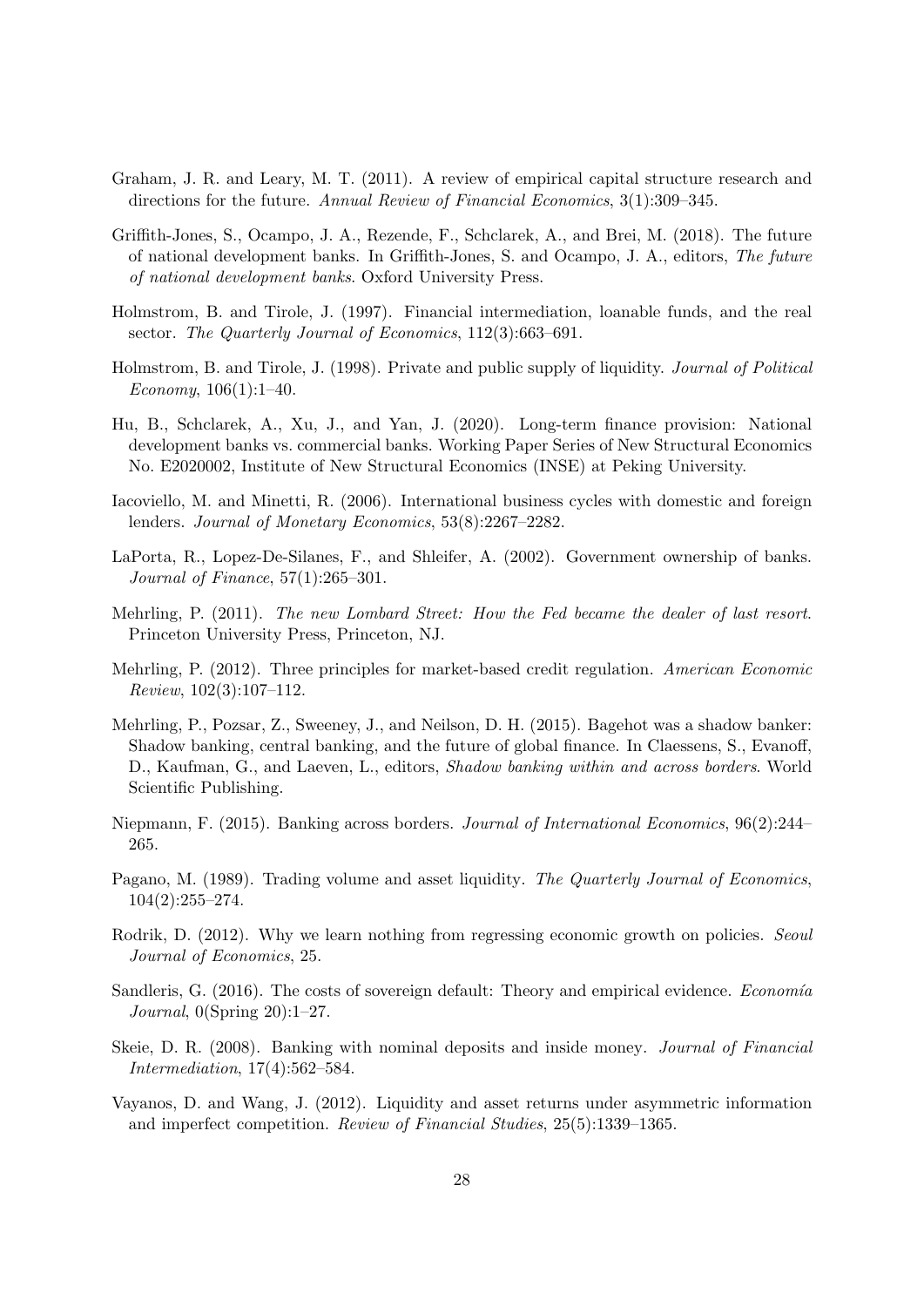- <span id="page-27-9"></span>Graham, J. R. and Leary, M. T. (2011). A review of empirical capital structure research and directions for the future. Annual Review of Financial Economics, 3(1):309–345.
- <span id="page-27-1"></span>Griffith-Jones, S., Ocampo, J. A., Rezende, F., Schclarek, A., and Brei, M. (2018). The future of national development banks. In Griffith-Jones, S. and Ocampo, J. A., editors, The future of national development banks. Oxford University Press.
- <span id="page-27-5"></span>Holmstrom, B. and Tirole, J. (1997). Financial intermediation, loanable funds, and the real sector. The Quarterly Journal of Economics, 112(3):663-691.
- <span id="page-27-7"></span>Holmstrom, B. and Tirole, J. (1998). Private and public supply of liquidity. Journal of Political Economy,  $106(1)$ :1-40.
- <span id="page-27-0"></span>Hu, B., Schclarek, A., Xu, J., and Yan, J. (2020). Long-term finance provision: National development banks vs. commercial banks. Working Paper Series of New Structural Economics No. E2020002, Institute of New Structural Economics (INSE) at Peking University.
- <span id="page-27-10"></span>Iacoviello, M. and Minetti, R. (2006). International business cycles with domestic and foreign lenders. Journal of Monetary Economics, 53(8):2267–2282.
- <span id="page-27-13"></span>LaPorta, R., Lopez-De-Silanes, F., and Shleifer, A. (2002). Government ownership of banks. Journal of Finance, 57(1):265–301.
- <span id="page-27-2"></span>Mehrling, P. (2011). The new Lombard Street: How the Fed became the dealer of last resort. Princeton University Press, Princeton, NJ.
- <span id="page-27-3"></span>Mehrling, P. (2012). Three principles for market-based credit regulation. American Economic Review, 102(3):107–112.
- <span id="page-27-8"></span>Mehrling, P., Pozsar, Z., Sweeney, J., and Neilson, D. H. (2015). Bagehot was a shadow banker: Shadow banking, central banking, and the future of global finance. In Claessens, S., Evanoff, D., Kaufman, G., and Laeven, L., editors, Shadow banking within and across borders. World Scientific Publishing.
- <span id="page-27-11"></span>Niepmann, F. (2015). Banking across borders. Journal of International Economics, 96(2):244– 265.
- <span id="page-27-6"></span>Pagano, M. (1989). Trading volume and asset liquidity. The Quarterly Journal of Economics, 104(2):255–274.
- <span id="page-27-14"></span>Rodrik, D. (2012). Why we learn nothing from regressing economic growth on policies. Seoul Journal of Economics, 25.
- <span id="page-27-12"></span>Sandleris, G.  $(2016)$ . The costs of sovereign default: Theory and empirical evidence. *Economía* Journal, 0(Spring 20):1–27.
- <span id="page-27-4"></span>Skeie, D. R. (2008). Banking with nominal deposits and inside money. Journal of Financial Intermediation, 17(4):562–584.
- <span id="page-27-15"></span>Vayanos, D. and Wang, J. (2012). Liquidity and asset returns under asymmetric information and imperfect competition. Review of Financial Studies, 25(5):1339–1365.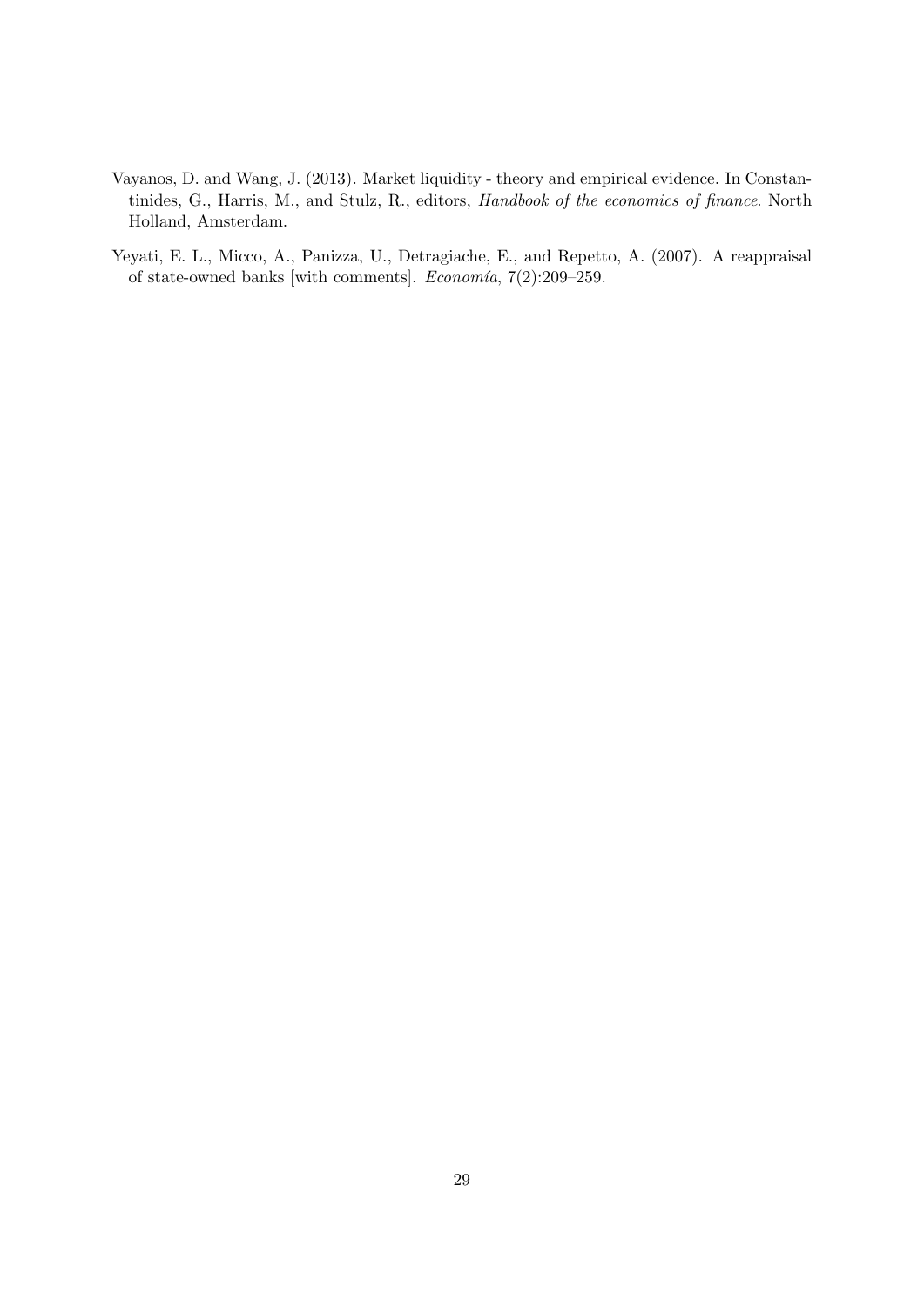- <span id="page-28-0"></span>Vayanos, D. and Wang, J. (2013). Market liquidity - theory and empirical evidence. In Constantinides, G., Harris, M., and Stulz, R., editors, Handbook of the economics of finance. North Holland, Amsterdam.
- <span id="page-28-1"></span>Yeyati, E. L., Micco, A., Panizza, U., Detragiache, E., and Repetto, A. (2007). A reappraisal of state-owned banks [with comments].  $Economia$ , 7(2):209–259.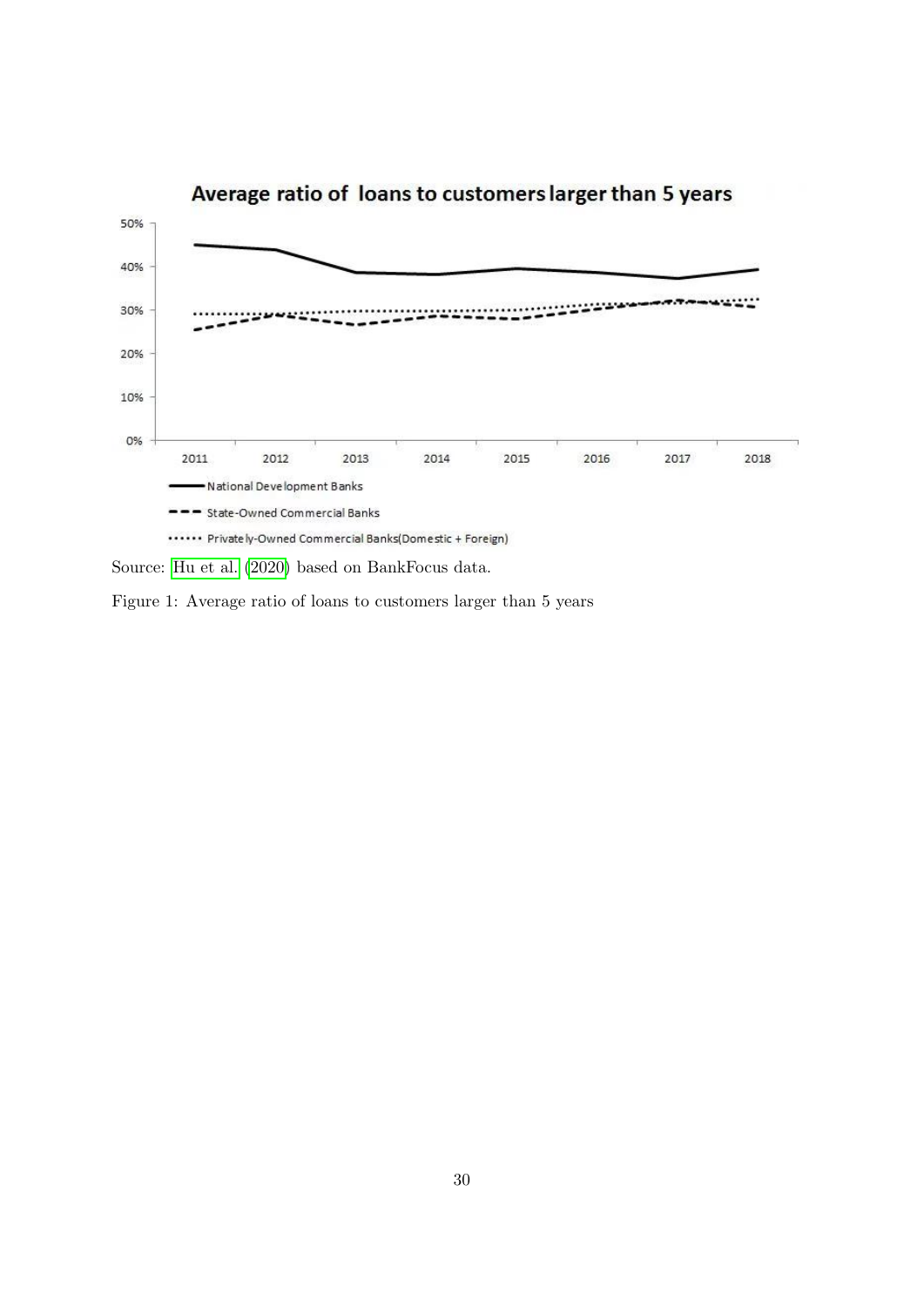

Source: [Hu et al.](#page-27-0) [\(2020\)](#page-27-0) based on BankFocus data.

Figure 1: Average ratio of loans to customers larger than 5 years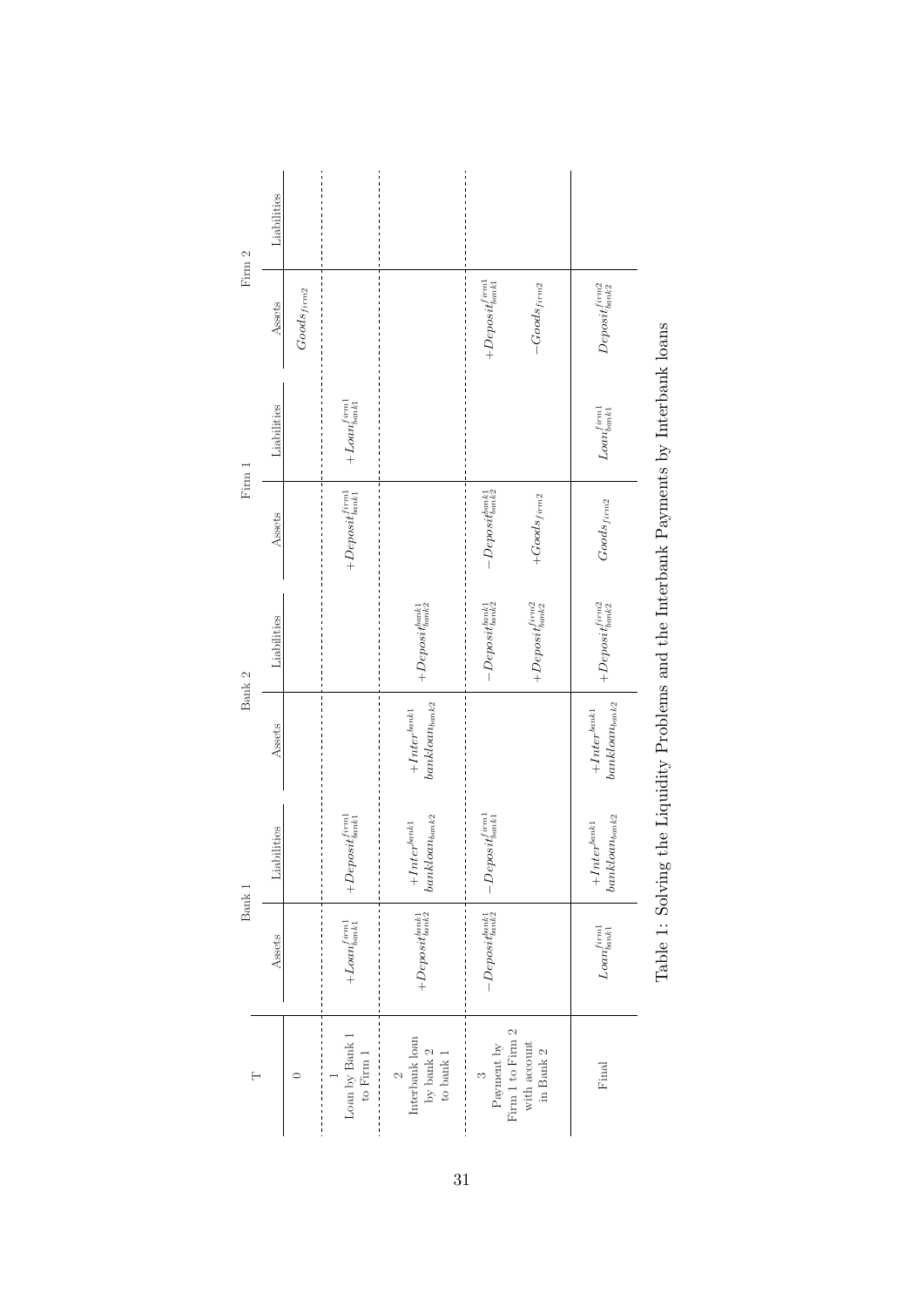<span id="page-30-0"></span>

|        | Liabilities |                 |                                                           |                                                                                                                                                                                                                                                                                                                                                                                                                                                                                                                                                                                         |                                                                                                                                   |                                                           |                                                          |                                                                                       |
|--------|-------------|-----------------|-----------------------------------------------------------|-----------------------------------------------------------------------------------------------------------------------------------------------------------------------------------------------------------------------------------------------------------------------------------------------------------------------------------------------------------------------------------------------------------------------------------------------------------------------------------------------------------------------------------------------------------------------------------------|-----------------------------------------------------------------------------------------------------------------------------------|-----------------------------------------------------------|----------------------------------------------------------|---------------------------------------------------------------------------------------|
| Firm 2 | Assets      | $Goods_{firm2}$ |                                                           |                                                                                                                                                                                                                                                                                                                                                                                                                                                                                                                                                                                         | $+Depositiml\atop bank1}$                                                                                                         | $-Goods_{firm2}$                                          | $Deeposit_{bank2}^{firm2}$                               |                                                                                       |
| Firm 1 | Liabilities |                 | $+ Loan^{firm1}_{bank1}$                                  |                                                                                                                                                                                                                                                                                                                                                                                                                                                                                                                                                                                         |                                                                                                                                   |                                                           | $\mathit{Loan}^{firm1}_{bank1}$                          | Table 1: Solving the Liquidity Problems and the Interbank Payments by Interbank loans |
|        | Assets      |                 | $\qquad \qquad +\, \displaystyle Deposit^{firm1}_{bank1}$ |                                                                                                                                                                                                                                                                                                                                                                                                                                                                                                                                                                                         | $-Depositmark_ {bank1} \newline$                                                                                                  | $+ Goods_{firm2}$                                         | $Goods_{\it{firm2}}$                                     |                                                                                       |
| Bank 2 | Liabilities |                 |                                                           | $\qquad + De positbank 2$                                                                                                                                                                                                                                                                                                                                                                                                                                                                                                                                                               | $-\boldsymbol{D} \boldsymbol{e} \boldsymbol{p} \boldsymbol{o} \boldsymbol{s} \boldsymbol{u}^{b a n k 1}_{\boldsymbol{k} a n k 2}$ | $\qquad \qquad +\, \displaystyle Deposit_{bank2}^{firm2}$ | $\qquad \qquad +\, \displaystyle Deposit_{bank2}^{imm2}$ |                                                                                       |
|        | Assets      |                 |                                                           | $bank loan_{bank2}$<br>$+Inter^{bank1}$                                                                                                                                                                                                                                                                                                                                                                                                                                                                                                                                                 |                                                                                                                                   |                                                           | $bank loan_{bank2}$<br>$+Inter^{bank1}$                  |                                                                                       |
| Bank 1 | Liabilities |                 | $\qquad + De posit^{firm1}_{bank1}$                       | $bank loan bands2 % \begin{minipage}[c]{0.5\linewidth} \centering \end{minipage} % \begin{minipage}[c]{0.5\linewidth} \centering \begin{minipage}[c]{0.5\linewidth} \centering \end{minipage} \begin{minipage}[c]{0.5\linewidth} \centering \end{minipage} \begin{minipage}[c]{0.5\linewidth} \centering \end{minipage} \begin{minipage}[c]{0.5\linewidth} \centering \end{minipage} \begin{minipage}[c]{0.5\linewidth} \centering \end{minipage} \begin{minipage}[c]{0.5\linewidth} \centering \end{minipage} \begin{minipage}[c]{0.5\linewidth} \centering \end{$<br>$+Inter^{bank1}$ | $-Deposit^{firm1}_{bank1}$                                                                                                        |                                                           | $bank loan_{bank2}$<br>$+ Inter^{bank1}$                 |                                                                                       |
|        | Assets      |                 | $+ Loan^{firm1}_{bank1}$                                  | $\qquad \qquad +D\epsilon posit_{bank2}^{bank1}$                                                                                                                                                                                                                                                                                                                                                                                                                                                                                                                                        | $-\boldsymbol{D} e positbank2$                                                                                                    |                                                           | $\mathit{Loan}^{firm1}_{bank1}$                          |                                                                                       |
| Η      |             | ⊂               | $\mbox{Loan}$ by $\mbox{Bank}$ $1$<br>to Firm $1\,$       | Interbank loan<br>by bank $2$ to bank $1$<br>$\sim$                                                                                                                                                                                                                                                                                                                                                                                                                                                                                                                                     | Firm 1 to Firm $2\,$<br>Payment $\it{by}$<br>$\infty$                                                                             | with account<br>in Bank $2\,$                             | $\ensuremath{\mathrm{Final}}$                            |                                                                                       |

| ı                                                                                                      |  |
|--------------------------------------------------------------------------------------------------------|--|
| ì<br>۔<br>ز<br>)<br> <br> <br> <br> <br>l<br>İ<br>i<br>!<br>I<br>$\ddot{\phantom{0}}$<br>$\frac{1}{2}$ |  |
| $\sim$ $\sim$ $\sim$ $\sim$ $\sim$ $\sim$ $\sim$<br>I<br>:<br>?<br>$\frac{1}{\sqrt{2}}$                |  |
| ו<br>ו<br>;<br>;                                                                                       |  |
| $\frac{1}{1}$<br>i i i i<br>7                                                                          |  |
| I                                                                                                      |  |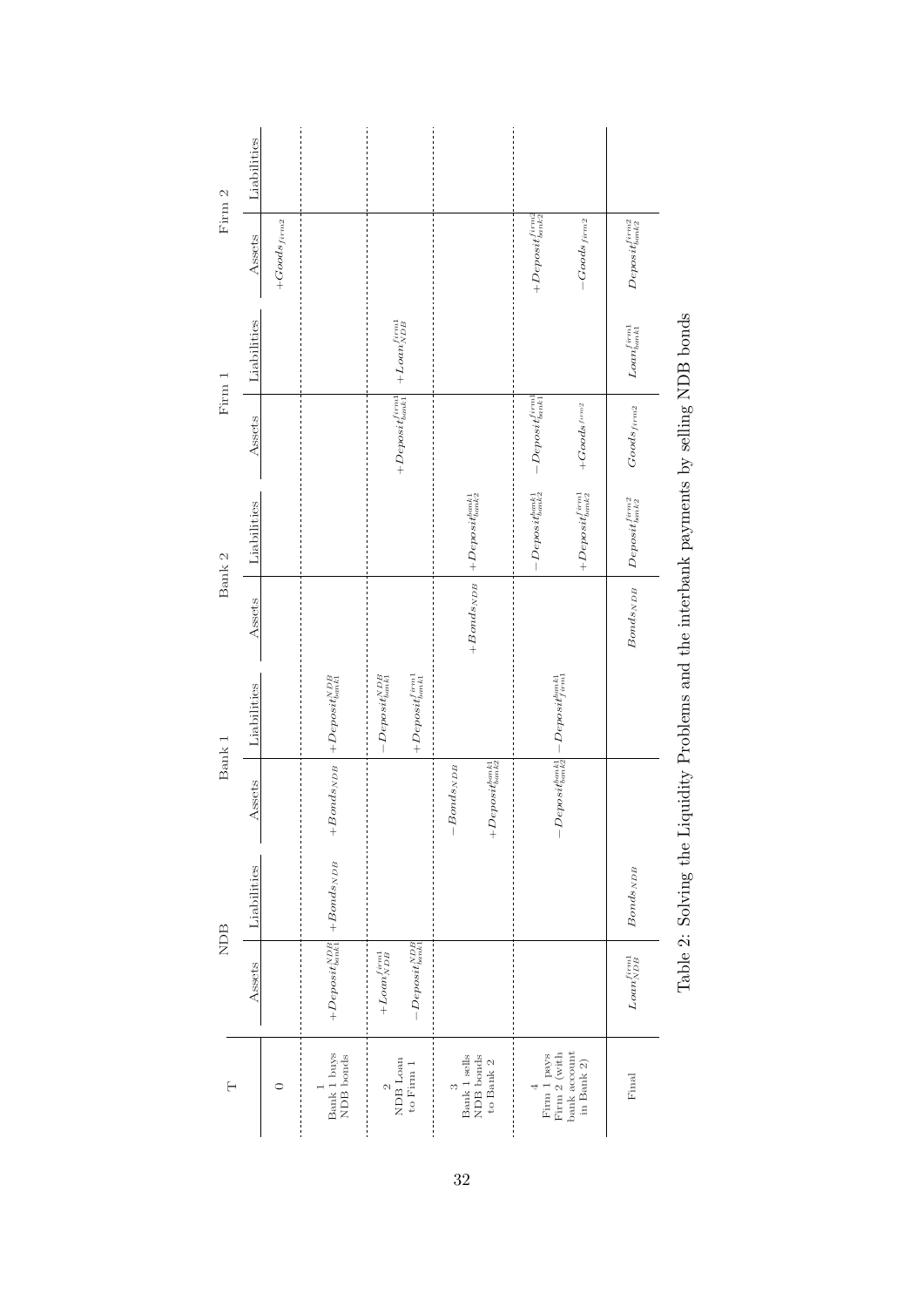<span id="page-31-0"></span>

| Firm 2   | Liabilities<br>Assets<br>Liabilities | $+Goods_{\it{firm2}}$ |                                                                                   | $+ Loan_{NDB}^{firm1}\,$                                            |                                                                         | $+Deposit'_{bank2}$<br>$-Goods_{firm2}$                       | $Deposit_{bank2}^{firm2}$<br>$Loa n_{bank1}^{firm1}$                                                       |
|----------|--------------------------------------|-----------------------|-----------------------------------------------------------------------------------|---------------------------------------------------------------------|-------------------------------------------------------------------------|---------------------------------------------------------------|------------------------------------------------------------------------------------------------------------|
| Firm 1   | Assets                               |                       |                                                                                   | $\qquad \qquad +D\, e posit\, {firm1\over bank1}$                   |                                                                         | $-Deposit_{bank1}^{firm1}$<br>$+ Good s^{firm2}$              | Table 2: Solving the Liquidity Problems and the interbank payments by selling NDB bonds<br>$Goods_{firm2}$ |
| Bank 2   | Liabilities                          |                       |                                                                                   |                                                                     | $\left. + Bonds_{NDB} \right. \left  + Deposit_{bank2}^{bank1} \right.$ | $+ De posit_{bank2}^{firm1}$<br>$-Depositmark_1$              | $Deposit_{bank2}^{firm2}$                                                                                  |
|          | Assets                               |                       |                                                                                   |                                                                     |                                                                         |                                                               | $Bonds_{NDB}$                                                                                              |
| Bank 1   | Liabilities                          |                       | $\left. + {Bonds}_{NDB} \right. \left  { + Deposit_{bank1}^{NDB} } \right.$       | $+ Depositim1$<br>$-Depositbank1$                                   |                                                                         | $-Deposit^{bank1}_{firm1}$                                    |                                                                                                            |
|          | ssets<br>₹                           |                       |                                                                                   |                                                                     | $+De positbank1$<br>$-Bonds_{NDB}$                                      | $-Deposit^{bank1}_{bank2}$                                    |                                                                                                            |
| NDB      | Liabilities                          |                       |                                                                                   |                                                                     |                                                                         |                                                               | Bonds <sub>NDB</sub>                                                                                       |
|          | Assets                               |                       | $\left. +D\epsilon posit_{bank1}^{NDB}\right\vert \left. +Bonds_{NDB}\right\vert$ | $\label{eq:repos} -Deposit_{bank1}^{NDB}$<br>$+ Loan^{firm1}_{NDB}$ |                                                                         |                                                               | $\ensuremath{\textit{L}}\xspace\alpha\ensuremath{\textit{n}}\xspace_{\textit{NDB}}^{\textit{firml}}$       |
| $\vdash$ |                                      | ⊂                     | Bank 1 buys<br>NDB bonds                                                          | NDB Loan<br>to Firm 1<br>$\mathcal{C}$                              | Bank 1 sells<br><b>NDB</b> bonds<br>to Bank $2\,$<br>$\infty$           | bank account<br>Firm $2$ (with<br>Firm 1 pays<br>in Bank $2)$ | Final                                                                                                      |

| ֦֧֦֧֦֧֦֧֦֧ׅ֧֧֧֧֧֧ׅ֧֧֧֧֧֚֚֚֚֚֚֡֝֜֓֓֝֬֝֓֝֬֝֓֝֬֝֬֝֬֜֓֓֝֬֝֬֝֬֝֬<br>$\frac{1}{2}$                                                                                                                                                                                                                                                                                                                                                                                                                          |
|-------------------------------------------------------------------------------------------------------------------------------------------------------------------------------------------------------------------------------------------------------------------------------------------------------------------------------------------------------------------------------------------------------------------------------------------------------------------------------------------------------|
| ١<br>くしょく                                                                                                                                                                                                                                                                                                                                                                                                                                                                                             |
|                                                                                                                                                                                                                                                                                                                                                                                                                                                                                                       |
| <b>CONTRACTES</b><br>i                                                                                                                                                                                                                                                                                                                                                                                                                                                                                |
|                                                                                                                                                                                                                                                                                                                                                                                                                                                                                                       |
| <br> <br>                                                                                                                                                                                                                                                                                                                                                                                                                                                                                             |
|                                                                                                                                                                                                                                                                                                                                                                                                                                                                                                       |
|                                                                                                                                                                                                                                                                                                                                                                                                                                                                                                       |
|                                                                                                                                                                                                                                                                                                                                                                                                                                                                                                       |
| ֖֖֖֖֖֖֖֖֧֚֚֚֚֚֚֚֚֚֚֚֚֚֡֬֝֝֝֝ <u>֚</u><br>$\frac{1}{2}$                                                                                                                                                                                                                                                                                                                                                                                                                                                |
| j<br>$\begin{array}{cccccccccccccc} \multicolumn{2}{c}{} & \multicolumn{2}{c}{} & \multicolumn{2}{c}{} & \multicolumn{2}{c}{} & \multicolumn{2}{c}{} & \multicolumn{2}{c}{} & \multicolumn{2}{c}{} & \multicolumn{2}{c}{} & \multicolumn{2}{c}{} & \multicolumn{2}{c}{} & \multicolumn{2}{c}{} & \multicolumn{2}{c}{} & \multicolumn{2}{c}{} & \multicolumn{2}{c}{} & \multicolumn{2}{c}{} & \multicolumn{2}{c}{} & \multicolumn{2}{c}{} & \multicolumn{2}{c}{} & \multicolumn{2}{c}{} & \$<br>Ì<br>l |
| l                                                                                                                                                                                                                                                                                                                                                                                                                                                                                                     |
| - SHISHI                                                                                                                                                                                                                                                                                                                                                                                                                                                                                              |
| ١                                                                                                                                                                                                                                                                                                                                                                                                                                                                                                     |
| l                                                                                                                                                                                                                                                                                                                                                                                                                                                                                                     |
| ،<br>ملمات<br>l<br>ı<br>i                                                                                                                                                                                                                                                                                                                                                                                                                                                                             |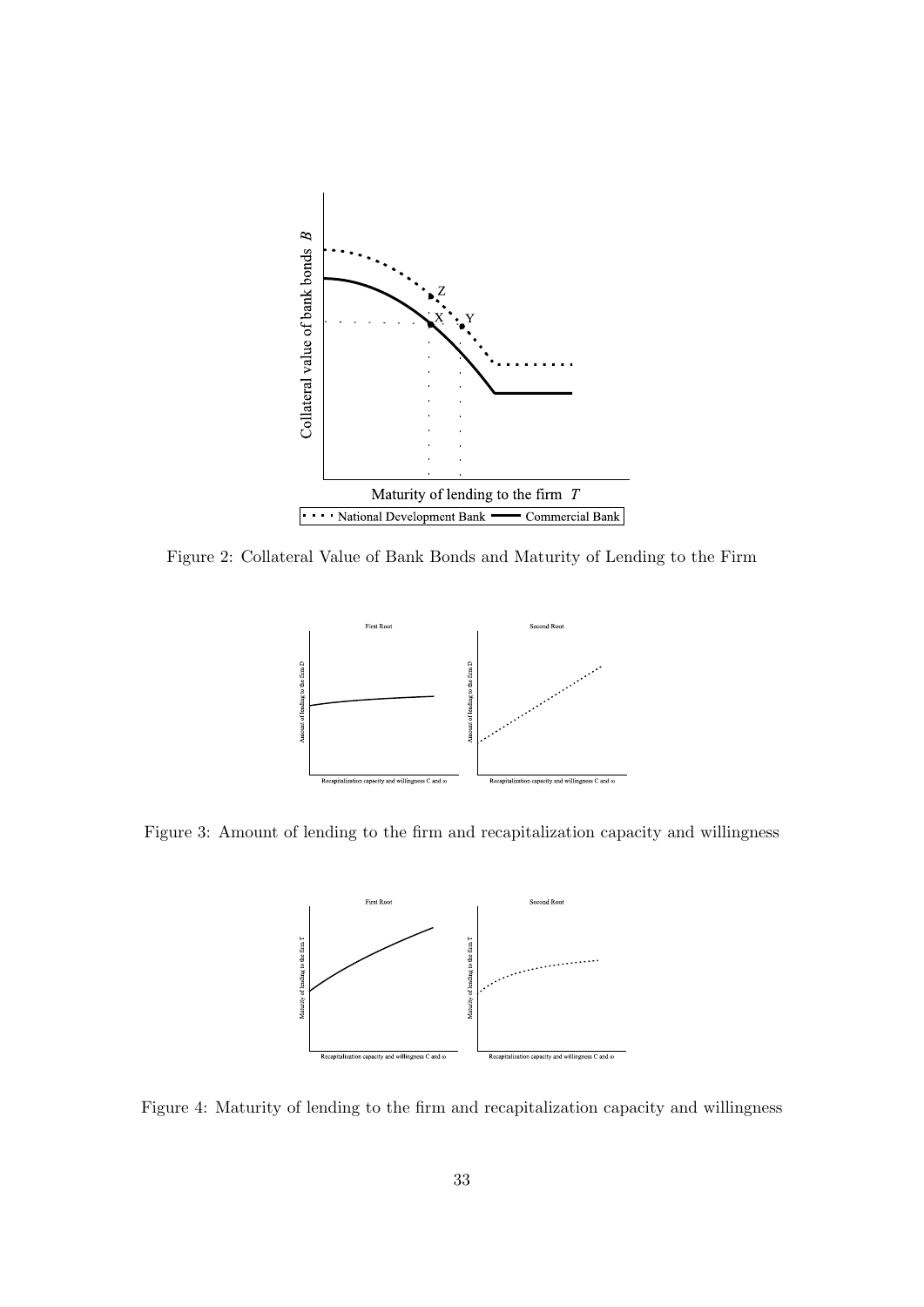<span id="page-32-0"></span>

<span id="page-32-1"></span>Figure 2: Collateral Value of Bank Bonds and Maturity of Lending to the Firm



<span id="page-32-2"></span>Figure 3: Amount of lending to the firm and recapitalization capacity and willingness



Figure 4: Maturity of lending to the firm and recapitalization capacity and willingness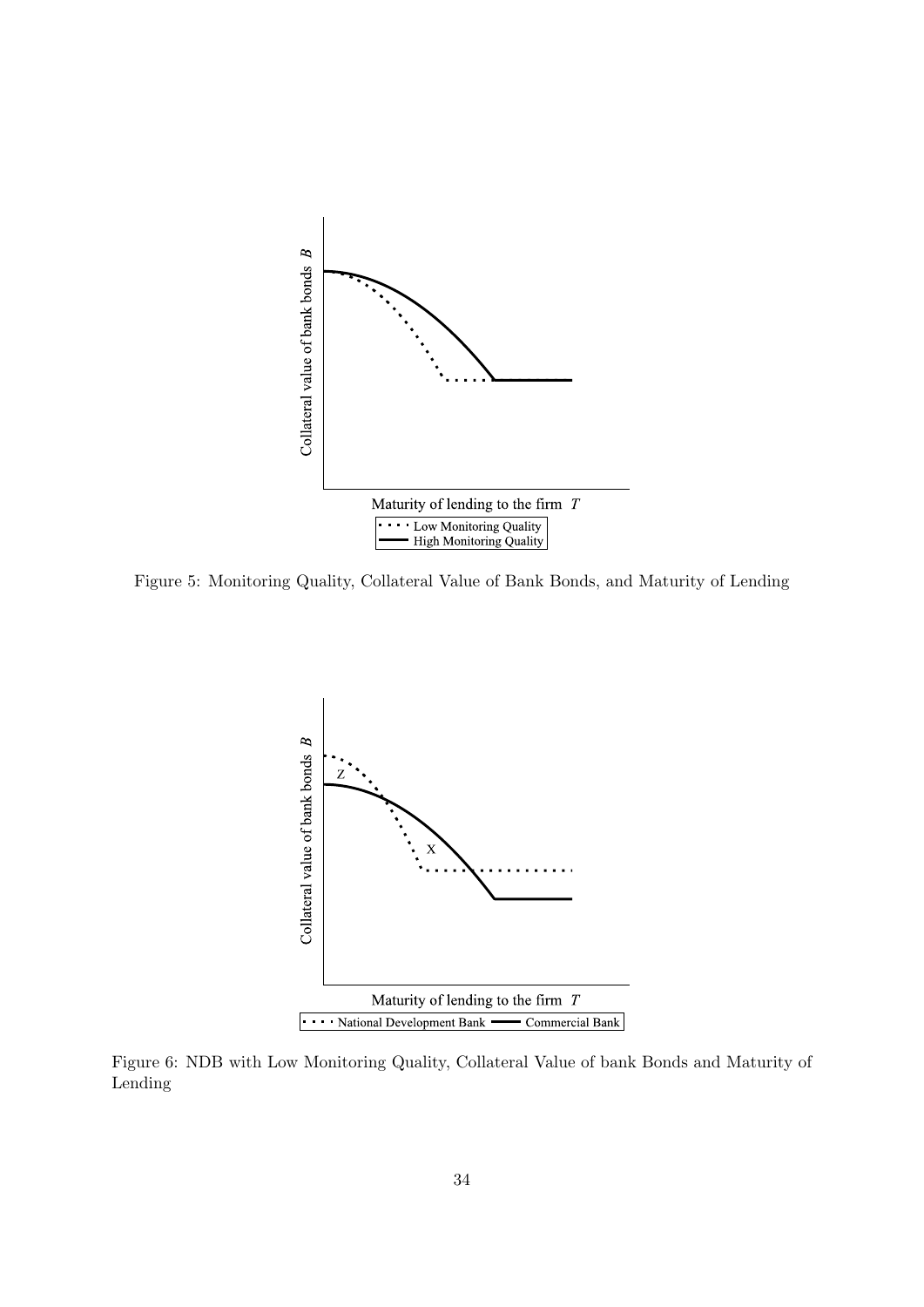<span id="page-33-0"></span>

<span id="page-33-1"></span>Figure 5: Monitoring Quality, Collateral Value of Bank Bonds, and Maturity of Lending



Figure 6: NDB with Low Monitoring Quality, Collateral Value of bank Bonds and Maturity of Lending